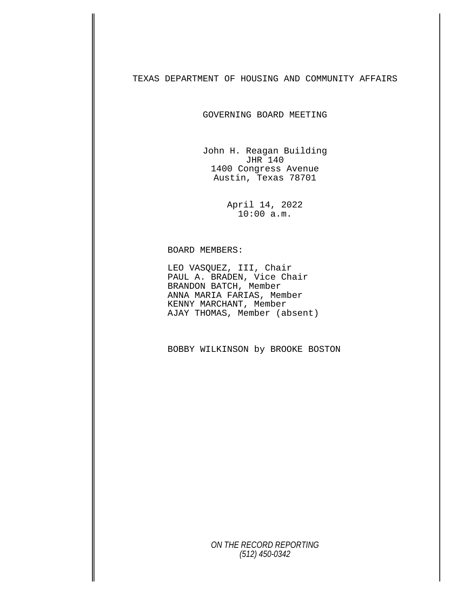## TEXAS DEPARTMENT OF HOUSING AND COMMUNITY AFFAIRS

GOVERNING BOARD MEETING

John H. Reagan Building JHR 140 1400 Congress Avenue Austin, Texas 78701

> April 14, 2022 10:00 a.m.

BOARD MEMBERS: LEO VASQUEZ, III, Chair PAUL A. BRADEN, Vice Chair BRANDON BATCH, Member ANNA MARIA FARIAS, Member KENNY MARCHANT, Member AJAY THOMAS, Member (absent)

BOBBY WILKINSON by BROOKE BOSTON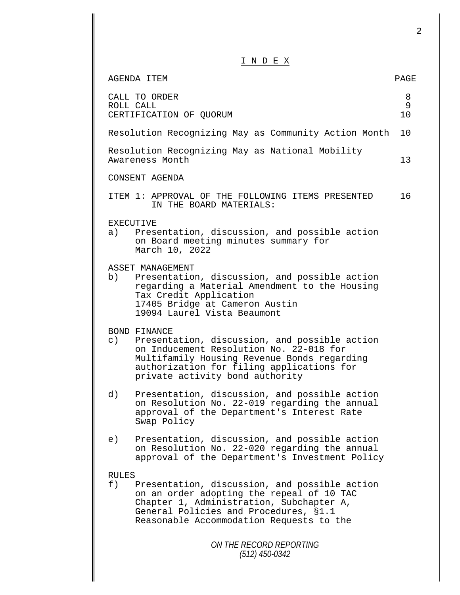|                                                                                                                                                                                                                                                                              | 2            |
|------------------------------------------------------------------------------------------------------------------------------------------------------------------------------------------------------------------------------------------------------------------------------|--------------|
| INDEX                                                                                                                                                                                                                                                                        |              |
| AGENDA ITEM                                                                                                                                                                                                                                                                  | PAGE         |
| CALL TO ORDER<br>ROLL CALL<br>CERTIFICATION OF QUORUM                                                                                                                                                                                                                        | 8<br>9<br>10 |
| Resolution Recognizing May as Community Action Month                                                                                                                                                                                                                         | 10           |
| Resolution Recognizing May as National Mobility<br>Awareness Month                                                                                                                                                                                                           | 13           |
| CONSENT AGENDA                                                                                                                                                                                                                                                               |              |
| ITEM 1: APPROVAL OF THE FOLLOWING ITEMS PRESENTED<br>IN THE BOARD MATERIALS:                                                                                                                                                                                                 | 16           |
| <b>EXECUTIVE</b><br>Presentation, discussion, and possible action<br>a)<br>on Board meeting minutes summary for<br>March 10, 2022                                                                                                                                            |              |
| ASSET MANAGEMENT<br>b)<br>Presentation, discussion, and possible action<br>regarding a Material Amendment to the Housing<br>Tax Credit Application<br>17405 Bridge at Cameron Austin<br>19094 Laurel Vista Beaumont                                                          |              |
| BOND FINANCE<br>$\circ$ )<br>Presentation, discussion, and possible action<br>on Inducement Resolution No. 22-018 for<br>Multifamily Housing Revenue Bonds regarding<br>authorization for filing applications for<br>private activity bond authority                         |              |
| d)<br>Presentation, discussion, and possible action<br>on Resolution No. 22-019 regarding the annual<br>approval of the Department's Interest Rate<br>Swap Policy                                                                                                            |              |
| Presentation, discussion, and possible action<br>e)<br>on Resolution No. 22-020 regarding the annual<br>approval of the Department's Investment Policy                                                                                                                       |              |
| <b>RULES</b><br>Presentation, discussion, and possible action<br>f)<br>on an order adopting the repeal of 10 TAC<br>Chapter 1, Administration, Subchapter A,<br>General Policies and Procedures, §1.1<br>Reasonable Accommodation Requests to the<br>ON THE RECORD REPORTING |              |
| (512) 450-0342                                                                                                                                                                                                                                                               |              |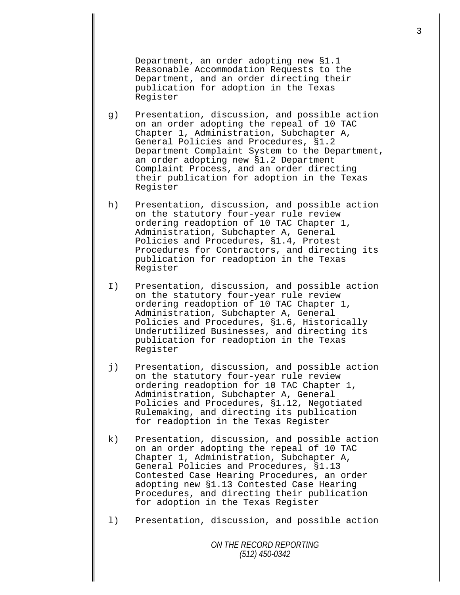Department, an order adopting new §1.1 Reasonable Accommodation Requests to the Department, and an order directing their publication for adoption in the Texas Register

- g) Presentation, discussion, and possible action on an order adopting the repeal of 10 TAC Chapter 1, Administration, Subchapter A, General Policies and Procedures, §1.2 Department Complaint System to the Department, an order adopting new §1.2 Department Complaint Process, and an order directing their publication for adoption in the Texas Register
- h) Presentation, discussion, and possible action on the statutory four-year rule review ordering readoption of 10 TAC Chapter 1, Administration, Subchapter A, General Policies and Procedures, §1.4, Protest Procedures for Contractors, and directing its publication for readoption in the Texas Register
- I) Presentation, discussion, and possible action on the statutory four-year rule review ordering readoption of 10 TAC Chapter 1, Administration, Subchapter A, General Policies and Procedures, §1.6, Historically Underutilized Businesses, and directing its publication for readoption in the Texas Register
- j) Presentation, discussion, and possible action on the statutory four-year rule review ordering readoption for 10 TAC Chapter 1, Administration, Subchapter A, General Policies and Procedures, §1.12, Negotiated Rulemaking, and directing its publication for readoption in the Texas Register
- k) Presentation, discussion, and possible action on an order adopting the repeal of 10 TAC Chapter 1, Administration, Subchapter A, General Policies and Procedures, §1.13 Contested Case Hearing Procedures, an order adopting new §1.13 Contested Case Hearing Procedures, and directing their publication for adoption in the Texas Register
- l) Presentation, discussion, and possible action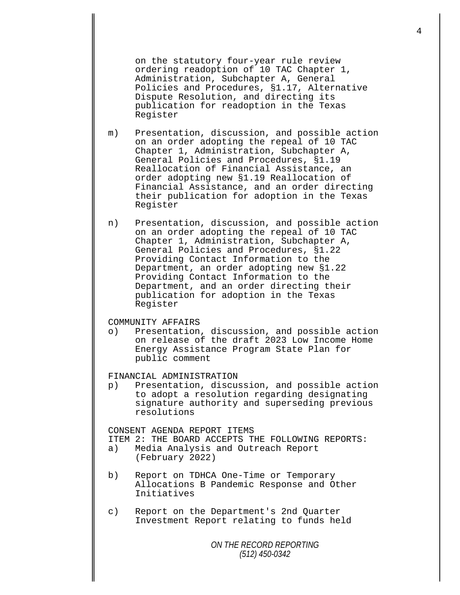on the statutory four-year rule review ordering readoption of 10 TAC Chapter 1, Administration, Subchapter A, General Policies and Procedures, §1.17, Alternative Dispute Resolution, and directing its publication for readoption in the Texas Register

m) Presentation, discussion, and possible action on an order adopting the repeal of 10 TAC Chapter 1, Administration, Subchapter A, General Policies and Procedures, §1.19 Reallocation of Financial Assistance, an order adopting new §1.19 Reallocation of Financial Assistance, and an order directing their publication for adoption in the Texas Register

n) Presentation, discussion, and possible action on an order adopting the repeal of 10 TAC Chapter 1, Administration, Subchapter A, General Policies and Procedures, §1.22 Providing Contact Information to the Department, an order adopting new §1.22 Providing Contact Information to the Department, and an order directing their publication for adoption in the Texas Register

## COMMUNITY AFFAIRS<br>o) Presentation

Presentation, discussion, and possible action on release of the draft 2023 Low Income Home Energy Assistance Program State Plan for public comment

FINANCIAL ADMINISTRATION<br>p) Presentation, discus

Presentation, discussion, and possible action to adopt a resolution regarding designating signature authority and superseding previous resolutions

CONSENT AGENDA REPORT ITEMS

- ITEM 2: THE BOARD ACCEPTS THE FOLLOWING REPORTS:<br>a) Media Analysis and Outreach Report
- Media Analysis and Outreach Report (February 2022)
- b) Report on TDHCA One-Time or Temporary Allocations B Pandemic Response and Other Initiatives
- c) Report on the Department's 2nd Quarter Investment Report relating to funds held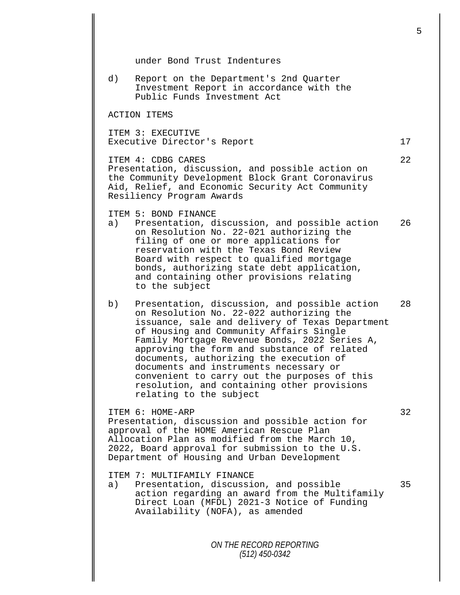*ON THE RECORD REPORTING (512) 450-0342* under Bond Trust Indentures d) Report on the Department's 2nd Quarter Investment Report in accordance with the Public Funds Investment Act ACTION ITEMS ITEM 3: EXECUTIVE Executive Director's Report 17 ITEM 4: CDBG CARES 22 Presentation, discussion, and possible action on the Community Development Block Grant Coronavirus Aid, Relief, and Economic Security Act Community Resiliency Program Awards ITEM 5: BOND FINANCE<br>a) Presentation, d Presentation, discussion, and possible action 26 on Resolution No. 22-021 authorizing the filing of one or more applications for reservation with the Texas Bond Review Board with respect to qualified mortgage bonds, authorizing state debt application, and containing other provisions relating to the subject b) Presentation, discussion, and possible action 28 on Resolution No. 22-022 authorizing the issuance, sale and delivery of Texas Department of Housing and Community Affairs Single Family Mortgage Revenue Bonds, 2022 Series A, approving the form and substance of related documents, authorizing the execution of documents and instruments necessary or convenient to carry out the purposes of this resolution, and containing other provisions relating to the subject ITEM 6: HOME-ARP 32 Presentation, discussion and possible action for approval of the HOME American Rescue Plan Allocation Plan as modified from the March 10, 2022, Board approval for submission to the U.S. Department of Housing and Urban Development ITEM 7: MULTIFAMILY FINANCE<br>a) Presentation, discussi Presentation, discussion, and possible 35 action regarding an award from the Multifamily Direct Loan (MFDL) 2021-3 Notice of Funding Availability (NOFA), as amended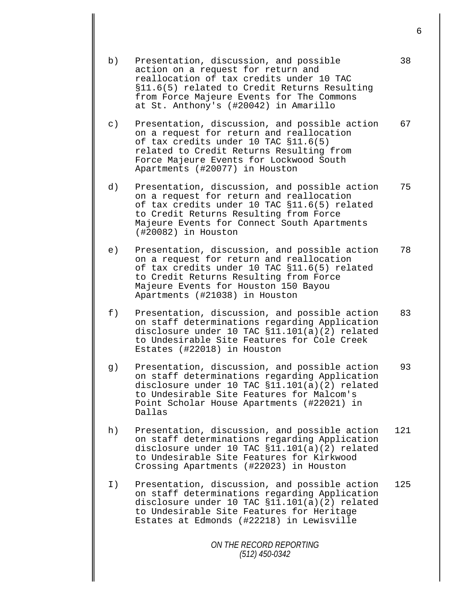| b)        | Presentation, discussion, and possible<br>action on a request for return and<br>reallocation of tax credits under 10 TAC<br>§11.6(5) related to Credit Returns Resulting<br>from Force Majeure Events for The Commons<br>at St. Anthony's (#20042) in Amarillo | 38  |
|-----------|----------------------------------------------------------------------------------------------------------------------------------------------------------------------------------------------------------------------------------------------------------------|-----|
| $\circ$ ) | Presentation, discussion, and possible action<br>on a request for return and reallocation<br>of tax credits under 10 TAC §11.6(5)<br>related to Credit Returns Resulting from<br>Force Majeure Events for Lockwood South<br>Apartments (#20077) in Houston     | 67  |
| d)        | Presentation, discussion, and possible action<br>on a request for return and reallocation<br>of tax credits under 10 TAC §11.6(5) related<br>to Credit Returns Resulting from Force<br>Majeure Events for Connect South Apartments<br>(#20082) in Houston      | 75  |
| e)        | Presentation, discussion, and possible action<br>on a request for return and reallocation<br>of tax credits under 10 TAC §11.6(5) related<br>to Credit Returns Resulting from Force<br>Majeure Events for Houston 150 Bayou<br>Apartments (#21038) in Houston  | 78  |
| f)        | Presentation, discussion, and possible action<br>on staff determinations regarding Application<br>disclosure under 10 TAC $$11.101(a)(2)$ related<br>to Undesirable Site Features for Cole Creek<br>Estates (#22018) in Houston                                | 83  |
| g)        | Presentation, discussion, and possible action<br>on staff determinations regarding Application<br>disclosure under 10 TAC §11.101(a)(2) related<br>to Undesirable Site Features for Malcom's<br>Point Scholar House Apartments (#22021) in<br>Dallas           | 93  |
| h)        | Presentation, discussion, and possible action<br>on staff determinations regarding Application<br>disclosure under 10 TAC §11.101(a)(2) related<br>to Undesirable Site Features for Kirkwood<br>Crossing Apartments (#22023) in Houston                        | 121 |
| I)        | Presentation, discussion, and possible action<br>on staff determinations regarding Application<br>disclosure under 10 TAC §11.101(a)(2) related<br>to Undesirable Site Features for Heritage<br>Estates at Edmonds (#22218) in Lewisville                      | 125 |
|           | ON THE RECORD REPORTING<br>$(512)$ 450-0342                                                                                                                                                                                                                    |     |
|           |                                                                                                                                                                                                                                                                |     |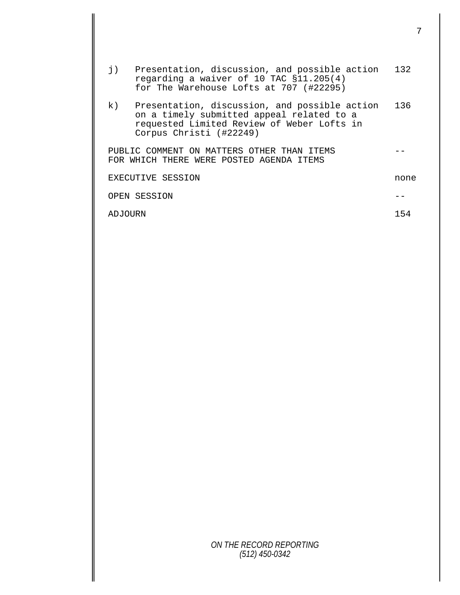| $\mathbf{j}$ ) | Presentation, discussion, and possible action<br>regarding a waiver of 10 TAC §11.205(4)<br>for The Warehouse Lofts at 707 (#22295)                                 | 132  |
|----------------|---------------------------------------------------------------------------------------------------------------------------------------------------------------------|------|
| k)             | Presentation, discussion, and possible action<br>on a timely submitted appeal related to a<br>requested Limited Review of Weber Lofts in<br>Corpus Christi (#22249) | 136  |
|                | PUBLIC COMMENT ON MATTERS OTHER THAN ITEMS<br>FOR WHICH THERE WERE POSTED AGENDA ITEMS                                                                              |      |
|                | EXECUTIVE SESSION                                                                                                                                                   | none |
|                | OPEN SESSION                                                                                                                                                        |      |
| ADJOURN        |                                                                                                                                                                     | 154  |
|                |                                                                                                                                                                     |      |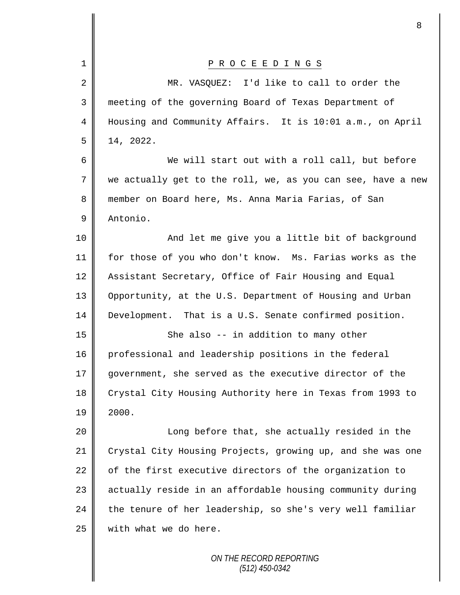| 1              | P R O C E E D I N G S                                       |
|----------------|-------------------------------------------------------------|
| $\overline{2}$ | MR. VASQUEZ: I'd like to call to order the                  |
| 3              | meeting of the governing Board of Texas Department of       |
| 4              | Housing and Community Affairs. It is 10:01 a.m., on April   |
| 5              | 14, 2022.                                                   |
| 6              | We will start out with a roll call, but before              |
| 7              | we actually get to the roll, we, as you can see, have a new |
| 8              | member on Board here, Ms. Anna Maria Farias, of San         |
| 9              | Antonio.                                                    |
| 10             | And let me give you a little bit of background              |
| 11             | for those of you who don't know. Ms. Farias works as the    |
| 12             | Assistant Secretary, Office of Fair Housing and Equal       |
| 13             | Opportunity, at the U.S. Department of Housing and Urban    |
| 14             | Development. That is a U.S. Senate confirmed position.      |
| 15             | She also -- in addition to many other                       |
| 16             | professional and leadership positions in the federal        |
| 17             | government, she served as the executive director of the     |
| 18             | Crystal City Housing Authority here in Texas from 1993 to   |
| 19             | 2000.                                                       |
| 20             | Long before that, she actually resided in the               |
| 21             | Crystal City Housing Projects, growing up, and she was one  |
| 22             | of the first executive directors of the organization to     |
| 23             | actually reside in an affordable housing community during   |
| 24             | the tenure of her leadership, so she's very well familiar   |
| 25             | with what we do here.                                       |
|                |                                                             |

 $\mathbf l$ II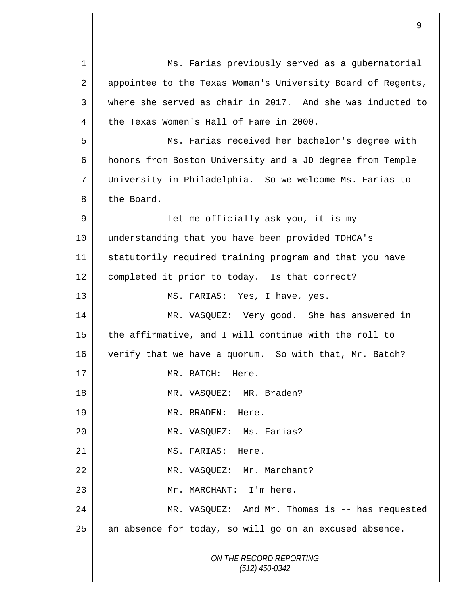*ON THE RECORD REPORTING (512) 450-0342* 1 Ms. Farias previously served as a gubernatorial 2 appointee to the Texas Woman's University Board of Regents, 3 where she served as chair in 2017. And she was inducted to 4 the Texas Women's Hall of Fame in 2000. 5 Ms. Farias received her bachelor's degree with 6 honors from Boston University and a JD degree from Temple 7 University in Philadelphia. So we welcome Ms. Farias to 8 the Board. 9 || Let me officially ask you, it is my 10 understanding that you have been provided TDHCA's 11 Statutorily required training program and that you have 12 | completed it prior to today. Is that correct? 13 MS. FARIAS: Yes, I have, yes. 14 MR. VASQUEZ: Very good. She has answered in 15  $\parallel$  the affirmative, and I will continue with the roll to 16 verify that we have a quorum. So with that, Mr. Batch? 17 NR. BATCH: Here. 18 || MR. VASQUEZ: MR. Braden? 19 MR. BRADEN: Here. 20 || **MR. VASQUEZ: Ms. Farias?** 21 || MS. FARIAS: Here. 22 | MR. VASQUEZ: Mr. Marchant? 23 || Mr. MARCHANT: I'm here. 24 MR. VASQUEZ: And Mr. Thomas is -- has requested  $25$  an absence for today, so will go on an excused absence.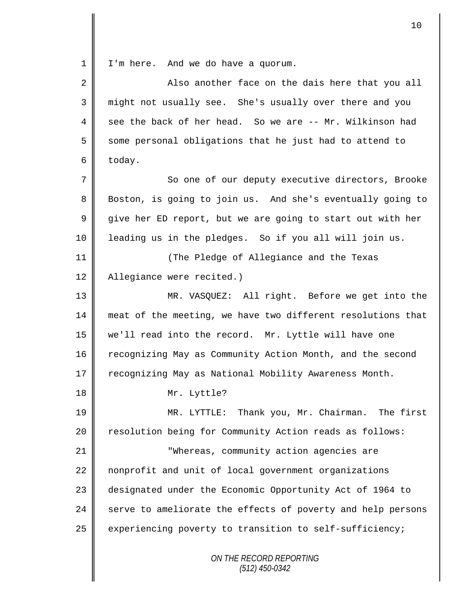1 I'm here. And we do have a quorum.

| $\overline{2}$ | Also another face on the dais here that you all             |
|----------------|-------------------------------------------------------------|
| 3              | might not usually see. She's usually over there and you     |
| 4              | see the back of her head. So we are -- Mr. Wilkinson had    |
| 5              | some personal obligations that he just had to attend to     |
| 6              | today.                                                      |
| 7              | So one of our deputy executive directors, Brooke            |
| 8              | Boston, is going to join us. And she's eventually going to  |
| 9              | give her ED report, but we are going to start out with her  |
| 10             | leading us in the pledges. So if you all will join us.      |
| 11             | (The Pledge of Allegiance and the Texas                     |
| 12             | Allegiance were recited.)                                   |
| 13             | MR. VASQUEZ: All right. Before we get into the              |
| 14             | meat of the meeting, we have two different resolutions that |
| 15             | we'll read into the record. Mr. Lyttle will have one        |
| 16             | recognizing May as Community Action Month, and the second   |
| 17             | recognizing May as National Mobility Awareness Month.       |
| 18             | Mr. Lyttle?                                                 |
| 19             | MR. LYTTLE: Thank you, Mr. Chairman. The first              |
| 20             | resolution being for Community Action reads as follows:     |
| 21             | "Whereas, community action agencies are                     |
| 22             | nonprofit and unit of local government organizations        |
| 23             | designated under the Economic Opportunity Act of 1964 to    |
| 24             | serve to ameliorate the effects of poverty and help persons |
| 25             | experiencing poverty to transition to self-sufficiency;     |
|                | ON THE RECORD REPORTING<br>$(512)$ 450-0342                 |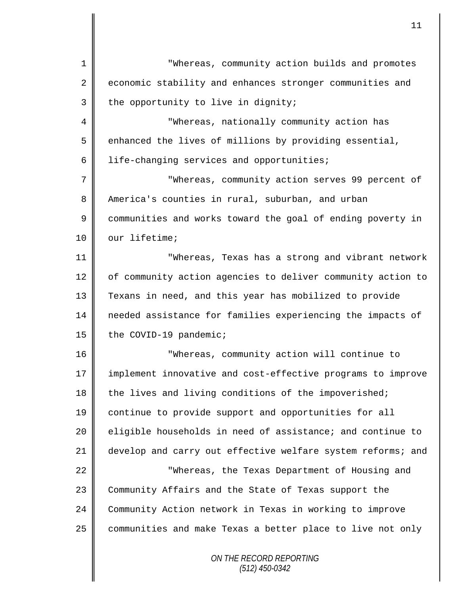*ON THE RECORD REPORTING* 1 || Whereas, community action builds and promotes 2 economic stability and enhances stronger communities and  $3$  | the opportunity to live in dignity; 4 || "Whereas, nationally community action has  $5 \parallel$  enhanced the lives of millions by providing essential,  $6 \parallel$  life-changing services and opportunities; 7 "Whereas, community action serves 99 percent of 8 America's counties in rural, suburban, and urban 9 communities and works toward the goal of ending poverty in 10 | our lifetime; 11 "Whereas, Texas has a strong and vibrant network 12 | of community action agencies to deliver community action to 13 Texans in need, and this year has mobilized to provide 14 needed assistance for families experiencing the impacts of 15 | the COVID-19 pandemic; 16 "Whereas, community action will continue to 17 || implement innovative and cost-effective programs to improve 18 the lives and living conditions of the impoverished; 19 continue to provide support and opportunities for all 20 eligible households in need of assistance; and continue to 21 develop and carry out effective welfare system reforms; and 22 || "Whereas, the Texas Department of Housing and 23 Community Affairs and the State of Texas support the 24 Community Action network in Texas in working to improve 25 communities and make Texas a better place to live not only

11

*(512) 450-0342*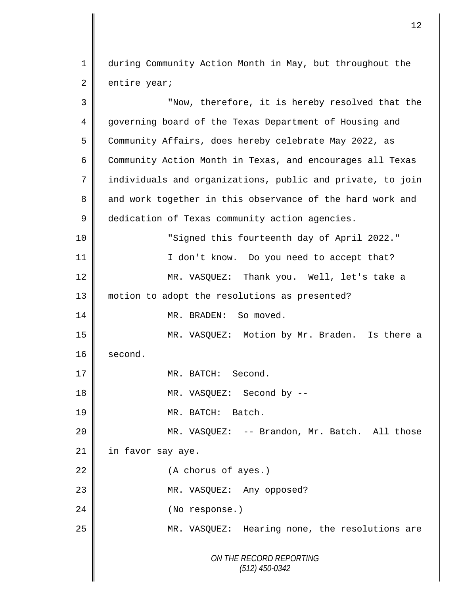1 during Community Action Month in May, but throughout the  $2 \parallel$  entire year;

*ON THE RECORD REPORTING (512) 450-0342* 3 || "Now, therefore, it is hereby resolved that the 4 governing board of the Texas Department of Housing and 5 Community Affairs, does hereby celebrate May 2022, as 6 Community Action Month in Texas, and encourages all Texas 7 | individuals and organizations, public and private, to join 8 and work together in this observance of the hard work and 9 dedication of Texas community action agencies. 10 "Signed this fourteenth day of April 2022." 11 || I don't know. Do you need to accept that? 12 MR. VASQUEZ: Thank you. Well, let's take a 13 | motion to adopt the resolutions as presented? 14 MR. BRADEN: So moved. 15 MR. VASQUEZ: Motion by Mr. Braden. Is there a 16 second. 17 || MR. BATCH: Second. 18 || MR. VASQUEZ: Second by --19 MR. BATCH: Batch. 20 || MR. VASQUEZ: -- Brandon, Mr. Batch. All those 21 | in favor say aye. 22 (A chorus of ayes.) 23 || MR. VASQUEZ: Any opposed? 24 || (No response.) 25 | MR. VASQUEZ: Hearing none, the resolutions are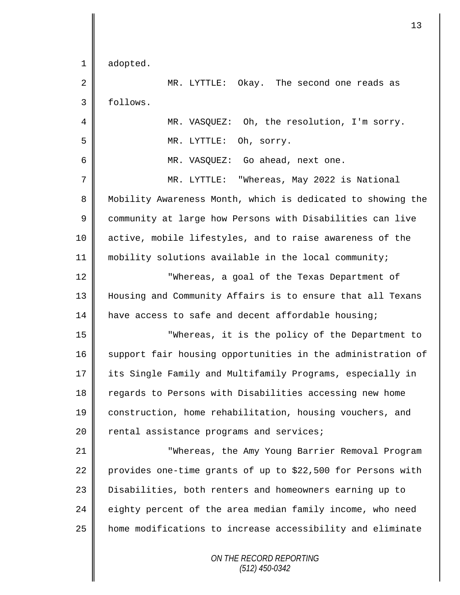|             | 13                                                          |
|-------------|-------------------------------------------------------------|
| $\mathbf 1$ | adopted.                                                    |
| 2           | MR. LYTTLE: Okay. The second one reads as                   |
| 3           | follows.                                                    |
| 4           | MR. VASQUEZ: Oh, the resolution, I'm sorry.                 |
| 5           | MR. LYTTLE:<br>Oh, sorry.                                   |
| 6           | MR. VASQUEZ: Go ahead, next one.                            |
| 7           | MR. LYTTLE: "Whereas, May 2022 is National                  |
| 8           | Mobility Awareness Month, which is dedicated to showing the |
| $\mathsf 9$ | community at large how Persons with Disabilities can live   |
| 10          | active, mobile lifestyles, and to raise awareness of the    |
| 11          | mobility solutions available in the local community;        |
| 12          | "Whereas, a goal of the Texas Department of                 |
| 13          | Housing and Community Affairs is to ensure that all Texans  |
| 14          | have access to safe and decent affordable housing;          |
| 15          | "Whereas, it is the policy of the Department to             |
| 16          | support fair housing opportunities in the administration of |
| 17          | its Single Family and Multifamily Programs, especially in   |
| 18          | regards to Persons with Disabilities accessing new home     |
| 19          | construction, home rehabilitation, housing vouchers, and    |
| 20          | rental assistance programs and services;                    |
| 21          | "Whereas, the Amy Young Barrier Removal Program             |
| 22          | provides one-time grants of up to \$22,500 for Persons with |
| 23          | Disabilities, both renters and homeowners earning up to     |
| 24          | eighty percent of the area median family income, who need   |
| 25          | home modifications to increase accessibility and eliminate  |
|             | ON THE RECORD REPORTING<br>(512) 450-0342                   |

 $\mathbf l$ 

II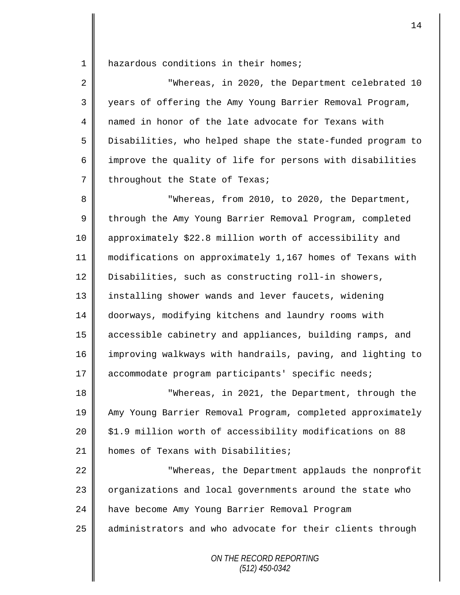1 | hazardous conditions in their homes;

| $\overline{2}$  | "Whereas, in 2020, the Department celebrated 10            |
|-----------------|------------------------------------------------------------|
| 3               | years of offering the Amy Young Barrier Removal Program,   |
| 4               | named in honor of the late advocate for Texans with        |
| 5               | Disabilities, who helped shape the state-funded program to |
| 6               | improve the quality of life for persons with disabilities  |
| $7\overline{ }$ | throughout the State of Texas;                             |

8 **B** Whereas, from 2010, to 2020, the Department, 9 through the Amy Young Barrier Removal Program, completed 10 approximately \$22.8 million worth of accessibility and 11 modifications on approximately 1,167 homes of Texans with 12 Disabilities, such as constructing roll-in showers, 13 | installing shower wands and lever faucets, widening 14 doorways, modifying kitchens and laundry rooms with 15 accessible cabinetry and appliances, building ramps, and 16 improving walkways with handrails, paving, and lighting to 17 accommodate program participants' specific needs;

 "Whereas, in 2021, the Department, through the Amy Young Barrier Removal Program, completed approximately  $20 \parallel$  \$1.9 million worth of accessibility modifications on 88 **homes of Texans with Disabilities;** 

22  $\parallel$  Whereas, the Department applauds the nonprofit 23 | organizations and local governments around the state who 24 have become Amy Young Barrier Removal Program 25 | administrators and who advocate for their clients through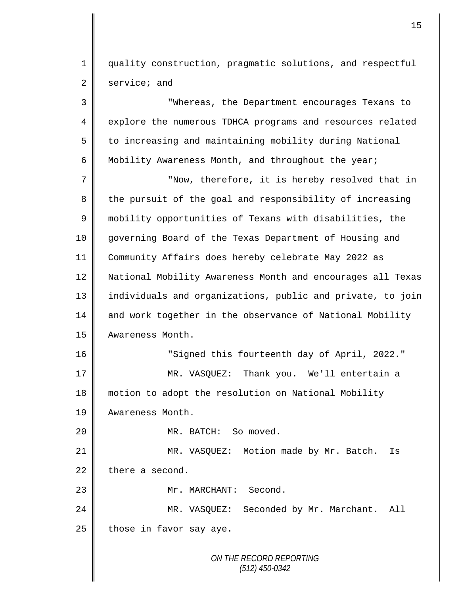1 || quality construction, pragmatic solutions, and respectful  $2 \parallel$  service; and

*ON THE RECORD REPORTING (512) 450-0342* 3 "Whereas, the Department encourages Texans to 4 explore the numerous TDHCA programs and resources related 5 to increasing and maintaining mobility during National 6 Mobility Awareness Month, and throughout the year; 7 || "Now, therefore, it is hereby resolved that in 8 the pursuit of the goal and responsibility of increasing 9 mobility opportunities of Texans with disabilities, the 10 governing Board of the Texas Department of Housing and 11 Community Affairs does hereby celebrate May 2022 as 12 National Mobility Awareness Month and encourages all Texas 13 individuals and organizations, public and private, to join 14 and work together in the observance of National Mobility 15 **Awareness Month.** 16 "Signed this fourteenth day of April, 2022." 17 || MR. VASQUEZ: Thank you. We'll entertain a 18 motion to adopt the resolution on National Mobility 19 Awareness Month. 20 || MR. BATCH: So moved. 21 | MR. VASQUEZ: Motion made by Mr. Batch. Is  $22$  there a second. 23 | Mr. MARCHANT: Second. 24 MR. VASQUEZ: Seconded by Mr. Marchant. All  $25$  those in favor say aye.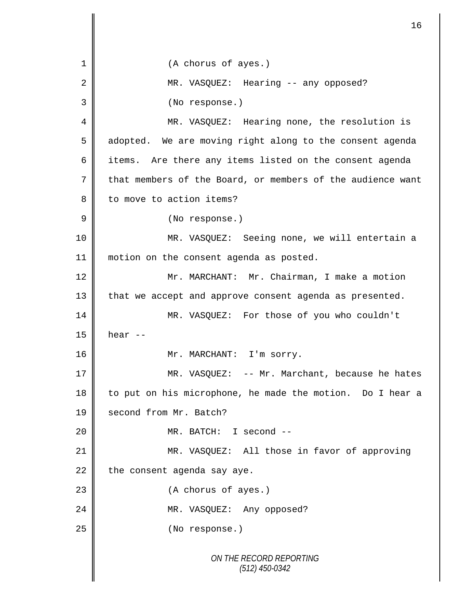*ON THE RECORD REPORTING (512) 450-0342* 1 || (A chorus of ayes.) 2 MR. VASOUEZ: Hearing -- any opposed? 3 (No response.) 4 || MR. VASQUEZ: Hearing none, the resolution is 5 adopted. We are moving right along to the consent agenda 6 items. Are there any items listed on the consent agenda 7 that members of the Board, or members of the audience want 8 | to move to action items? 9 || (No response.) 10 MR. VASQUEZ: Seeing none, we will entertain a 11 || motion on the consent agenda as posted. 12 | Mr. MARCHANT: Mr. Chairman, I make a motion  $13$  | that we accept and approve consent agenda as presented. 14 MR. VASQUEZ: For those of you who couldn't  $15 \parallel$  hear  $-$ 16 || Mr. MARCHANT: I'm sorry. 17 || MR. VASOUEZ: -- Mr. Marchant, because he hates 18 | to put on his microphone, he made the motion. Do I hear a 19 **Second from Mr. Batch?** 20 || MR. BATCH: I second --21 || MR. VASQUEZ: All those in favor of approving  $22$  the consent agenda say aye. 23 || (A chorus of ayes.) 24 || MR. VASQUEZ: Any opposed? 25 No response.)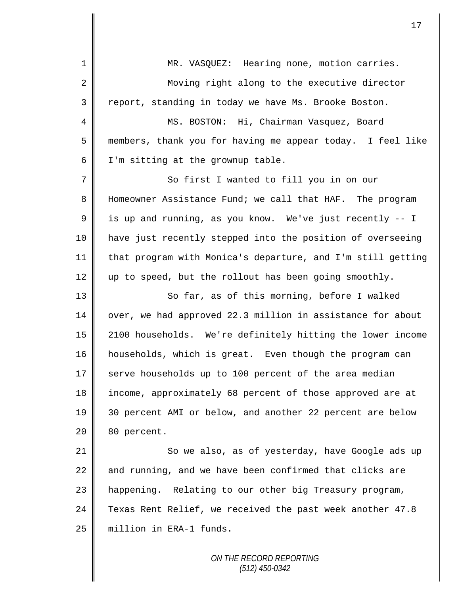| $\mathbf 1$    | MR. VASQUEZ: Hearing none, motion carries.                  |
|----------------|-------------------------------------------------------------|
| 2              | Moving right along to the executive director                |
| 3              | report, standing in today we have Ms. Brooke Boston.        |
| 4              | MS. BOSTON: Hi, Chairman Vasquez, Board                     |
| 5              | members, thank you for having me appear today. I feel like  |
| 6              | I'm sitting at the grownup table.                           |
| $\overline{7}$ | So first I wanted to fill you in on our                     |
| 8              | Homeowner Assistance Fund; we call that HAF. The program    |
| $\mathsf 9$    | is up and running, as you know. We've just recently -- I    |
| 10             | have just recently stepped into the position of overseeing  |
| 11             | that program with Monica's departure, and I'm still getting |
| 12             | up to speed, but the rollout has been going smoothly.       |
| 13             | So far, as of this morning, before I walked                 |
| 14             | over, we had approved 22.3 million in assistance for about  |
| 15             | 2100 households. We're definitely hitting the lower income  |
| 16             | households, which is great. Even though the program can     |
| 17             | serve households up to 100 percent of the area median       |
| 18             | income, approximately 68 percent of those approved are at   |
| 19             | 30 percent AMI or below, and another 22 percent are below   |
| 20             | 80 percent.                                                 |
| 21             | So we also, as of yesterday, have Google ads up             |
| 22             | and running, and we have been confirmed that clicks are     |
| 23             | happening. Relating to our other big Treasury program,      |
| 24             | Texas Rent Relief, we received the past week another 47.8   |
| 25             | million in ERA-1 funds.                                     |
|                |                                                             |

I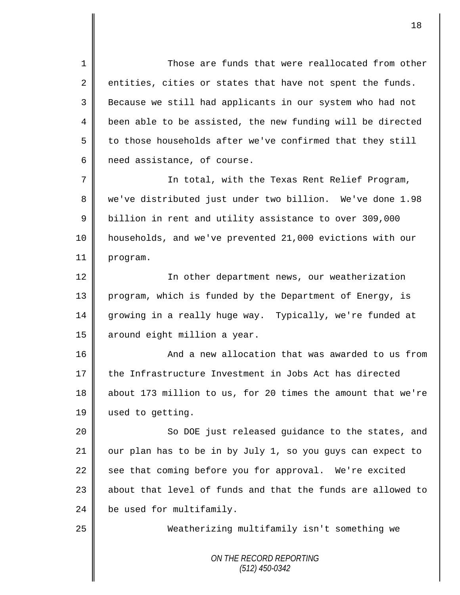1  $\parallel$  Those are funds that were reallocated from other  $2 \parallel$  entities, cities or states that have not spent the funds. 3 Because we still had applicants in our system who had not 4 been able to be assisted, the new funding will be directed  $5 \parallel$  to those households after we've confirmed that they still  $6 \parallel$  need assistance, of course.

7 In total, with the Texas Rent Relief Program, 8 || we've distributed just under two billion. We've done 1.98 9 | billion in rent and utility assistance to over 309,000 10 households, and we've prevented 21,000 evictions with our 11 program.

12 | In other department news, our weatherization 13 || program, which is funded by the Department of Energy, is 14 growing in a really huge way. Typically, we're funded at 15 | around eight million a year.

16 || And a new allocation that was awarded to us from 17 the Infrastructure Investment in Jobs Act has directed 18 about 173 million to us, for 20 times the amount that we're 19 | used to getting.

20 || So DOE just released guidance to the states, and 21 our plan has to be in by July 1, so you guys can expect to 22 see that coming before you for approval. We're excited  $23$  || about that level of funds and that the funds are allowed to  $24$   $\parallel$  be used for multifamily.

25 Weatherizing multifamily isn't something we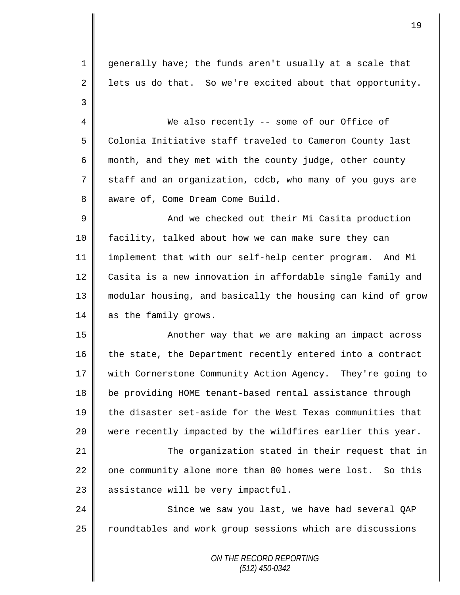1 generally have; the funds aren't usually at a scale that 2 | lets us do that. So we're excited about that opportunity. 3 4 We also recently -- some of our Office of 5 Colonia Initiative staff traveled to Cameron County last 6 month, and they met with the county judge, other county  $7 \parallel$  staff and an organization, cdcb, who many of you guys are 8 aware of, Come Dream Come Build. 9 And we checked out their Mi Casita production 10 facility, talked about how we can make sure they can 11 implement that with our self-help center program. And Mi 12 Casita is a new innovation in affordable single family and 13 modular housing, and basically the housing can kind of grow 14 as the family grows. 15 || Another way that we are making an impact across  $16$  | the state, the Department recently entered into a contract 17 || with Cornerstone Community Action Agency. They're going to 18 | be providing HOME tenant-based rental assistance through 19 the disaster set-aside for the West Texas communities that 20  $\parallel$  were recently impacted by the wildfires earlier this year. 21 || The organization stated in their request that in 22 one community alone more than 80 homes were lost. So this  $23$  assistance will be very impactful. 24 Since we saw you last, we have had several OAP 25 | roundtables and work group sessions which are discussions

> *ON THE RECORD REPORTING (512) 450-0342*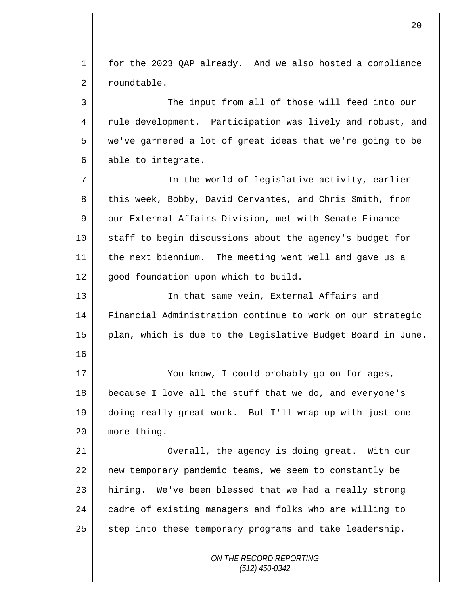1 for the 2023 QAP already. And we also hosted a compliance 2 roundtable.

3 || The input from all of those will feed into our 4 || rule development. Participation was lively and robust, and 5 we've garnered a lot of great ideas that we're going to be  $6 \parallel$  able to integrate.

7 In the world of legislative activity, earlier 8 this week, Bobby, David Cervantes, and Chris Smith, from 9 our External Affairs Division, met with Senate Finance 10 staff to begin discussions about the agency's budget for 11 the next biennium. The meeting went well and gave us a 12 good foundation upon which to build.

13 || In that same vein, External Affairs and 14 Financial Administration continue to work on our strategic 15 plan, which is due to the Legislative Budget Board in June.

17 || You know, I could probably go on for ages, 18 because I love all the stuff that we do, and everyone's 19 doing really great work. But I'll wrap up with just one 20 | more thing.

16

21 || Overall, the agency is doing great. With our 22 new temporary pandemic teams, we seem to constantly be 23 | hiring. We've been blessed that we had a really strong 24 cadre of existing managers and folks who are willing to  $25$  step into these temporary programs and take leadership.

> *ON THE RECORD REPORTING (512) 450-0342*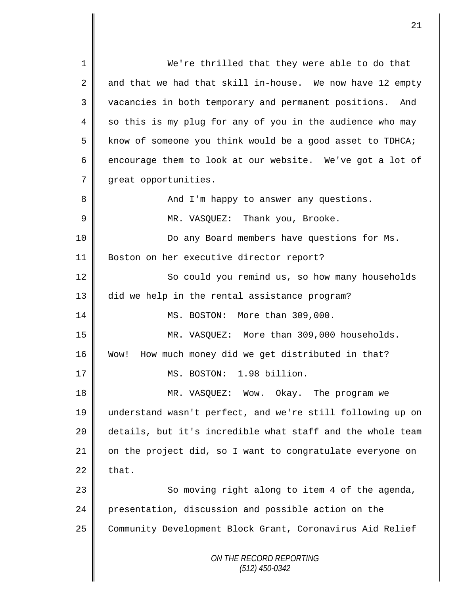*ON THE RECORD REPORTING (512) 450-0342* 1 || We're thrilled that they were able to do that 2 and that we had that skill in-house. We now have 12 empty 3 | vacancies in both temporary and permanent positions. And 4 so this is my plug for any of you in the audience who may 5 | know of someone you think would be a good asset to TDHCA; 6 encourage them to look at our website. We've got a lot of 7 | great opportunities. 8 And I'm happy to answer any questions. 9 MR. VASQUEZ: Thank you, Brooke. 10 || Do any Board members have questions for Ms. 11 Boston on her executive director report? 12 So could you remind us, so how many households 13 did we help in the rental assistance program? 14 || MS. BOSTON: More than 309,000. 15 MR. VASQUEZ: More than 309,000 households. 16 Wow! How much money did we get distributed in that? 17 MS. BOSTON: 1.98 billion. 18 MR. VASQUEZ: Wow. Okay. The program we 19 understand wasn't perfect, and we're still following up on 20 details, but it's incredible what staff and the whole team  $21$  on the project did, so I want to congratulate everyone on  $22 \parallel$  that. 23 || So moving right along to item 4 of the agenda, 24 presentation, discussion and possible action on the 25 Community Development Block Grant, Coronavirus Aid Relief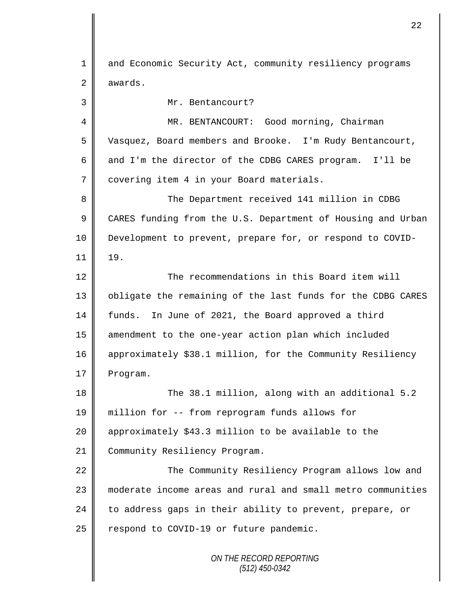*ON THE RECORD REPORTING (512) 450-0342* 1 and Economic Security Act, community resiliency programs  $2 \parallel$  awards. 3 Mr. Bentancourt? 4 MR. BENTANCOURT: Good morning, Chairman 5 Vasquez, Board members and Brooke. I'm Rudy Bentancourt, 6  $\parallel$  and I'm the director of the CDBG CARES program. I'll be 7 covering item 4 in your Board materials. 8 The Department received 141 million in CDBG 9 CARES funding from the U.S. Department of Housing and Urban 10 Development to prevent, prepare for, or respond to COVID- $11 \parallel 19.$ 12 The recommendations in this Board item will 13 | obligate the remaining of the last funds for the CDBG CARES 14 funds. In June of 2021, the Board approved a third 15 amendment to the one-year action plan which included 16 approximately \$38.1 million, for the Community Resiliency 17 Program. 18 The 38.1 million, along with an additional 5.2 19 million for -- from reprogram funds allows for 20  $\parallel$  approximately \$43.3 million to be available to the 21 Community Resiliency Program. 22 | The Community Resiliency Program allows low and 23 || moderate income areas and rural and small metro communities 24  $\parallel$  to address gaps in their ability to prevent, prepare, or  $25$  respond to COVID-19 or future pandemic.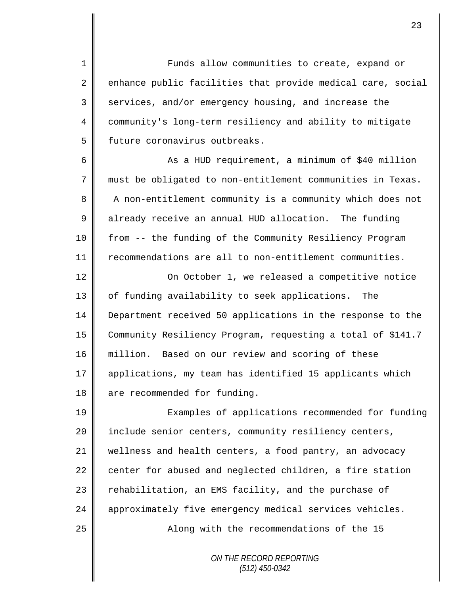1 || Funds allow communities to create, expand or 2 enhance public facilities that provide medical care, social  $3 \parallel$  services, and/or emergency housing, and increase the 4 community's long-term resiliency and ability to mitigate 5 | future coronavirus outbreaks.

6 || As a HUD requirement, a minimum of \$40 million 7 must be obligated to non-entitlement communities in Texas. 8 A non-entitlement community is a community which does not 9 already receive an annual HUD allocation. The funding 10 from -- the funding of the Community Resiliency Program 11 recommendations are all to non-entitlement communities.

12 | On October 1, we released a competitive notice 13 || of funding availability to seek applications. The 14 Department received 50 applications in the response to the 15 Community Resiliency Program, requesting a total of \$141.7 16 million. Based on our review and scoring of these 17 || applications, my team has identified 15 applicants which 18 || are recommended for funding.

19 || Examples of applications recommended for funding 20 | include senior centers, community resiliency centers, 21 wellness and health centers, a food pantry, an advocacy  $22$  center for abused and neglected children, a fire station 23 | rehabilitation, an EMS facility, and the purchase of 24 | approximately five emergency medical services vehicles. 25 | Along with the recommendations of the 15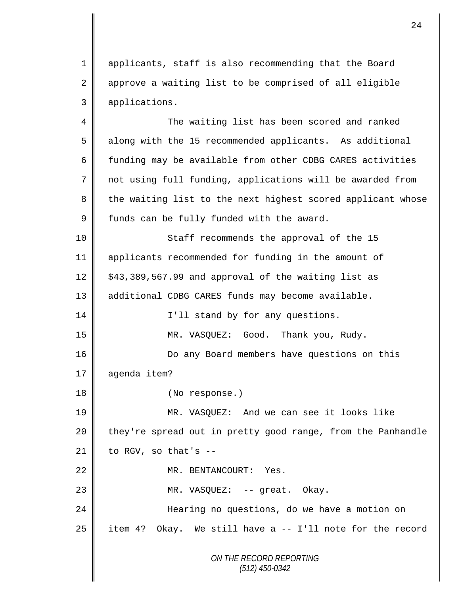1 applicants, staff is also recommending that the Board 2 approve a waiting list to be comprised of all eligible 3 applications.

4 The waiting list has been scored and ranked 5 along with the 15 recommended applicants. As additional 6  $\parallel$  funding may be available from other CDBG CARES activities 7 not using full funding, applications will be awarded from 8 the waiting list to the next highest scored applicant whose  $9 \parallel$  funds can be fully funded with the award. 10 || Staff recommends the approval of the 15 11 applicants recommended for funding in the amount of  $12 \parallel$  \$43,389,567.99 and approval of the waiting list as

13 || additional CDBG CARES funds may become available.

14 || I'll stand by for any questions. 15 MR. VASQUEZ: Good. Thank you, Rudy.

16 || Do any Board members have questions on this

17 | agenda item?

18 || (No response.)

19 || MR. VASQUEZ: And we can see it looks like 20 they're spread out in pretty good range, from the Panhandle  $21$  | to RGV, so that's --

22  $\parallel$  MR. BENTANCOURT: Yes.

23 || MR. VASQUEZ: -- great. Okay.

24 Hearing no questions, do we have a motion on  $25$  item 4? Okay. We still have a -- I'll note for the record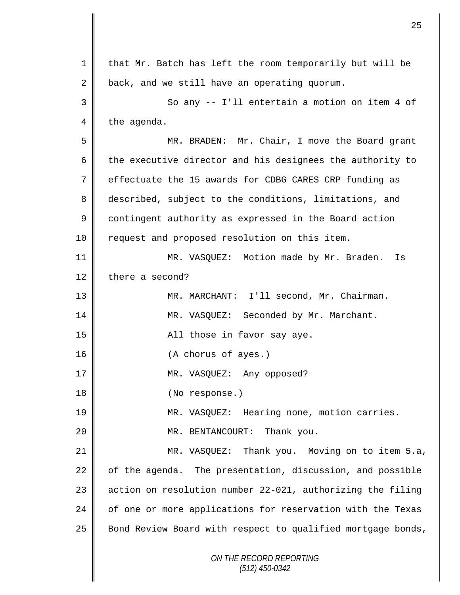| $\mathbf 1$ | that Mr. Batch has left the room temporarily but will be    |
|-------------|-------------------------------------------------------------|
| 2           | back, and we still have an operating quorum.                |
| 3           | So any -- I'll entertain a motion on item 4 of              |
| 4           | the agenda.                                                 |
| 5           | MR. BRADEN: Mr. Chair, I move the Board grant               |
| 6           | the executive director and his designees the authority to   |
| 7           | effectuate the 15 awards for CDBG CARES CRP funding as      |
| 8           | described, subject to the conditions, limitations, and      |
| 9           | contingent authority as expressed in the Board action       |
| 10          | request and proposed resolution on this item.               |
| 11          | MR. VASQUEZ: Motion made by Mr. Braden.<br>Is               |
| 12          | there a second?                                             |
| 13          | MR. MARCHANT: I'll second, Mr. Chairman.                    |
| 14          | MR. VASQUEZ: Seconded by Mr. Marchant.                      |
| 15          | All those in favor say aye.                                 |
| 16          | (A chorus of ayes.)                                         |
| 17          | MR. VASQUEZ: Any opposed?                                   |
| 18          | (No response.)                                              |
| 19          | MR. VASQUEZ: Hearing none, motion carries.                  |
| 20          | MR. BENTANCOURT: Thank you.                                 |
| 21          | MR. VASQUEZ: Thank you. Moving on to item 5.a,              |
| 22          | of the agenda. The presentation, discussion, and possible   |
| 23          | action on resolution number 22-021, authorizing the filing  |
| 24          | of one or more applications for reservation with the Texas  |
| 25          | Bond Review Board with respect to qualified mortgage bonds, |
|             | ON THE RECORD REPORTING<br>$(512)$ 450-0342                 |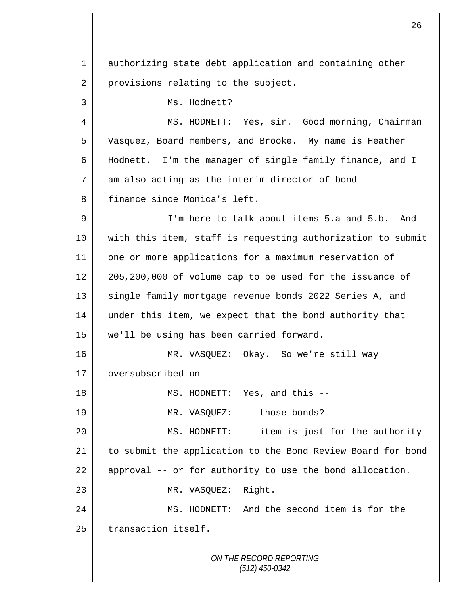*ON THE RECORD REPORTING (512) 450-0342* 1 authorizing state debt application and containing other 2 provisions relating to the subject. 3 || Ms. Hodnett? 4 || MS. HODNETT: Yes, sir. Good morning, Chairman 5 Vasquez, Board members, and Brooke. My name is Heather 6 Hodnett. I'm the manager of single family finance, and I  $7 \parallel$  am also acting as the interim director of bond 8 finance since Monica's left. 9 I'm here to talk about items 5.a and 5.b. And 10 with this item, staff is requesting authorization to submit 11 | one or more applications for a maximum reservation of 12  $\parallel$  205,200,000 of volume cap to be used for the issuance of 13 | single family mortgage revenue bonds 2022 Series A, and 14 under this item, we expect that the bond authority that 15 we'll be using has been carried forward. 16 MR. VASQUEZ: Okay. So we're still way 17 | oversubscribed on --18 || MS. HODNETT: Yes, and this --19 || MR. VASQUEZ: -- those bonds? 20 | MS. HODNETT: -- item is just for the authority 21 | to submit the application to the Bond Review Board for bond 22  $\parallel$  approval -- or for authority to use the bond allocation. 23 || MR. VASQUEZ: Right. 24 MS. HODNETT: And the second item is for the  $25$  | transaction itself.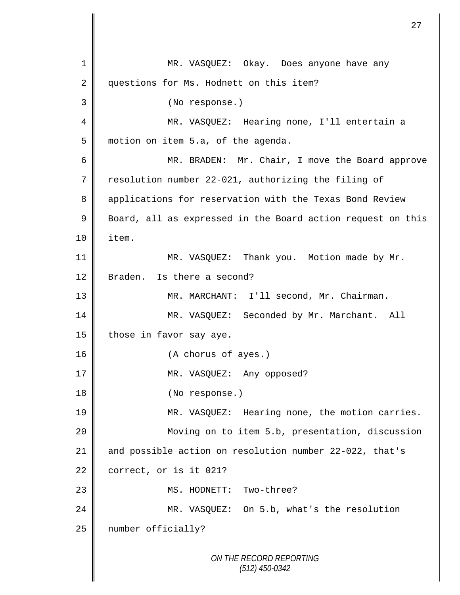*ON THE RECORD REPORTING (512) 450-0342* 1 MR. VASQUEZ: Okay. Does anyone have any 2 questions for Ms. Hodnett on this item? 3 (No response.) 4 MR. VASQUEZ: Hearing none, I'll entertain a 5 motion on item 5.a, of the agenda. 6 || MR. BRADEN: Mr. Chair, I move the Board approve 7 resolution number 22-021, authorizing the filing of 8 applications for reservation with the Texas Bond Review 9 Board, all as expressed in the Board action request on this 10 item. 11 || MR. VASQUEZ: Thank you. Motion made by Mr. 12 Braden. Is there a second? 13 MR. MARCHANT: I'll second, Mr. Chairman. 14 MR. VASQUEZ: Seconded by Mr. Marchant. All 15 | those in favor say aye. 16 (A chorus of ayes.) 17 || MR. VASQUEZ: Any opposed? 18 **(No response.)** 19 MR. VASQUEZ: Hearing none, the motion carries. 20 Moving on to item 5.b, presentation, discussion 21 and possible action on resolution number 22-022, that's  $22$  correct, or is it 021? 23 || MS. HODNETT: Two-three? 24 MR. VASQUEZ: On 5.b, what's the resolution 25 | number officially?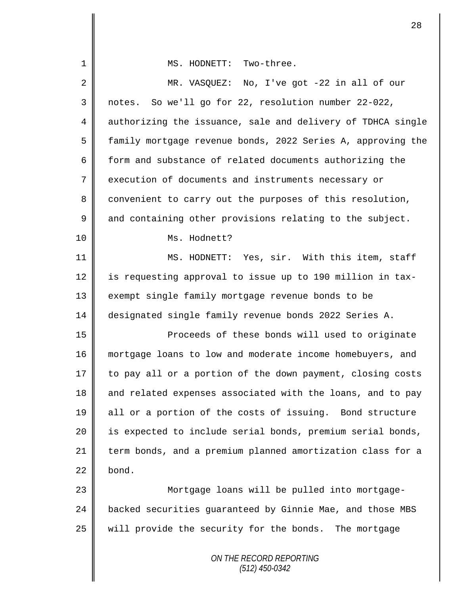| $\mathbf 1$    | MS. HODNETT: Two-three.                                     |
|----------------|-------------------------------------------------------------|
| $\overline{2}$ | MR. VASQUEZ: No, I've got -22 in all of our                 |
| 3              | notes. So we'll go for 22, resolution number 22-022,        |
| 4              | authorizing the issuance, sale and delivery of TDHCA single |
| 5              | family mortgage revenue bonds, 2022 Series A, approving the |
| 6              | form and substance of related documents authorizing the     |
| 7              | execution of documents and instruments necessary or         |
| 8              | convenient to carry out the purposes of this resolution,    |
| 9              | and containing other provisions relating to the subject.    |
| 10             | Ms. Hodnett?                                                |
| 11             | MS. HODNETT: Yes, sir. With this item, staff                |
| 12             | is requesting approval to issue up to 190 million in tax-   |
| 13             | exempt single family mortgage revenue bonds to be           |
| 14             | designated single family revenue bonds 2022 Series A.       |
| 15             | Proceeds of these bonds will used to originate              |
| 16             | mortgage loans to low and moderate income homebuyers, and   |
| 17             | to pay all or a portion of the down payment, closing costs  |
| 18             | and related expenses associated with the loans, and to pay  |
| 19             | all or a portion of the costs of issuing. Bond structure    |
| 20             | is expected to include serial bonds, premium serial bonds,  |
| 21             | term bonds, and a premium planned amortization class for a  |
| 22             | bond.                                                       |
| 23             | Mortgage loans will be pulled into mortgage-                |
| 24             | backed securities guaranteed by Ginnie Mae, and those MBS   |
| 25             | will provide the security for the bonds. The mortgage       |
|                | ON THE RECORD REPORTING<br>$(512)$ 450-0342                 |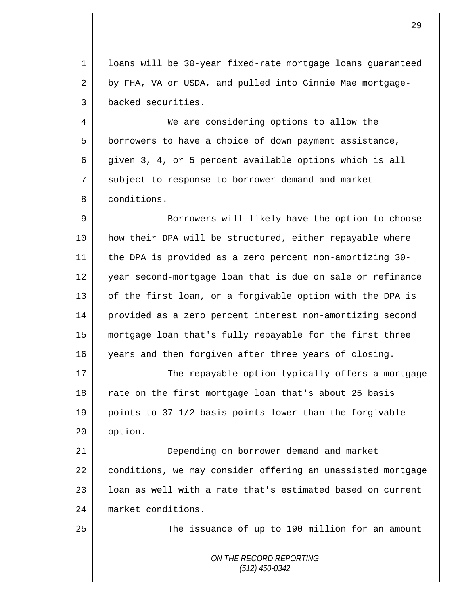1 loans will be 30-year fixed-rate mortgage loans guaranteed 2 by FHA, VA or USDA, and pulled into Ginnie Mae mortgage-3 backed securities.

4 We are considering options to allow the 5 borrowers to have a choice of down payment assistance, 6 given 3, 4, or 5 percent available options which is all 7 subject to response to borrower demand and market 8 **conditions**.

9 || Borrowers will likely have the option to choose 10 how their DPA will be structured, either repayable where 11 the DPA is provided as a zero percent non-amortizing 30- 12 year second-mortgage loan that is due on sale or refinance 13 | of the first loan, or a forgivable option with the DPA is 14 provided as a zero percent interest non-amortizing second 15 mortgage loan that's fully repayable for the first three 16 years and then forgiven after three years of closing.

17 The repayable option typically offers a mortgage 18 Trate on the first mortgage loan that's about 25 basis 19 points to 37-1/2 basis points lower than the forgivable  $20$  | option.

21 **Depending on borrower demand and market** 22 conditions, we may consider offering an unassisted mortgage 23 | loan as well with a rate that's estimated based on current 24 market conditions.

25 | The issuance of up to 190 million for an amount

*ON THE RECORD REPORTING (512) 450-0342*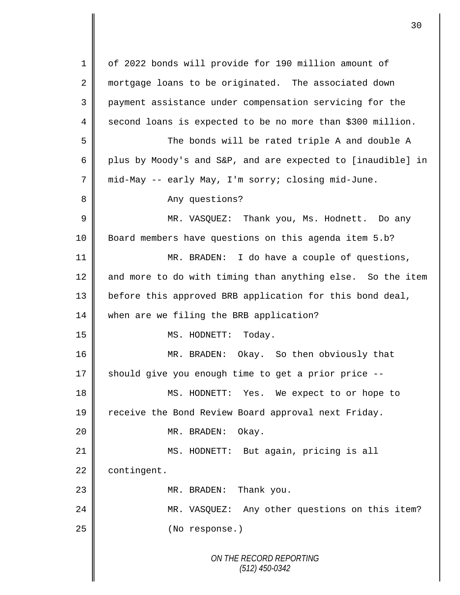*ON THE RECORD REPORTING (512) 450-0342* 1 of 2022 bonds will provide for 190 million amount of 2 mortgage loans to be originated. The associated down 3 payment assistance under compensation servicing for the  $4 \parallel$  second loans is expected to be no more than \$300 million. 5 The bonds will be rated triple A and double A 6 plus by Moody's and S&P, and are expected to [inaudible] in 7 mid-May -- early May, I'm sorry; closing mid-June. 8 Any questions? 9 MR. VASQUEZ: Thank you, Ms. Hodnett. Do any 10 Board members have questions on this agenda item 5.b? 11 MR. BRADEN: I do have a couple of questions, 12  $\parallel$  and more to do with timing than anything else. So the item 13 | before this approved BRB application for this bond deal, 14 when are we filing the BRB application? 15 || MS. HODNETT: Today. 16 MR. BRADEN: Okay. So then obviously that  $17$  should give you enough time to get a prior price  $-$ -18 || MS. HODNETT: Yes. We expect to or hope to 19 Teceive the Bond Review Board approval next Friday. 20 MR. BRADEN: Okay. 21 || MS. HODNETT: But again, pricing is all 22 contingent. 23 || MR. BRADEN: Thank you. 24 MR. VASQUEZ: Any other questions on this item? 25 **(No response.)**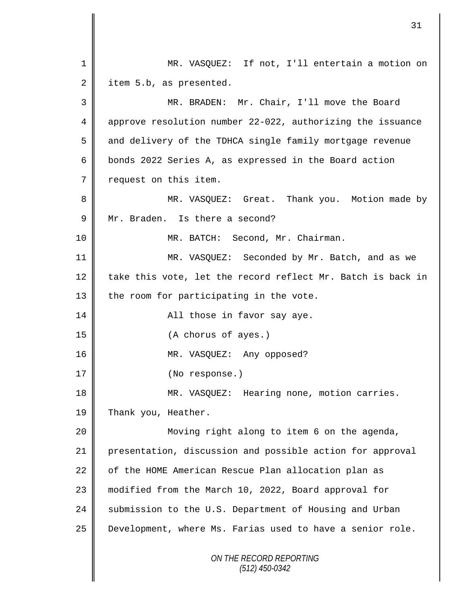|                | 31                                                          |
|----------------|-------------------------------------------------------------|
| $\mathbf 1$    | MR. VASQUEZ: If not, I'll entertain a motion on             |
| 2              | item 5.b, as presented.                                     |
| 3              | MR. BRADEN: Mr. Chair, I'll move the Board                  |
| 4              | approve resolution number 22-022, authorizing the issuance  |
| 5              | and delivery of the TDHCA single family mortgage revenue    |
| 6              | bonds 2022 Series A, as expressed in the Board action       |
| $\overline{7}$ | request on this item.                                       |
| 8              | MR. VASQUEZ: Great. Thank you. Motion made by               |
| $\mathsf 9$    | Mr. Braden. Is there a second?                              |
| 10             | MR. BATCH: Second, Mr. Chairman.                            |
| 11             | MR. VASQUEZ: Seconded by Mr. Batch, and as we               |
| 12             | take this vote, let the record reflect Mr. Batch is back in |
| 13             | the room for participating in the vote.                     |
| 14             | All those in favor say aye.                                 |
| 15             | (A chorus of ayes.)                                         |
| 16             | MR. VASQUEZ: Any opposed?                                   |
| 17             | (No response.)                                              |
| 18             | MR. VASQUEZ: Hearing none, motion carries.                  |
| 19             | Thank you, Heather.                                         |
| 20             | Moving right along to item 6 on the agenda,                 |
| 21             | presentation, discussion and possible action for approval   |
| 22             | of the HOME American Rescue Plan allocation plan as         |
| 23             | modified from the March 10, 2022, Board approval for        |
| 24             | submission to the U.S. Department of Housing and Urban      |
| 25             | Development, where Ms. Farias used to have a senior role.   |
|                | ON THE RECORD REPORTING<br>$(512)$ 450-0342                 |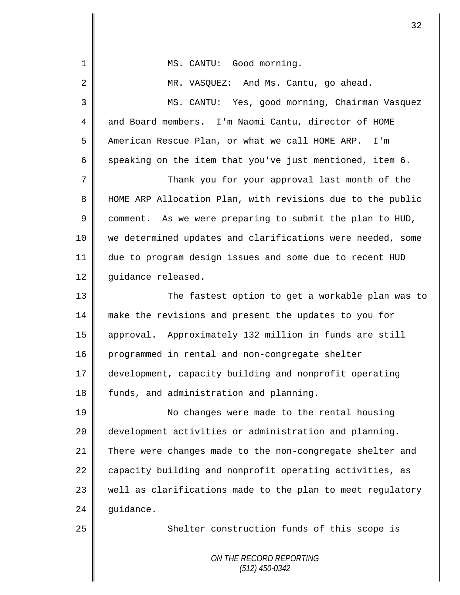| 1  | MS. CANTU: Good morning.                                   |
|----|------------------------------------------------------------|
| 2  | MR. VASQUEZ: And Ms. Cantu, go ahead.                      |
| 3  | MS. CANTU: Yes, good morning, Chairman Vasquez             |
| 4  | and Board members. I'm Naomi Cantu, director of HOME       |
| 5  | American Rescue Plan, or what we call HOME ARP. I'm        |
| 6  | speaking on the item that you've just mentioned, item 6.   |
| 7  | Thank you for your approval last month of the              |
| 8  | HOME ARP Allocation Plan, with revisions due to the public |
| 9  | comment. As we were preparing to submit the plan to HUD,   |
| 10 | we determined updates and clarifications were needed, some |
| 11 | due to program design issues and some due to recent HUD    |
| 12 | guidance released.                                         |
| 13 | The fastest option to get a workable plan was to           |
| 14 | make the revisions and present the updates to you for      |
| 15 | approval. Approximately 132 million in funds are still     |
| 16 | programmed in rental and non-congregate shelter            |
| 17 | development, capacity building and nonprofit operating     |
| 18 | funds, and administration and planning.                    |
| 19 | No changes were made to the rental housing                 |
| 20 | development activities or administration and planning.     |
| 21 | There were changes made to the non-congregate shelter and  |
| 22 | capacity building and nonprofit operating activities, as   |
| 23 | well as clarifications made to the plan to meet regulatory |
| 24 | guidance.                                                  |
| 25 | Shelter construction funds of this scope is                |
|    | ON THE RECORD REPORTING                                    |
|    | $(512)$ 450-0342                                           |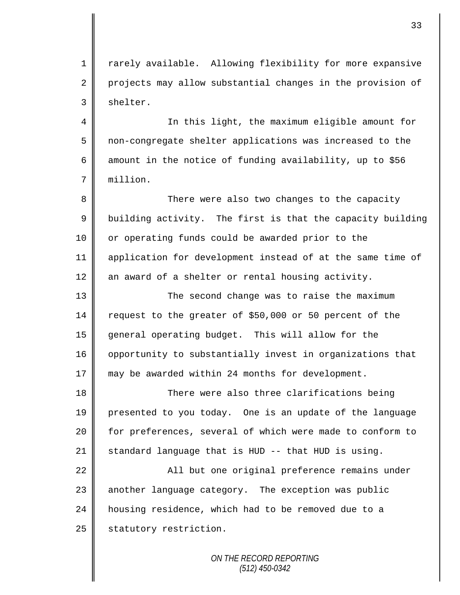1 | rarely available. Allowing flexibility for more expansive 2 projects may allow substantial changes in the provision of  $3 \parallel$  shelter.

4 || In this light, the maximum eligible amount for 5 non-congregate shelter applications was increased to the 6 amount in the notice of funding availability, up to \$56 7 million.

8 There were also two changes to the capacity  $9 \parallel$  building activity. The first is that the capacity building 10 | or operating funds could be awarded prior to the 11 application for development instead of at the same time of 12  $\parallel$  an award of a shelter or rental housing activity.

13 || The second change was to raise the maximum 14 request to the greater of \$50,000 or 50 percent of the 15 general operating budget. This will allow for the 16 | opportunity to substantially invest in organizations that 17 may be awarded within 24 months for development.

18 || There were also three clarifications being 19 presented to you today. One is an update of the language 20 | for preferences, several of which were made to conform to 21 Standard language that is HUD  $-$ - that HUD is using.

22 || All but one original preference remains under 23 another language category. The exception was public 24 housing residence, which had to be removed due to a 25 | statutory restriction.

> *ON THE RECORD REPORTING (512) 450-0342*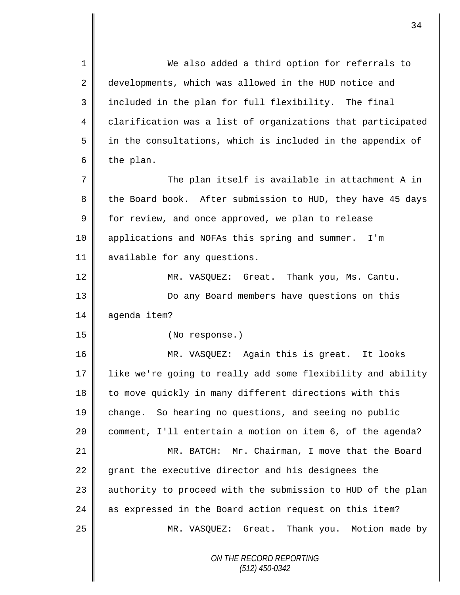*ON THE RECORD REPORTING (512) 450-0342* 1 We also added a third option for referrals to 2 developments, which was allowed in the HUD notice and 3 included in the plan for full flexibility. The final 4 clarification was a list of organizations that participated  $5 \parallel$  in the consultations, which is included in the appendix of 6 the plan. 7  $\parallel$  The plan itself is available in attachment A in 8 the Board book. After submission to HUD, they have 45 days  $9 \parallel$  for review, and once approved, we plan to release 10 applications and NOFAs this spring and summer. I'm 11 | available for any questions. 12 | MR. VASQUEZ: Great. Thank you, Ms. Cantu. 13 Do any Board members have questions on this 14 agenda item? 15 (No response.) 16 MR. VASQUEZ: Again this is great. It looks 17 like we're going to really add some flexibility and ability 18 to move quickly in many different directions with this 19 change. So hearing no questions, and seeing no public 20 comment, I'll entertain a motion on item 6, of the agenda? 21 MR. BATCH: Mr. Chairman, I move that the Board 22 grant the executive director and his designees the  $23$  | authority to proceed with the submission to HUD of the plan 24 as expressed in the Board action request on this item? 25 MR. VASQUEZ: Great. Thank you. Motion made by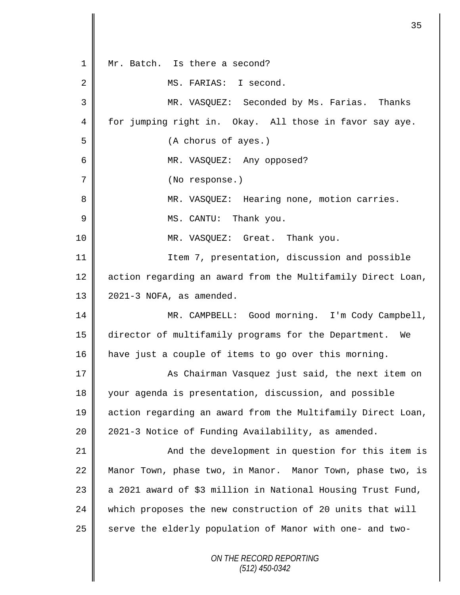*ON THE RECORD REPORTING (512) 450-0342* 1 || Mr. Batch. Is there a second? 2 | MS. FARIAS: I second. 3 MR. VASQUEZ: Seconded by Ms. Farias. Thanks 4 for jumping right in. Okay. All those in favor say aye. 5 (A chorus of ayes.) 6 MR. VASQUEZ: Any opposed? 7 (No response.) 8 || MR. VASQUEZ: Hearing none, motion carries. 9 | MS. CANTU: Thank you. 10 || MR. VASQUEZ: Great. Thank you. 11 | Item 7, presentation, discussion and possible 12 | action regarding an award from the Multifamily Direct Loan, 13  $\parallel$  2021-3 NOFA, as amended. 14 MR. CAMPBELL: Good morning. I'm Cody Campbell, 15 director of multifamily programs for the Department. We 16 have just a couple of items to go over this morning. 17 | As Chairman Vasquez just said, the next item on 18 your agenda is presentation, discussion, and possible 19 action regarding an award from the Multifamily Direct Loan, 20 | 2021-3 Notice of Funding Availability, as amended. 21 || And the development in question for this item is 22 Manor Town, phase two, in Manor. Manor Town, phase two, is 23  $\parallel$  a 2021 award of \$3 million in National Housing Trust Fund, 24 which proposes the new construction of 20 units that will 25  $\parallel$  serve the elderly population of Manor with one- and two-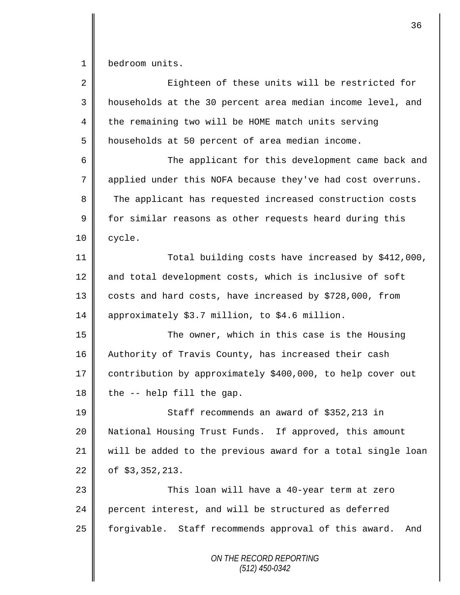1 bedroom units.

| $\overline{a}$ | Eighteen of these units will be restricted for              |
|----------------|-------------------------------------------------------------|
| 3              | households at the 30 percent area median income level, and  |
| 4              | the remaining two will be HOME match units serving          |
| 5              | households at 50 percent of area median income.             |
| 6              | The applicant for this development came back and            |
| 7              | applied under this NOFA because they've had cost overruns.  |
| 8              | The applicant has requested increased construction costs    |
| $\mathsf 9$    | for similar reasons as other requests heard during this     |
| 10             | cycle.                                                      |
| 11             | Total building costs have increased by \$412,000,           |
| 12             | and total development costs, which is inclusive of soft     |
| 13             | costs and hard costs, have increased by \$728,000, from     |
| 14             | approximately \$3.7 million, to \$4.6 million.              |
| 15             | The owner, which in this case is the Housing                |
| 16             | Authority of Travis County, has increased their cash        |
| 17             | contribution by approximately \$400,000, to help cover out  |
| 18             | the -- help fill the gap.                                   |
| 19             | Staff recommends an award of \$352,213 in                   |
| 20             | National Housing Trust Funds. If approved, this amount      |
| 21             | will be added to the previous award for a total single loan |
| 22             | of $$3,352,213$ .                                           |
| 23             | This loan will have a 40-year term at zero                  |
| 24             | percent interest, and will be structured as deferred        |
| 25             | forgivable. Staff recommends approval of this award.<br>And |
|                | ON THE RECORD REPORTING<br>$(512)$ 450-0342                 |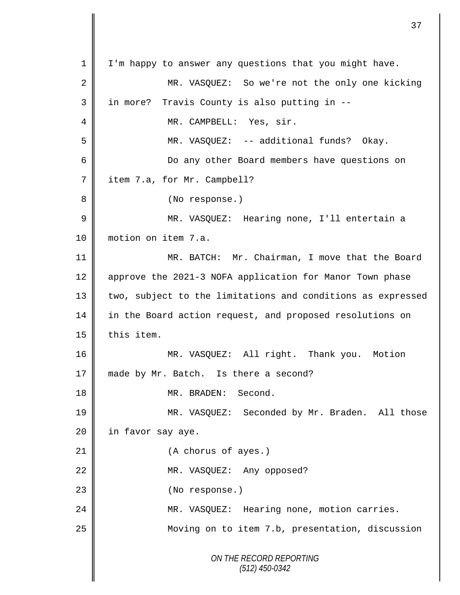*ON THE RECORD REPORTING (512) 450-0342* 1 | I'm happy to answer any questions that you might have. 2 MR. VASQUEZ: So we're not the only one kicking 3 | in more? Travis County is also putting in --4 | MR. CAMPBELL: Yes, sir. 5 MR. VASQUEZ: -- additional funds? Okay. 6 Do any other Board members have questions on 7 | item 7.a, for Mr. Campbell? 8 || (No response.) 9 || MR. VASQUEZ: Hearing none, I'll entertain a 10 motion on item 7.a. 11 MR. BATCH: Mr. Chairman, I move that the Board 12 | approve the 2021-3 NOFA application for Manor Town phase 13 || two, subject to the limitations and conditions as expressed 14 in the Board action request, and proposed resolutions on  $15$  | this item. 16 MR. VASQUEZ: All right. Thank you. Motion 17 made by Mr. Batch. Is there a second? 18 NR. BRADEN: Second. 19 MR. VASQUEZ: Seconded by Mr. Braden. All those 20 | in favor say aye. 21 (A chorus of ayes.) 22 || MR. VASQUEZ: Any opposed? 23 || (No response.) 24 MR. VASQUEZ: Hearing none, motion carries. 25 Moving on to item 7.b, presentation, discussion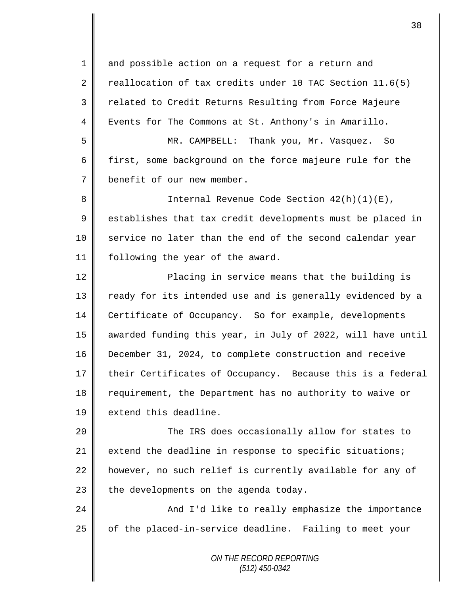1 and possible action on a request for a return and 2 reallocation of tax credits under 10 TAC Section 11.6(5) 3 || related to Credit Returns Resulting from Force Majeure 4 Events for The Commons at St. Anthony's in Amarillo.

5 MR. CAMPBELL: Thank you, Mr. Vasquez. So 6 first, some background on the force majeure rule for the 7 benefit of our new member.

8 || Internal Revenue Code Section 42(h)(1)(E),  $9 \parallel$  establishes that tax credit developments must be placed in 10 service no later than the end of the second calendar year 11 following the year of the award.

12 ||<br>
Placing in service means that the building is 13 || ready for its intended use and is generally evidenced by a 14 Certificate of Occupancy. So for example, developments 15 || awarded funding this year, in July of 2022, will have until 16 December 31, 2024, to complete construction and receive 17 their Certificates of Occupancy. Because this is a federal 18 Tequirement, the Department has no authority to waive or 19 **||** extend this deadline.

 The IRS does occasionally allow for states to  $\parallel$  extend the deadline in response to specific situations; 22 however, no such relief is currently available for any of | the developments on the agenda today.

24 | And I'd like to really emphasize the importance 25 | of the placed-in-service deadline. Failing to meet your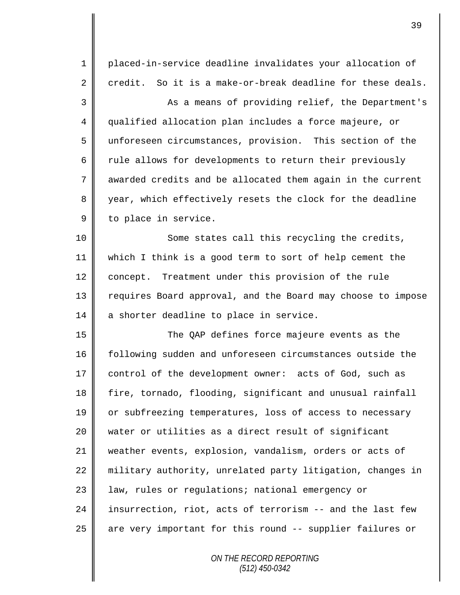| 1  | placed-in-service deadline invalidates your allocation of   |
|----|-------------------------------------------------------------|
| 2  | credit. So it is a make-or-break deadline for these deals.  |
| 3  | As a means of providing relief, the Department's            |
| 4  | qualified allocation plan includes a force majeure, or      |
| 5  | unforeseen circumstances, provision. This section of the    |
| 6  | rule allows for developments to return their previously     |
| 7  | awarded credits and be allocated them again in the current  |
| 8  | year, which effectively resets the clock for the deadline   |
| 9  | to place in service.                                        |
| 10 | Some states call this recycling the credits,                |
| 11 | which I think is a good term to sort of help cement the     |
| 12 | concept. Treatment under this provision of the rule         |
| 13 | requires Board approval, and the Board may choose to impose |
| 14 | a shorter deadline to place in service.                     |
| 15 | The QAP defines force majeure events as the                 |
| 16 | following sudden and unforeseen circumstances outside the   |
| 17 | control of the development owner: acts of God, such as      |
| 18 | fire, tornado, flooding, significant and unusual rainfall   |
| 19 | or subfreezing temperatures, loss of access to necessary    |
| 20 | water or utilities as a direct result of significant        |
| 21 | weather events, explosion, vandalism, orders or acts of     |
| 22 | military authority, unrelated party litigation, changes in  |
| 23 | law, rules or regulations; national emergency or            |
| 24 | insurrection, riot, acts of terrorism -- and the last few   |
| 25 | are very important for this round -- supplier failures or   |
|    |                                                             |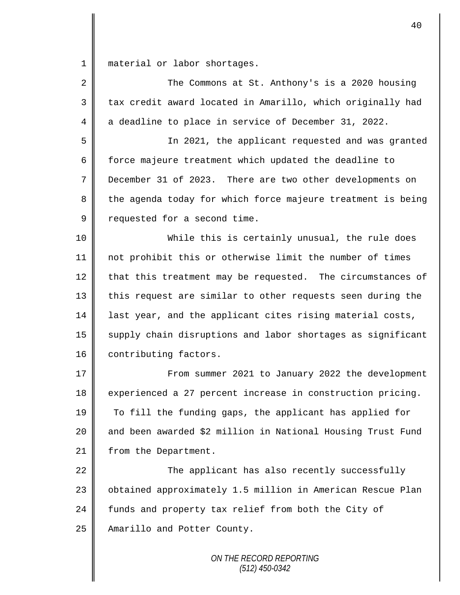1 | material or labor shortages.

| $\overline{2}$ | The Commons at St. Anthony's is a 2020 housing              |
|----------------|-------------------------------------------------------------|
| 3              | tax credit award located in Amarillo, which originally had  |
| 4              | a deadline to place in service of December 31, 2022.        |
| 5              | In 2021, the applicant requested and was granted            |
| 6              | force majeure treatment which updated the deadline to       |
| 7              | December 31 of 2023. There are two other developments on    |
| 8              | the agenda today for which force majeure treatment is being |
| 9              | requested for a second time.                                |
| 10             | While this is certainly unusual, the rule does              |
| 11             | not prohibit this or otherwise limit the number of times    |
| 12             | that this treatment may be requested. The circumstances of  |
| 13             | this request are similar to other requests seen during the  |
| 14             | last year, and the applicant cites rising material costs,   |
| 15             | supply chain disruptions and labor shortages as significant |
| 16             | contributing factors.                                       |
| 17             | From summer 2021 to January 2022 the development            |
| 18             | experienced a 27 percent increase in construction pricing.  |
| 19             | To fill the funding gaps, the applicant has applied for     |
| 20             | and been awarded \$2 million in National Housing Trust Fund |
| 21             | from the Department.                                        |
| 22             | The applicant has also recently successfully                |
| 23             | obtained approximately 1.5 million in American Rescue Plan  |
| 24             | funds and property tax relief from both the City of         |
| 25             | Amarillo and Potter County.                                 |
|                |                                                             |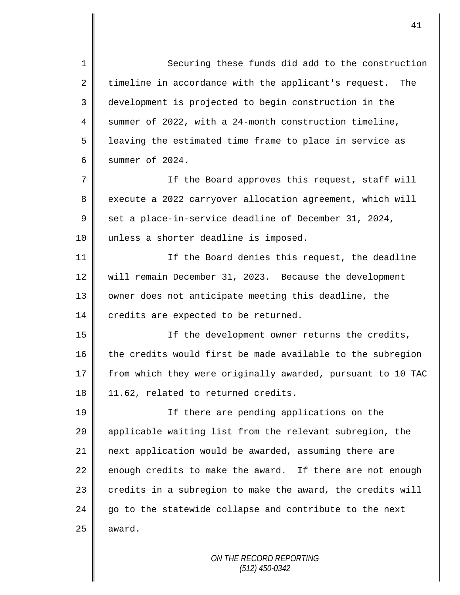1 Securing these funds did add to the construction  $2 \parallel$  timeline in accordance with the applicant's request. The 3 development is projected to begin construction in the 4 Summer of 2022, with a 24-month construction timeline, 5 | leaving the estimated time frame to place in service as 6 Summer of  $2024$ . 7 || If the Board approves this request, staff will 8 execute a 2022 carryover allocation agreement, which will 9  $\parallel$  set a place-in-service deadline of December 31, 2024, 10 unless a shorter deadline is imposed. 11 | If the Board denies this request, the deadline 12 Will remain December 31, 2023. Because the development 13 || owner does not anticipate meeting this deadline, the 14 credits are expected to be returned. 15 If the development owner returns the credits, 16 the credits would first be made available to the subregion 17 | from which they were originally awarded, pursuant to 10 TAC 18 | 11.62, related to returned credits. 19 || If there are pending applications on the 20 || applicable waiting list from the relevant subregion, the 21 next application would be awarded, assuming there are 22 enough credits to make the award. If there are not enough 23  $\parallel$  credits in a subregion to make the award, the credits will  $24$  go to the statewide collapse and contribute to the next  $25$  | award.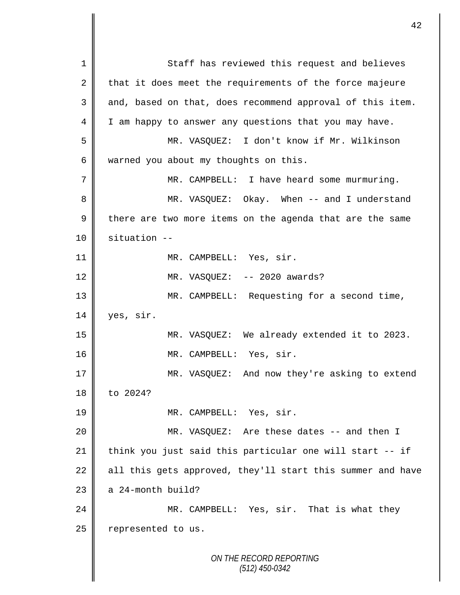*ON THE RECORD REPORTING (512) 450-0342* 1 Staff has reviewed this request and believes 2 that it does meet the requirements of the force majeure  $3 \parallel$  and, based on that, does recommend approval of this item. 4 I am happy to answer any questions that you may have. 5 MR. VASQUEZ: I don't know if Mr. Wilkinson 6 warned you about my thoughts on this. 7 MR. CAMPBELL: I have heard some murmuring. 8 MR. VASQUEZ: Okay. When -- and I understand 9 there are two more items on the agenda that are the same 10 situation -- 11 || MR. CAMPBELL: Yes, sir. 12 || MR. VASQUEZ: -- 2020 awards? 13 || MR. CAMPBELL: Requesting for a second time, 14 yes, sir. 15 MR. VASQUEZ: We already extended it to 2023. 16 || MR. CAMPBELL: Yes, sir. 17 || MR. VASQUEZ: And now they're asking to extend 18 to 2024? 19 || MR. CAMPBELL: Yes, sir. 20 MR. VASQUEZ: Are these dates -- and then I 21  $\parallel$  think you just said this particular one will start -- if 22 all this gets approved, they'll start this summer and have  $23$  | a 24-month build? 24 MR. CAMPBELL: Yes, sir. That is what they  $25$  represented to us.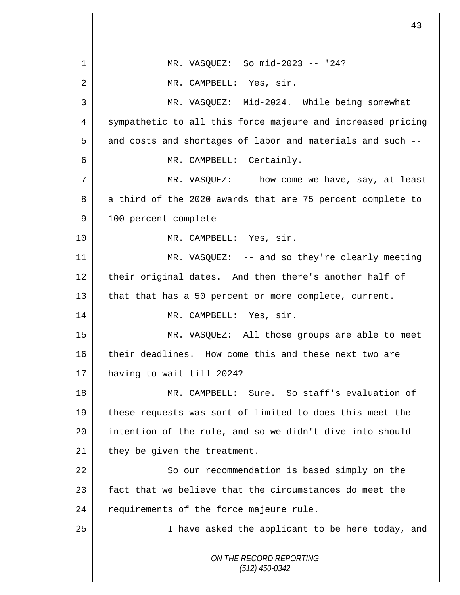*ON THE RECORD REPORTING (512) 450-0342* 1 || MR. VASQUEZ: So mid-2023 -- '24? 2 | MR. CAMPBELL: Yes, sir. 3 MR. VASQUEZ: Mid-2024. While being somewhat 4 Sympathetic to all this force majeure and increased pricing  $5 \parallel$  and costs and shortages of labor and materials and such  $-$ -6 || MR. CAMPBELL: Certainly. 7 || MR. VASQUEZ: -- how come we have, say, at least 8 a third of the 2020 awards that are 75 percent complete to 9 | 100 percent complete --10 || MR. CAMPBELL: Yes, sir. 11 MR. VASQUEZ: -- and so they're clearly meeting 12 their original dates. And then there's another half of 13 that that has a 50 percent or more complete, current. 14 || MR. CAMPBELL: Yes, sir. 15 MR. VASQUEZ: All those groups are able to meet 16 their deadlines. How come this and these next two are 17 having to wait till 2024? 18 MR. CAMPBELL: Sure. So staff's evaluation of 19 these requests was sort of limited to does this meet the 20 || intention of the rule, and so we didn't dive into should 21  $\parallel$  they be given the treatment. 22 | So our recommendation is based simply on the 23  $\parallel$  fact that we believe that the circumstances do meet the  $24$  | requirements of the force majeure rule. 25 || I have asked the applicant to be here today, and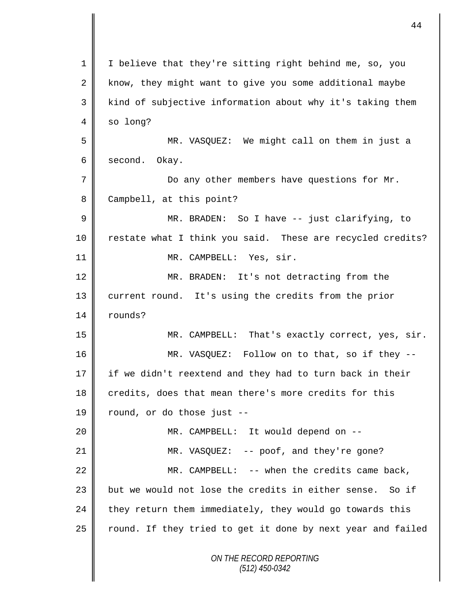|             | 44                                                          |
|-------------|-------------------------------------------------------------|
| 1           | I believe that they're sitting right behind me, so, you     |
| 2           | know, they might want to give you some additional maybe     |
| 3           | kind of subjective information about why it's taking them   |
| 4           | so long?                                                    |
| 5           | MR. VASQUEZ: We might call on them in just a                |
| 6           | second.<br>Okay.                                            |
| 7           | Do any other members have questions for Mr.                 |
| 8           | Campbell, at this point?                                    |
| $\mathsf 9$ | MR. BRADEN: So I have -- just clarifying, to                |
| 10          | restate what I think you said. These are recycled credits?  |
| 11          | MR. CAMPBELL: Yes, sir.                                     |
| 12          | MR. BRADEN: It's not detracting from the                    |
| 13          | current round. It's using the credits from the prior        |
| 14          | rounds?                                                     |
| 15          | MR. CAMPBELL: That's exactly correct, yes, sir.             |
| 16          | MR. VASQUEZ: Follow on to that, so if they --               |
| 17          | if we didn't reextend and they had to turn back in their    |
| 18          | credits, does that mean there's more credits for this       |
| 19          | round, or do those just --                                  |
| 20          | MR. CAMPBELL: It would depend on --                         |
| 21          | MR. VASQUEZ: -- poof, and they're gone?                     |
| 22          | MR. CAMPBELL: -- when the credits came back,                |
| 23          | but we would not lose the credits in either sense. So if    |
| 24          | they return them immediately, they would go towards this    |
| 25          | round. If they tried to get it done by next year and failed |
|             | ON THE RECORD REPORTING<br>$(512)$ 450-0342                 |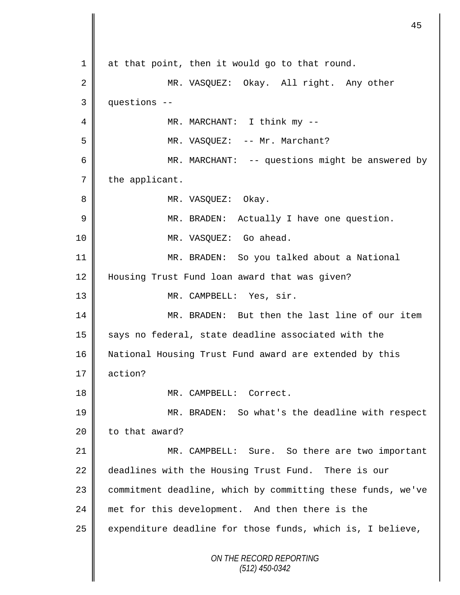*ON THE RECORD REPORTING (512) 450-0342* 1 at that point, then it would go to that round. 2 MR. VASQUEZ: Okay. All right. Any other 3 questions -- 4 || MR. MARCHANT: I think my --5 || MR. VASQUEZ: -- Mr. Marchant? 6 MR. MARCHANT: -- questions might be answered by  $7$  | the applicant. 8 || MR. VASQUEZ: Okay. 9 | MR. BRADEN: Actually I have one question. 10 || MR. VASQUEZ: Go ahead. 11 MR. BRADEN: So you talked about a National 12 | Housing Trust Fund loan award that was given? 13 || MR. CAMPBELL: Yes, sir. 14 || MR. BRADEN: But then the last line of our item 15 says no federal, state deadline associated with the 16 National Housing Trust Fund award are extended by this 17 action? 18 || MR. CAMPBELL: Correct. 19 MR. BRADEN: So what's the deadline with respect  $20$  to that award? 21 || MR. CAMPBELL: Sure. So there are two important 22 deadlines with the Housing Trust Fund. There is our 23 | commitment deadline, which by committing these funds, we've 24 met for this development. And then there is the  $25$  expenditure deadline for those funds, which is, I believe,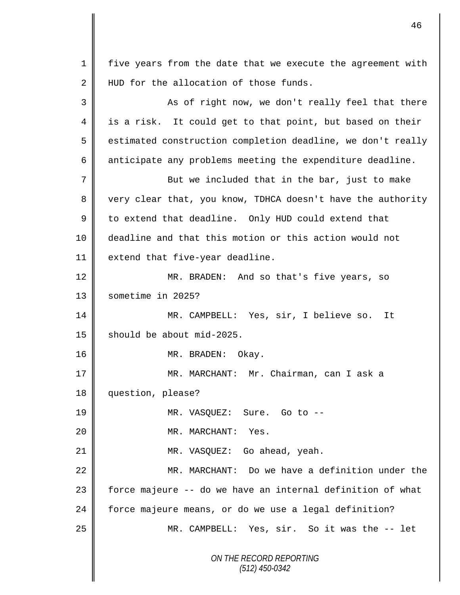*ON THE RECORD REPORTING (512) 450-0342* 1 | five years from the date that we execute the agreement with 2 HUD for the allocation of those funds. 3 || As of right now, we don't really feel that there 4 || is a risk. It could get to that point, but based on their  $5 \parallel$  estimated construction completion deadline, we don't really  $6 \parallel$  anticipate any problems meeting the expenditure deadline. 7 || But we included that in the bar, just to make 8 very clear that, you know, TDHCA doesn't have the authority  $9 \parallel$  to extend that deadline. Only HUD could extend that 10 deadline and that this motion or this action would not 11 extend that five-year deadline. 12 MR. BRADEN: And so that's five years, so 13 sometime in 2025? 14 MR. CAMPBELL: Yes, sir, I believe so. It 15  $\parallel$  should be about mid-2025. 16 || MR. BRADEN: Okay. 17 MR. MARCHANT: Mr. Chairman, can I ask a 18 question, please? 19 || MR. VASQUEZ: Sure. Go to --20 || MR. MARCHANT: Yes. 21 || MR. VASQUEZ: Go ahead, yeah. 22 MR. MARCHANT: Do we have a definition under the 23  $\parallel$  force majeure -- do we have an internal definition of what 24 force majeure means, or do we use a legal definition? 25 | MR. CAMPBELL: Yes, sir. So it was the -- let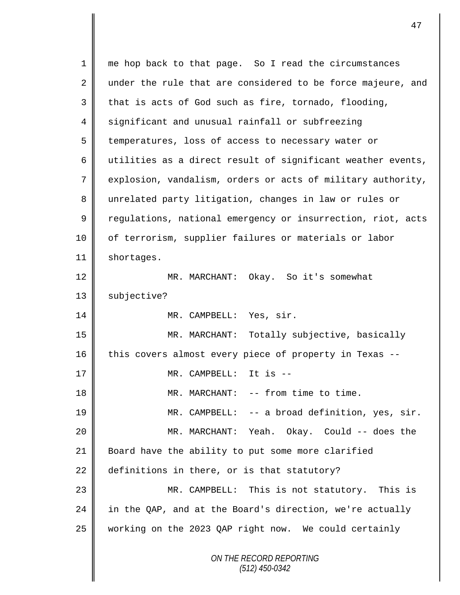*ON THE RECORD REPORTING (512) 450-0342* 1 || me hop back to that page. So I read the circumstances  $2 \parallel$  under the rule that are considered to be force majeure, and  $3 \parallel$  that is acts of God such as fire, tornado, flooding, 4 significant and unusual rainfall or subfreezing 5 temperatures, loss of access to necessary water or 6 utilities as a direct result of significant weather events, 7 explosion, vandalism, orders or acts of military authority, 8 unrelated party litigation, changes in law or rules or 9 | regulations, national emergency or insurrection, riot, acts 10 || of terrorism, supplier failures or materials or labor 11 | shortages. 12 || MR. MARCHANT: Okay. So it's somewhat 13 | subjective? 14 || MR. CAMPBELL: Yes, sir. 15 MR. MARCHANT: Totally subjective, basically 16 this covers almost every piece of property in Texas --17  $\parallel$  MR. CAMPBELL: It is --18 || MR. MARCHANT: -- from time to time. 19 MR. CAMPBELL: -- a broad definition, yes, sir. 20 MR. MARCHANT: Yeah. Okay. Could -- does the 21 Board have the ability to put some more clarified 22 definitions in there, or is that statutory? 23 MR. CAMPBELL: This is not statutory. This is 24  $\parallel$  in the QAP, and at the Board's direction, we're actually 25 working on the 2023 QAP right now. We could certainly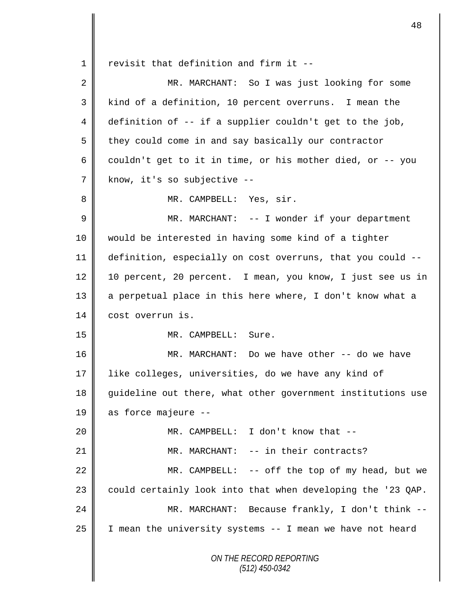1 revisit that definition and firm it  $-$ 

I

| $\overline{2}$ | MR. MARCHANT: So I was just looking for some                |
|----------------|-------------------------------------------------------------|
| 3              | kind of a definition, 10 percent overruns. I mean the       |
| 4              | definition of -- if a supplier couldn't get to the job,     |
| 5              | they could come in and say basically our contractor         |
| 6              | couldn't get to it in time, or his mother died, or -- you   |
| 7              | know, it's so subjective --                                 |
| 8              | MR. CAMPBELL: Yes, sir.                                     |
| 9              | MR. MARCHANT: -- I wonder if your department                |
| 10             | would be interested in having some kind of a tighter        |
| 11             | definition, especially on cost overruns, that you could --  |
| 12             | 10 percent, 20 percent. I mean, you know, I just see us in  |
| 13             | a perpetual place in this here where, I don't know what a   |
| 14             | cost overrun is.                                            |
| 15             | MR. CAMPBELL: Sure.                                         |
| 16             | MR. MARCHANT: Do we have other -- do we have                |
| 17             | like colleges, universities, do we have any kind of         |
| 18             | guideline out there, what other government institutions use |
| 19             | as force majeure --                                         |
| 20             | MR. CAMPBELL: I don't know that --                          |
| 21             | MR. MARCHANT: -- in their contracts?                        |
| 22             | MR. CAMPBELL: -- off the top of my head, but we             |
| 23             | could certainly look into that when developing the '23 QAP. |
| 24             | MR. MARCHANT: Because frankly, I don't think --             |
| 25             | I mean the university systems -- I mean we have not heard   |
|                | ON THE RECORD REPORTING<br>$(512)$ 450-0342                 |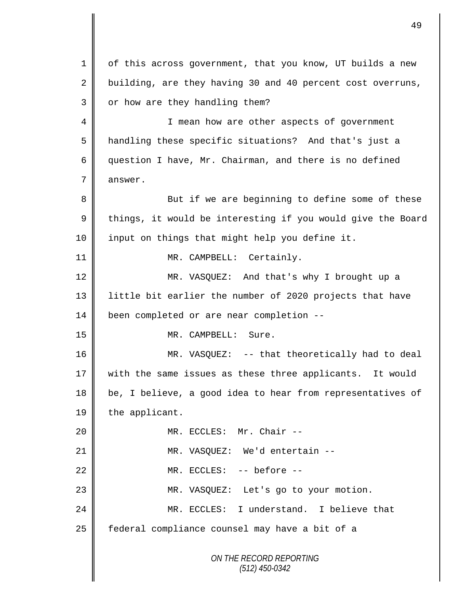*ON THE RECORD REPORTING (512) 450-0342* 1 | of this across government, that you know, UT builds a new 2 building, are they having 30 and 40 percent cost overruns,  $3$  | or how are they handling them? 4 || I mean how are other aspects of government 5 | handling these specific situations? And that's just a 6 question I have, Mr. Chairman, and there is no defined 7 answer. 8 But if we are beginning to define some of these  $9 \parallel$  things, it would be interesting if you would give the Board 10 || input on things that might help you define it. 11 || MR. CAMPBELL: Certainly. 12 MR. VASQUEZ: And that's why I brought up a 13 || little bit earlier the number of 2020 projects that have 14 **been** completed or are near completion --15 MR. CAMPBELL: Sure. 16 || MR. VASQUEZ: -- that theoretically had to deal 17 || with the same issues as these three applicants. It would 18 | be, I believe, a good idea to hear from representatives of 19 the applicant. 20 || MR. ECCLES: Mr. Chair --21 || MR. VASQUEZ: We'd entertain --22 MR. ECCLES: -- before -- 23 MR. VASQUEZ: Let's go to your motion. 24 MR. ECCLES: I understand. I believe that 25 | federal compliance counsel may have a bit of a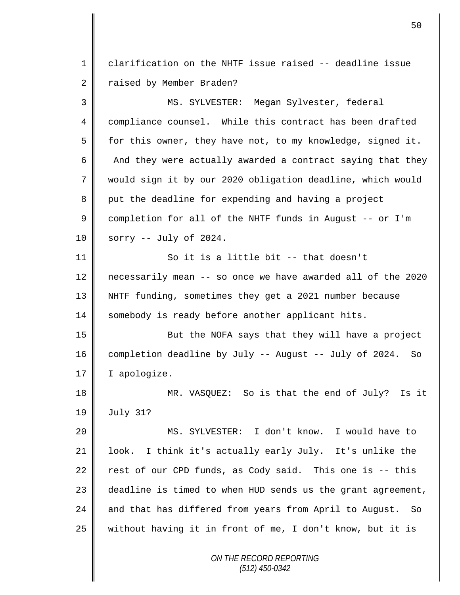1 clarification on the NHTF issue raised -- deadline issue 2 Taised by Member Braden?

3 MS. SYLVESTER: Megan Sylvester, federal 4 compliance counsel. While this contract has been drafted 5  $\parallel$  for this owner, they have not, to my knowledge, signed it. 6  $\parallel$  And they were actually awarded a contract saying that they 7 would sign it by our 2020 obligation deadline, which would 8 put the deadline for expending and having a project 9 completion for all of the NHTF funds in August -- or I'm  $10 \parallel$  sorry -- July of 2024. 11 || So it is a little bit -- that doesn't 12 | necessarily mean -- so once we have awarded all of the 2020 13 NHTF funding, sometimes they get a 2021 number because 14 somebody is ready before another applicant hits. 15 || But the NOFA says that they will have a project 16 completion deadline by July -- August -- July of 2024. So 17 | I apologize.

18 MR. VASQUEZ: So is that the end of July? Is it 19 July 31?

20 MS. SYLVESTER: I don't know. I would have to 21 | look. I think it's actually early July. It's unlike the 22 rest of our CPD funds, as Cody said. This one is  $-$  this 23  $\parallel$  deadline is timed to when HUD sends us the grant agreement, 24 and that has differed from years from April to August. So  $25$  without having it in front of me, I don't know, but it is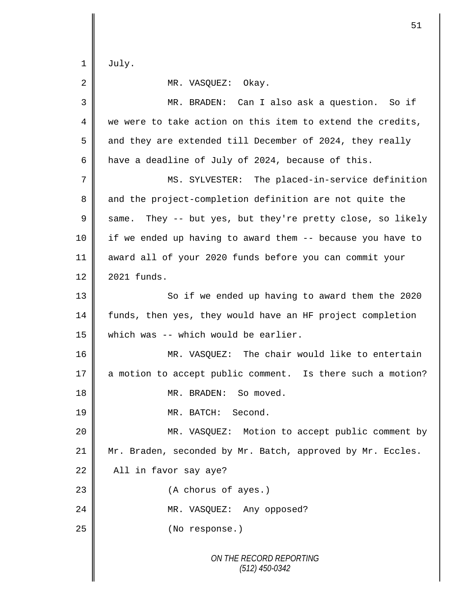$1 \parallel$  July.

2 MR. VASQUEZ: Okay.

| 3      | MR. BRADEN: Can I also ask a question. So if               |
|--------|------------------------------------------------------------|
| 4      | we were to take action on this item to extend the credits, |
| 5      | and they are extended till December of 2024, they really   |
| 6      | have a deadline of July of 2024, because of this.          |
| 7      | MS. SYLVESTER: The placed-in-service definition            |
| 8      | and the project-completion definition are not quite the    |
| 9      | same. They -- but yes, but they're pretty close, so likely |
| 10     | if we ended up having to award them -- because you have to |
| 11     | award all of your 2020 funds before you can commit your    |
| 12     | 2021 funds.                                                |
| 13     | So if we ended up having to award them the 2020            |
| 14     | funds, then yes, they would have an HF project completion  |
| 15     | which was -- which would be earlier.                       |
| 16     | MR. VASQUEZ: The chair would like to entertain             |
| $17\,$ | a motion to accept public comment. Is there such a motion? |
| 18     | MR. BRADEN: So moved.                                      |
| 19     | MR. BATCH: Second.                                         |
| 20     | MR. VASQUEZ: Motion to accept public comment by            |
| 21     | Mr. Braden, seconded by Mr. Batch, approved by Mr. Eccles. |
| 22     | All in favor say aye?                                      |
| 23     | (A chorus of ayes.)                                        |
| 24     | MR. VASQUEZ: Any opposed?                                  |
| 25     | (No response.)                                             |
|        | ON THE RECORD REPORTING<br>$(512)$ 450-0342                |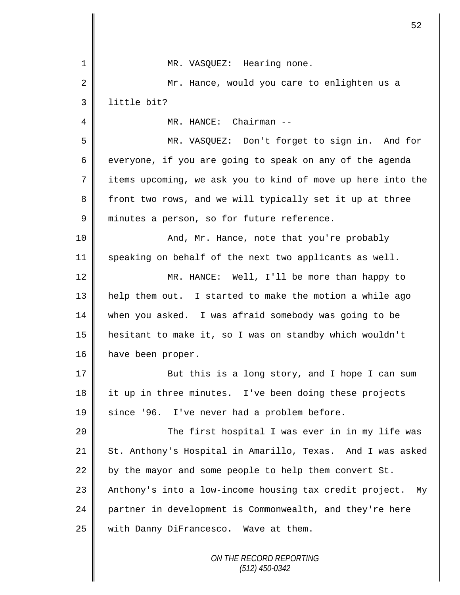| 1  | MR. VASQUEZ: Hearing none.                                  |
|----|-------------------------------------------------------------|
| 2  | Mr. Hance, would you care to enlighten us a                 |
| 3  | little bit?                                                 |
| 4  | MR. HANCE: Chairman --                                      |
| 5  | MR. VASQUEZ: Don't forget to sign in. And for               |
| 6  | everyone, if you are going to speak on any of the agenda    |
| 7  | items upcoming, we ask you to kind of move up here into the |
| 8  | front two rows, and we will typically set it up at three    |
| 9  | minutes a person, so for future reference.                  |
| 10 | And, Mr. Hance, note that you're probably                   |
| 11 | speaking on behalf of the next two applicants as well.      |
| 12 | MR. HANCE: Well, I'll be more than happy to                 |
| 13 | help them out. I started to make the motion a while ago     |
| 14 | when you asked. I was afraid somebody was going to be       |
| 15 | hesitant to make it, so I was on standby which wouldn't     |
| 16 | have been proper.                                           |
| 17 | But this is a long story, and I hope I can sum              |
| 18 | it up in three minutes. I've been doing these projects      |
| 19 | since '96. I've never had a problem before.                 |
| 20 | The first hospital I was ever in in my life was             |
| 21 | St. Anthony's Hospital in Amarillo, Texas. And I was asked  |
| 22 | by the mayor and some people to help them convert St.       |
| 23 | Anthony's into a low-income housing tax credit project. My  |
| 24 | partner in development is Commonwealth, and they're here    |
| 25 | with Danny DiFrancesco. Wave at them.                       |
|    | ON THE RECORD REPORTING                                     |

 $\mathbb{I}$ 

*(512) 450-0342*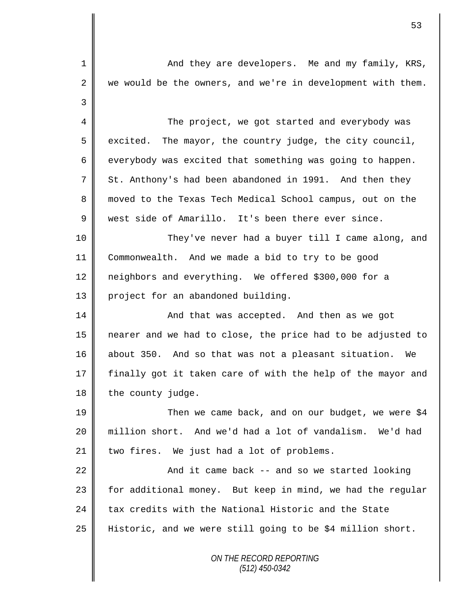*ON THE RECORD REPORTING* 1 And they are developers. Me and my family, KRS,  $2 \parallel$  we would be the owners, and we're in development with them. 3 4 The project, we got started and everybody was  $5 \parallel$  excited. The mayor, the country judge, the city council,  $6 \parallel$  everybody was excited that something was going to happen.  $7 \parallel$  St. Anthony's had been abandoned in 1991. And then they 8 || moved to the Texas Tech Medical School campus, out on the 9 west side of Amarillo. It's been there ever since. 10 They've never had a buyer till I came along, and 11 Commonwealth. And we made a bid to try to be good 12 | neighbors and everything. We offered \$300,000 for a 13 project for an abandoned building. 14 || And that was accepted. And then as we got 15 nearer and we had to close, the price had to be adjusted to 16 || about 350. And so that was not a pleasant situation. We 17 || finally got it taken care of with the help of the mayor and  $18$  | the county judge. 19 || Then we came back, and on our budget, we were \$4 20 million short. And we'd had a lot of vandalism. We'd had  $21$  | two fires. We just had a lot of problems. 22  $\parallel$  22  $\parallel$  and it came back -- and so we started looking  $23$  for additional money. But keep in mind, we had the regular 24  $\parallel$  tax credits with the National Historic and the State 25 Historic, and we were still going to be \$4 million short.

*(512) 450-0342*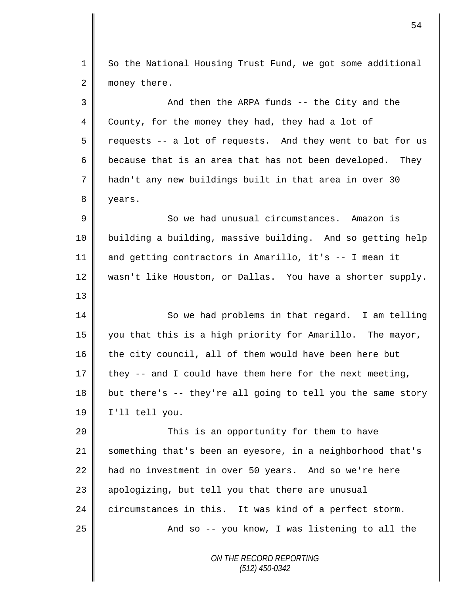*ON THE RECORD REPORTING (512) 450-0342* 1 So the National Housing Trust Fund, we got some additional 2 money there. 3 And then the ARPA funds -- the City and the 4 County, for the money they had, they had a lot of  $5 \parallel$  requests -- a lot of requests. And they went to bat for us 6 because that is an area that has not been developed. They 7 hadn't any new buildings built in that area in over 30 8 years. 9  $\parallel$  So we had unusual circumstances. Amazon is 10 building a building, massive building. And so getting help 11 and getting contractors in Amarillo, it's -- I mean it 12 wasn't like Houston, or Dallas. You have a shorter supply. 13 14 || So we had problems in that regard. I am telling 15 you that this is a high priority for Amarillo. The mayor, 16 the city council, all of them would have been here but 17 they  $-$  and I could have them here for the next meeting, 18 but there's  $-$  they're all going to tell you the same story 19 I'll tell you. 20 This is an opportunity for them to have 21 something that's been an eyesore, in a neighborhood that's 22 had no investment in over 50 years. And so we're here 23 || apologizing, but tell you that there are unusual 24 circumstances in this. It was kind of a perfect storm. 25 | And so -- you know, I was listening to all the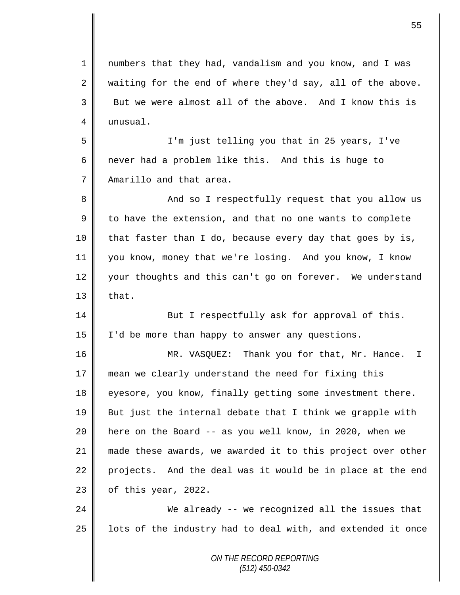*ON THE RECORD REPORTING* 1 numbers that they had, vandalism and you know, and I was  $2 \parallel$  waiting for the end of where they'd say, all of the above.  $3 \parallel$  But we were almost all of the above. And I know this is 4 | unusual. 5 I'm just telling you that in 25 years, I've 6  $\parallel$  never had a problem like this. And this is huge to 7 No Amarillo and that area. 8 And so I respectfully request that you allow us  $9 \parallel$  to have the extension, and that no one wants to complete  $10$  | that faster than I do, because every day that goes by is, 11 you know, money that we're losing. And you know, I know 12 your thoughts and this can't go on forever. We understand  $13$  | that. 14 **But I** respectfully ask for approval of this. 15 | I'd be more than happy to answer any questions. 16 || MR. VASQUEZ: Thank you for that, Mr. Hance. I 17 mean we clearly understand the need for fixing this 18 eyesore, you know, finally getting some investment there.  $19$  But just the internal debate that I think we grapple with 20 here on the Board -- as you well know, in 2020, when we 21 made these awards, we awarded it to this project over other 22 projects. And the deal was it would be in place at the end  $23$  | of this year, 2022. 24 We already -- we recognized all the issues that  $25$  | lots of the industry had to deal with, and extended it once

*(512) 450-0342*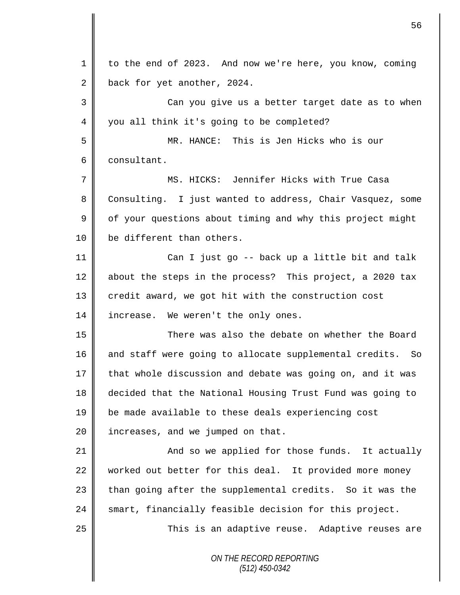| $\mathbf 1$ | to the end of 2023. And now we're here, you know, coming  |
|-------------|-----------------------------------------------------------|
| 2           | back for yet another, 2024.                               |
| 3           | Can you give us a better target date as to when           |
| 4           | you all think it's going to be completed?                 |
| 5           | MR. HANCE: This is Jen Hicks who is our                   |
| 6           | consultant.                                               |
| 7           | MS. HICKS: Jennifer Hicks with True Casa                  |
| 8           | Consulting. I just wanted to address, Chair Vasquez, some |
| $\mathsf 9$ | of your questions about timing and why this project might |
| 10          | be different than others.                                 |
| 11          | Can I just go -- back up a little bit and talk            |
| 12          | about the steps in the process? This project, a 2020 tax  |
| 13          | credit award, we got hit with the construction cost       |
| 14          | increase. We weren't the only ones.                       |
| 15          | There was also the debate on whether the Board            |
| 16          | and staff were going to allocate supplemental credits. So |
| 17          | that whole discussion and debate was going on, and it was |
| 18          | decided that the National Housing Trust Fund was going to |
| 19          | be made available to these deals experiencing cost        |
| 20          | increases, and we jumped on that.                         |
| 21          | And so we applied for those funds. It actually            |
| 22          | worked out better for this deal. It provided more money   |
| 23          | than going after the supplemental credits. So it was the  |
| 24          | smart, financially feasible decision for this project.    |
| 25          | This is an adaptive reuse. Adaptive reuses are            |
|             | ON THE RECORD REPORTING<br>$(512)$ 450-0342               |

II

II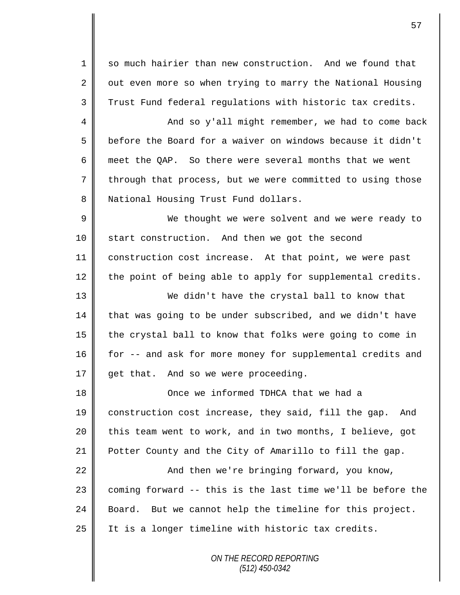1 so much hairier than new construction. And we found that  $2 \parallel$  out even more so when trying to marry the National Housing 3 Trust Fund federal regulations with historic tax credits.

4 And so y'all might remember, we had to come back 5 **b** before the Board for a waiver on windows because it didn't 6 meet the QAP. So there were several months that we went 7 through that process, but we were committed to using those 8 | National Housing Trust Fund dollars.

 We thought we were solvent and we were ready to 10 start construction. And then we got the second construction cost increase. At that point, we were past the point of being able to apply for supplemental credits.

 We didn't have the crystal ball to know that that was going to be under subscribed, and we didn't have  $\parallel$  the crystal ball to know that folks were going to come in 16 for -- and ask for more money for supplemental credits and  $\parallel$  get that. And so we were proceeding.

**Once we informed TDHCA that we had a**  construction cost increase, they said, fill the gap. And  $\parallel$  this team went to work, and in two months, I believe, got Potter County and the City of Amarillo to fill the gap.

22 | And then we're bringing forward, you know, 23  $\parallel$  coming forward -- this is the last time we'll be before the 24 Board. But we cannot help the timeline for this project. 25 || It is a longer timeline with historic tax credits.

> *ON THE RECORD REPORTING (512) 450-0342*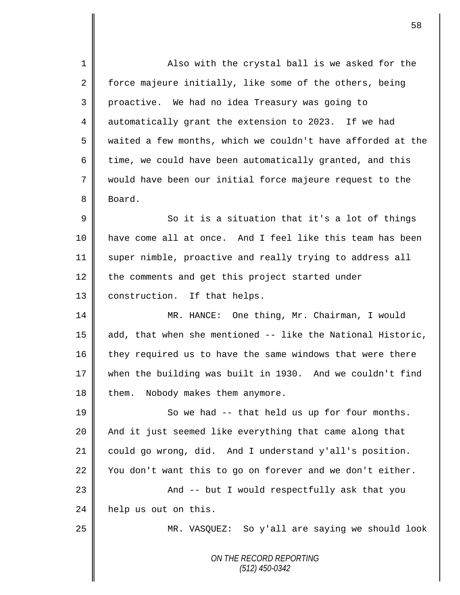*ON THE RECORD REPORTING (512) 450-0342* 1 **Also with the crystal ball is we asked for the** 2 force majeure initially, like some of the others, being 3 proactive. We had no idea Treasury was going to 4 automatically grant the extension to 2023. If we had 5 waited a few months, which we couldn't have afforded at the 6 time, we could have been automatically granted, and this 7 would have been our initial force majeure request to the 8 Board.  $9 \parallel$  So it is a situation that it's a lot of things 10 have come all at once. And I feel like this team has been 11 super nimble, proactive and really trying to address all 12 the comments and get this project started under 13 | construction. If that helps. 14 MR. HANCE: One thing, Mr. Chairman, I would 15 add, that when she mentioned -- like the National Historic, 16 they required us to have the same windows that were there 17 when the building was built in 1930. And we couldn't find  $18$  them. Nobody makes them anymore.  $19 \parallel$  So we had -- that held us up for four months. 20 || And it just seemed like everything that came along that 21 could go wrong, did. And I understand y'all's position. 22 You don't want this to go on forever and we don't either. 23 || And -- but I would respectfully ask that you 24 help us out on this. 25 MR. VASQUEZ: So y'all are saying we should look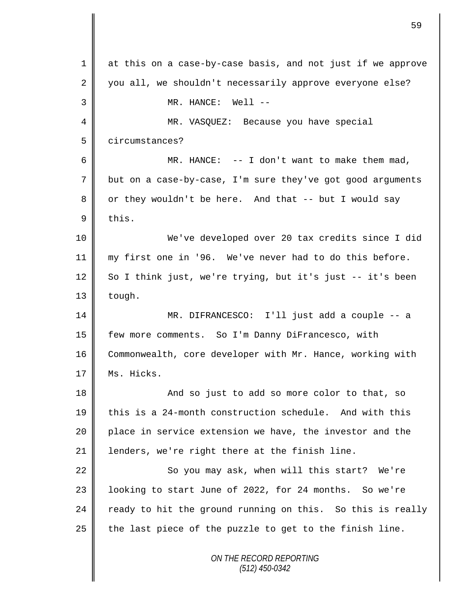*ON THE RECORD REPORTING (512) 450-0342* 1 at this on a case-by-case basis, and not just if we approve 2 you all, we shouldn't necessarily approve everyone else? 3 || MR. HANCE: Well --4 MR. VASQUEZ: Because you have special 5 circumstances? 6  $\parallel$  MR. HANCE: -- I don't want to make them mad, 7 but on a case-by-case, I'm sure they've got good arguments 8 || or they wouldn't be here. And that -- but I would say  $9$  this. 10 We've developed over 20 tax credits since I did 11 my first one in '96. We've never had to do this before.  $12 \parallel$  So I think just, we're trying, but it's just -- it's been  $13$  | tough. 14 MR. DIFRANCESCO: I'll just add a couple -- a 15 few more comments. So I'm Danny DiFrancesco, with 16 Commonwealth, core developer with Mr. Hance, working with 17 | Ms. Hicks. 18 || And so just to add so more color to that, so 19 this is a 24-month construction schedule. And with this  $20$  | place in service extension we have, the investor and the 21 | lenders, we're right there at the finish line. 22 | So you may ask, when will this start? We're 23 || looking to start June of 2022, for 24 months. So we're 24  $\parallel$  ready to hit the ground running on this. So this is really  $25$  | the last piece of the puzzle to get to the finish line.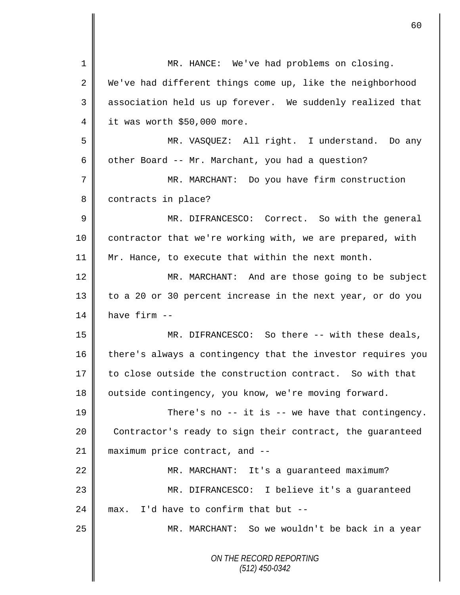|                | 60                                                          |
|----------------|-------------------------------------------------------------|
|                |                                                             |
| $\mathbf 1$    | MR. HANCE: We've had problems on closing.                   |
| 2              | We've had different things come up, like the neighborhood   |
| 3              | association held us up forever. We suddenly realized that   |
| 4              | it was worth \$50,000 more.                                 |
| 5              | MR. VASQUEZ: All right. I understand. Do any                |
| 6              | other Board -- Mr. Marchant, you had a question?            |
| 7              | MR. MARCHANT: Do you have firm construction                 |
| 8              | contracts in place?                                         |
| $\overline{9}$ | MR. DIFRANCESCO: Correct. So with the general               |
| 10             | contractor that we're working with, we are prepared, with   |
| 11             | Mr. Hance, to execute that within the next month.           |
| 12             | MR. MARCHANT: And are those going to be subject             |
| 13             | to a 20 or 30 percent increase in the next year, or do you  |
| 14             | have firm --                                                |
| 15             | MR. DIFRANCESCO: So there -- with these deals,              |
| 16             | there's always a contingency that the investor requires you |
| 17             | to close outside the construction contract. So with that    |
| 18             | outside contingency, you know, we're moving forward.        |
| 19             | There's no $-$ - it is $-$ we have that contingency.        |
| 20             | Contractor's ready to sign their contract, the guaranteed   |
| 21             | maximum price contract, and --                              |
| 22             | MR. MARCHANT: It's a guaranteed maximum?                    |
| 23             | MR. DIFRANCESCO: I believe it's a guaranteed                |
| 24             | I'd have to confirm that but --<br>max.                     |
| 25             | MR. MARCHANT: So we wouldn't be back in a year              |
|                | ON THE RECORD REPORTING<br>$(512)$ 450-0342                 |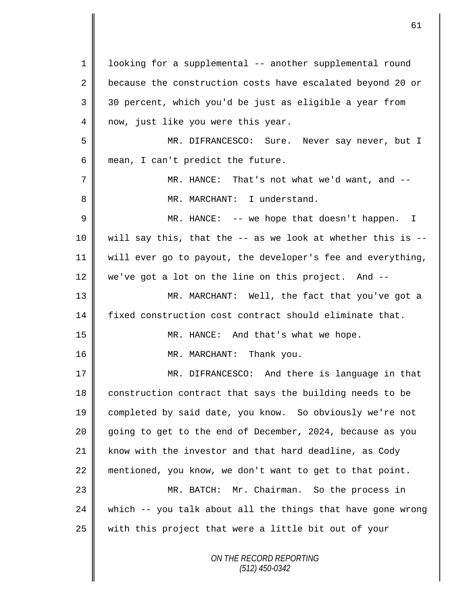| $\mathbf{1}$ | looking for a supplemental -- another supplemental round    |
|--------------|-------------------------------------------------------------|
| 2            | because the construction costs have escalated beyond 20 or  |
| 3            | 30 percent, which you'd be just as eligible a year from     |
| 4            | now, just like you were this year.                          |
| 5            | MR. DIFRANCESCO: Sure. Never say never, but I               |
| 6            | mean, I can't predict the future.                           |
| 7            | MR. HANCE: That's not what we'd want, and --                |
| 8            | MR. MARCHANT: I understand.                                 |
| 9            | MR. HANCE: $--$ we hope that doesn't happen. I              |
| 10           | will say this, that the -- as we look at whether this is -- |
| 11           | will ever go to payout, the developer's fee and everything, |
| 12           | we've got a lot on the line on this project. And --         |
| 13           | MR. MARCHANT: Well, the fact that you've got a              |
| 14           | fixed construction cost contract should eliminate that.     |
| 15           | MR. HANCE: And that's what we hope.                         |
| 16           | MR. MARCHANT: Thank you.                                    |
| 17           | MR. DIFRANCESCO: And there is language in that              |
| 18           | construction contract that says the building needs to be    |
| 19           | completed by said date, you know. So obviously we're not    |
| 20           | going to get to the end of December, 2024, because as you   |
| 21           | know with the investor and that hard deadline, as Cody      |
| 22           | mentioned, you know, we don't want to get to that point.    |
| 23           | MR. BATCH: Mr. Chairman. So the process in                  |
| 24           | which -- you talk about all the things that have gone wrong |
| 25           | with this project that were a little bit out of your        |
|              | ON THE RECORD REPORTING                                     |

 $\mathsf{I}$ 

 $\mathsf{I}$ 

*(512) 450-0342*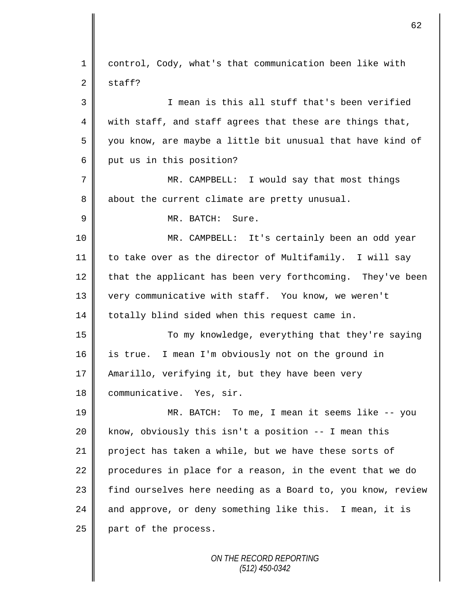1 control, Cody, what's that communication been like with  $2 \parallel$  staff? 3 I mean is this all stuff that's been verified  $4 \parallel$  with staff, and staff agrees that these are things that, 5 || you know, are maybe a little bit unusual that have kind of  $6 \parallel$  put us in this position? 7 MR. CAMPBELL: I would say that most things 8 about the current climate are pretty unusual. 9 MR. BATCH: Sure. 10 MR. CAMPBELL: It's certainly been an odd year 11 to take over as the director of Multifamily. I will say  $12$  that the applicant has been very forthcoming. They've been 13 | very communicative with staff. You know, we weren't 14 | totally blind sided when this request came in. 15 || To my knowledge, everything that they're saying 16 is true. I mean I'm obviously not on the ground in 17 || Amarillo, verifying it, but they have been very 18 | communicative. Yes, sir. 19 MR. BATCH: To me, I mean it seems like -- you 20 || know, obviously this isn't a position -- I mean this 21 project has taken a while, but we have these sorts of 22 procedures in place for a reason, in the event that we do 23 || find ourselves here needing as a Board to, you know, review 24  $\parallel$  and approve, or deny something like this. I mean, it is  $25$  | part of the process.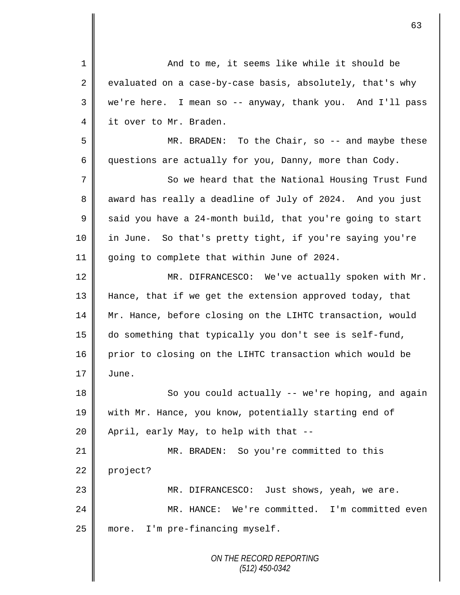*ON THE RECORD REPORTING (512) 450-0342* 1 || And to me, it seems like while it should be 2 evaluated on a case-by-case basis, absolutely, that's why 3 we're here. I mean so -- anyway, thank you. And I'll pass 4 it over to Mr. Braden. 5 MR. BRADEN: To the Chair, so -- and maybe these 6 questions are actually for you, Danny, more than Cody. 7 So we heard that the National Housing Trust Fund 8 award has really a deadline of July of 2024. And you just 9  $\parallel$  said you have a 24-month build, that you're going to start 10 in June. So that's pretty tight, if you're saying you're 11 going to complete that within June of 2024. 12 | MR. DIFRANCESCO: We've actually spoken with Mr. 13 Hance, that if we get the extension approved today, that 14 Mr. Hance, before closing on the LIHTC transaction, would 15 do something that typically you don't see is self-fund, 16 prior to closing on the LIHTC transaction which would be  $17 \parallel$  June. 18 || So you could actually -- we're hoping, and again 19 with Mr. Hance, you know, potentially starting end of  $20$  | April, early May, to help with that  $-$ 21 MR. BRADEN: So you're committed to this  $22$  project? 23 || MR. DIFRANCESCO: Just shows, yeah, we are. 24 MR. HANCE: We're committed. I'm committed even 25 | more. I'm pre-financing myself.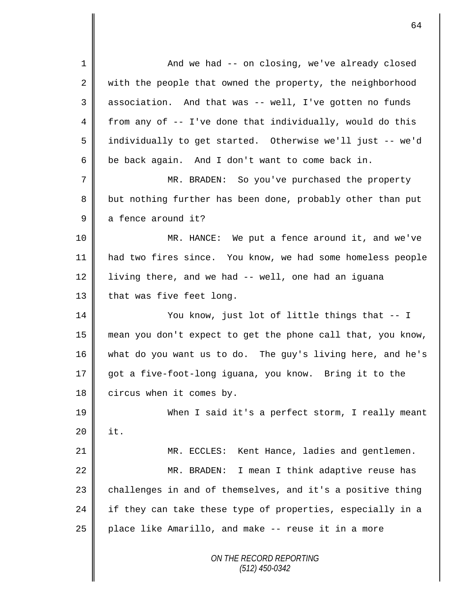*ON THE RECORD REPORTING (512) 450-0342* 1 And we had -- on closing, we've already closed 2 with the people that owned the property, the neighborhood 3 association. And that was -- well, I've gotten no funds 4 from any of  $-$  I've done that individually, would do this 5 individually to get started. Otherwise we'll just -- we'd  $6 \parallel$  be back again. And I don't want to come back in. 7 MR. BRADEN: So you've purchased the property 8 but nothing further has been done, probably other than put  $9 \parallel$  a fence around it? 10 MR. HANCE: We put a fence around it, and we've 11 had two fires since. You know, we had some homeless people 12 | living there, and we had -- well, one had an iguana 13  $\parallel$  that was five feet long. 14 || You know, just lot of little things that -- I 15 mean you don't expect to get the phone call that, you know, 16 what do you want us to do. The guy's living here, and he's 17 got a five-foot-long iguana, you know. Bring it to the  $18$  circus when it comes by. 19 When I said it's a perfect storm, I really meant  $20$  | it. 21 | MR. ECCLES: Kent Hance, ladies and gentlemen. 22 | MR. BRADEN: I mean I think adaptive reuse has  $23$  challenges in and of themselves, and it's a positive thing 24 if they can take these type of properties, especially in a  $25$  place like Amarillo, and make  $-$ - reuse it in a more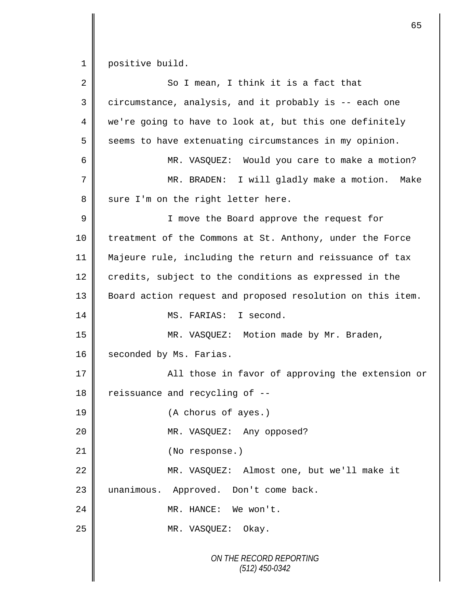1 positive build.

| 2  | So I mean, I think it is a fact that                       |
|----|------------------------------------------------------------|
| 3  | circumstance, analysis, and it probably is -- each one     |
| 4  | we're going to have to look at, but this one definitely    |
| 5  | seems to have extenuating circumstances in my opinion.     |
| 6  | MR. VASQUEZ: Would you care to make a motion?              |
| 7  | MR. BRADEN: I will gladly make a motion.<br>Make           |
| 8  | sure I'm on the right letter here.                         |
| 9  | I move the Board approve the request for                   |
| 10 | treatment of the Commons at St. Anthony, under the Force   |
| 11 | Majeure rule, including the return and reissuance of tax   |
| 12 | credits, subject to the conditions as expressed in the     |
| 13 | Board action request and proposed resolution on this item. |
| 14 | MS. FARIAS: I second.                                      |
| 15 | MR. VASQUEZ: Motion made by Mr. Braden,                    |
| 16 | seconded by Ms. Farias.                                    |
| 17 | All those in favor of approving the extension or           |
| 18 | reissuance and recycling of --                             |
| 19 | (A chorus of ayes.)                                        |
| 20 | MR. VASQUEZ: Any opposed?                                  |
| 21 | (No response.)                                             |
| 22 | MR. VASQUEZ: Almost one, but we'll make it                 |
| 23 | unanimous. Approved. Don't come back.                      |
| 24 | MR. HANCE: We won't.                                       |
| 25 | MR. VASQUEZ: Okay.                                         |
|    | ON THE RECORD REPORTING<br>$(512)$ 450-0342                |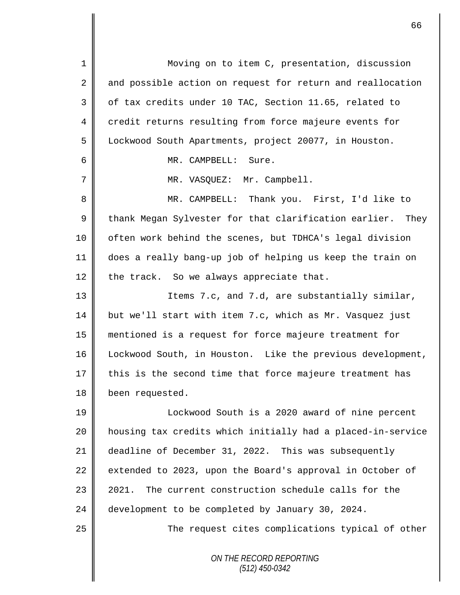*ON THE RECORD REPORTING* 1 || Moving on to item C, presentation, discussion 2 and possible action on request for return and reallocation 3 || of tax credits under 10 TAC, Section 11.65, related to 4 credit returns resulting from force majeure events for 5 Lockwood South Apartments, project 20077, in Houston. 6 MR. CAMPBELL: Sure. 7 || MR. VASQUEZ: Mr. Campbell. 8 MR. CAMPBELL: Thank you. First, I'd like to  $9 \parallel$  thank Megan Sylvester for that clarification earlier. They 10 | often work behind the scenes, but TDHCA's legal division 11 does a really bang-up job of helping us keep the train on 12 the track. So we always appreciate that. 13 || Items 7.c, and 7.d, are substantially similar, 14 but we'll start with item 7.c, which as Mr. Vasquez just 15 mentioned is a request for force majeure treatment for 16 Lockwood South, in Houston. Like the previous development,  $17$  this is the second time that force majeure treatment has 18 been requested. 19 || Lockwood South is a 2020 award of nine percent 20 || housing tax credits which initially had a placed-in-service 21 deadline of December 31, 2022. This was subsequently 22 extended to 2023, upon the Board's approval in October of 23 || 2021. The current construction schedule calls for the 24 development to be completed by January 30, 2024. 25 || The request cites complications typical of other

*(512) 450-0342*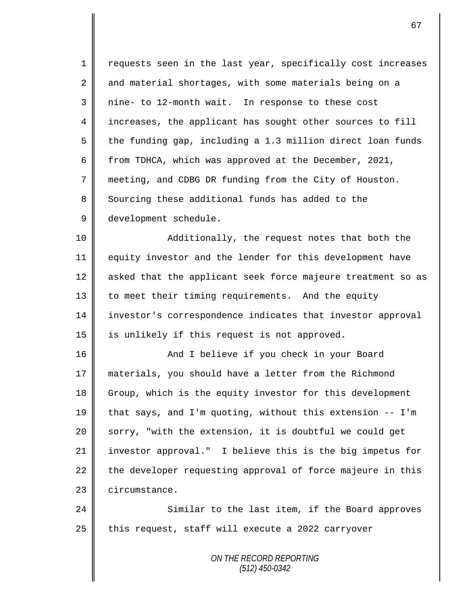1 || requests seen in the last year, specifically cost increases 2 and material shortages, with some materials being on a 3 || nine- to 12-month wait. In response to these cost 4 increases, the applicant has sought other sources to fill 5  $\parallel$  the funding gap, including a 1.3 million direct loan funds 6 from TDHCA, which was approved at the December, 2021, 7 meeting, and CDBG DR funding from the City of Houston. 8 Sourcing these additional funds has added to the 9 development schedule.

10 || Additionally, the request notes that both the 11 equity investor and the lender for this development have  $12$  asked that the applicant seek force majeure treatment so as 13 | to meet their timing requirements. And the equity 14 investor's correspondence indicates that investor approval 15 || is unlikely if this request is not approved.

16 || And I believe if you check in your Board materials, you should have a letter from the Richmond 18 Group, which is the equity investor for this development  $\parallel$  that says, and I'm quoting, without this extension -- I'm  $\parallel$  sorry, "with the extension, it is doubtful we could get investor approval." I believe this is the big impetus for the developer requesting approval of force majeure in this 23 circumstance.

24 Similar to the last item, if the Board approves  $25$  this request, staff will execute a 2022 carryover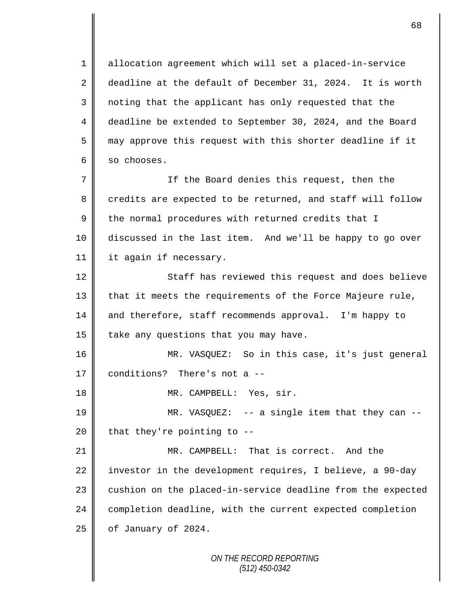1 allocation agreement which will set a placed-in-service 2 deadline at the default of December 31, 2024. It is worth 3 noting that the applicant has only requested that the 4 deadline be extended to September 30, 2024, and the Board  $5 \parallel$  may approve this request with this shorter deadline if it  $6 \parallel$  so chooses.

7 If the Board denies this request, then the  $8 \parallel$  credits are expected to be returned, and staff will follow  $9 \parallel$  the normal procedures with returned credits that I 10 discussed in the last item. And we'll be happy to go over 11 | it again if necessary.

12 || Staff has reviewed this request and does believe 13 that it meets the requirements of the Force Majeure rule, 14 and therefore, staff recommends approval. I'm happy to 15  $\parallel$  take any questions that you may have.

16 MR. VASQUEZ: So in this case, it's just general 17 conditions? There's not a --

18 || MR. CAMPBELL: Yes, sir.

19 MR. VASQUEZ: -- a single item that they can -- 20 | that they're pointing to  $-$ -

21 MR. CAMPBELL: That is correct. And the 22 investor in the development requires, I believe, a 90-day  $23$  cushion on the placed-in-service deadline from the expected 24 completion deadline, with the current expected completion  $25$  | of January of 2024.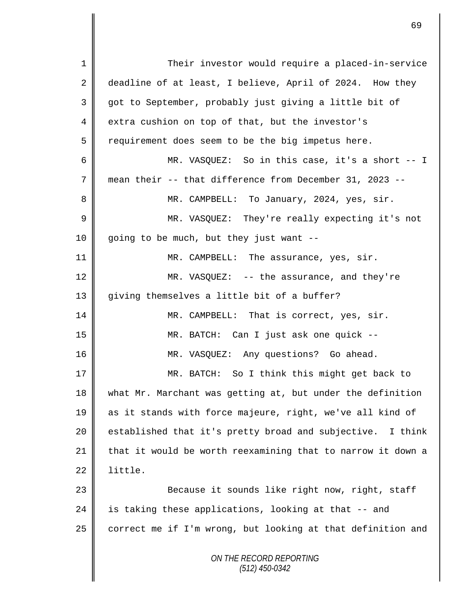| $\mathbf 1$    | Their investor would require a placed-in-service            |
|----------------|-------------------------------------------------------------|
| $\overline{2}$ | deadline of at least, I believe, April of 2024. How they    |
| 3              | got to September, probably just giving a little bit of      |
| 4              | extra cushion on top of that, but the investor's            |
| 5              | requirement does seem to be the big impetus here.           |
| 6              | MR. VASQUEZ: So in this case, it's a short -- I             |
| 7              | mean their -- that difference from December 31, 2023 --     |
| 8              | MR. CAMPBELL: To January, 2024, yes, sir.                   |
| 9              | MR. VASQUEZ: They're really expecting it's not              |
| 10             | going to be much, but they just want --                     |
| 11             | MR. CAMPBELL: The assurance, yes, sir.                      |
| 12             | MR. VASQUEZ: $--$ the assurance, and they're                |
| 13             | giving themselves a little bit of a buffer?                 |
| 14             | MR. CAMPBELL: That is correct, yes, sir.                    |
| 15             | MR. BATCH: Can I just ask one quick --                      |
| 16             | MR. VASQUEZ: Any questions? Go ahead.                       |
| 17             | MR. BATCH: So I think this might get back to                |
| 18             | what Mr. Marchant was getting at, but under the definition  |
| 19             | as it stands with force majeure, right, we've all kind of   |
| 20             | established that it's pretty broad and subjective. I think  |
| 21             | that it would be worth reexamining that to narrow it down a |
| 22             | little.                                                     |
| 23             | Because it sounds like right now, right, staff              |
| 24             | is taking these applications, looking at that -- and        |
| 25             | correct me if I'm wrong, but looking at that definition and |
|                | ON THE RECORD REPORTING<br>$(512)$ 450-0342                 |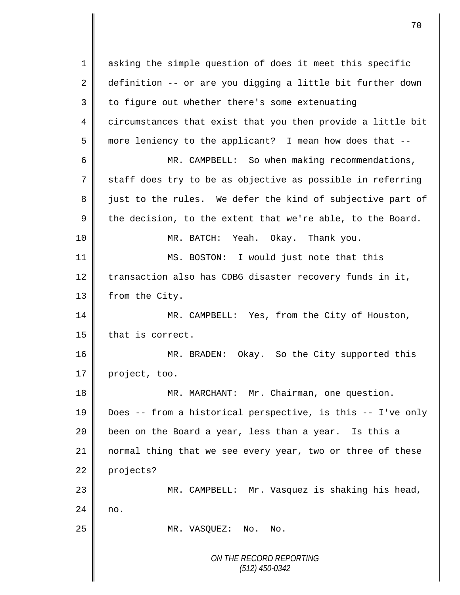*ON THE RECORD REPORTING (512) 450-0342* 1 || asking the simple question of does it meet this specific 2 definition -- or are you digging a little bit further down  $3 \parallel$  to figure out whether there's some extenuating 4 circumstances that exist that you then provide a little bit 5 more leniency to the applicant? I mean how does that --6 MR. CAMPBELL: So when making recommendations, 7 staff does try to be as objective as possible in referring 8 just to the rules. We defer the kind of subjective part of 9 the decision, to the extent that we're able, to the Board. 10 MR. BATCH: Yeah. Okay. Thank you. 11 MS. BOSTON: I would just note that this 12 transaction also has CDBG disaster recovery funds in it, 13 | from the City. 14 || MR. CAMPBELL: Yes, from the City of Houston, 15 that is correct. 16 MR. BRADEN: Okay. So the City supported this 17 project, too. 18 | MR. MARCHANT: Mr. Chairman, one question. 19 Does -- from a historical perspective, is this -- I've only 20 | been on the Board a year, less than a year. Is this a 21 normal thing that we see every year, two or three of these 22 projects? 23 MR. CAMPBELL: Mr. Vasquez is shaking his head,  $24$  no. 25 || MR. VASQUEZ: No. No.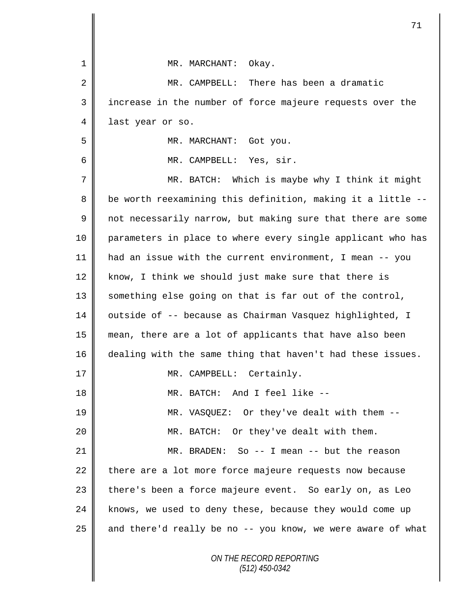|    | 71                                                          |
|----|-------------------------------------------------------------|
| 1  | Okay.<br>MR. MARCHANT:                                      |
| 2  | MR. CAMPBELL: There has been a dramatic                     |
| 3  | increase in the number of force majeure requests over the   |
| 4  | last year or so.                                            |
| 5  | MR. MARCHANT: Got you.                                      |
| 6  | MR. CAMPBELL: Yes, sir.                                     |
| 7  | Which is maybe why I think it might<br>MR. BATCH:           |
| 8  | be worth reexamining this definition, making it a little -- |
| 9  | not necessarily narrow, but making sure that there are some |
| 10 | parameters in place to where every single applicant who has |
| 11 | had an issue with the current environment, I mean -- you    |
| 12 | know, I think we should just make sure that there is        |
| 13 | something else going on that is far out of the control,     |
| 14 | outside of -- because as Chairman Vasquez highlighted, I    |
| 15 | mean, there are a lot of applicants that have also been     |
| 16 | dealing with the same thing that haven't had these issues.  |
| 17 | Certainly.<br>MR. CAMPBELL:                                 |
| 18 | MR. BATCH: And I feel like --                               |
| 19 | MR. VASQUEZ: Or they've dealt with them --                  |
| 20 | MR. BATCH: Or they've dealt with them.                      |
| 21 | MR. BRADEN: So -- I mean -- but the reason                  |
| 22 | there are a lot more force majeure requests now because     |
| 23 | there's been a force majeure event. So early on, as Leo     |
| 24 | knows, we used to deny these, because they would come up    |
| 25 | and there'd really be no -- you know, we were aware of what |
|    | ON THE RECORD REPORTING<br>$(512)$ 450-0342                 |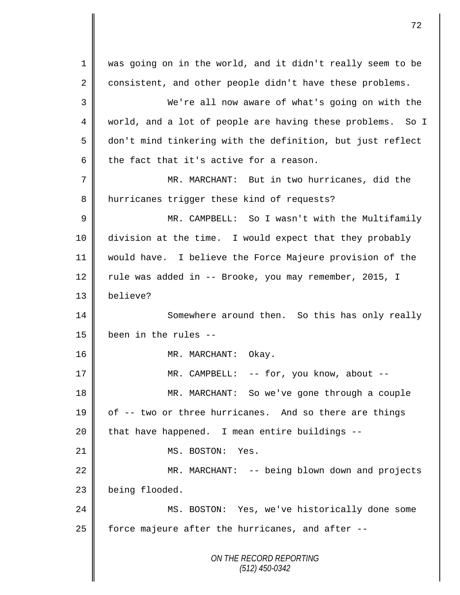*ON THE RECORD REPORTING (512) 450-0342* 1 was going on in the world, and it didn't really seem to be 2 consistent, and other people didn't have these problems. 3 We're all now aware of what's going on with the 4 || world, and a lot of people are having these problems. So I 5 don't mind tinkering with the definition, but just reflect 6 the fact that it's active for a reason. 7 MR. MARCHANT: But in two hurricanes, did the 8 | hurricanes trigger these kind of requests? 9 MR. CAMPBELL: So I wasn't with the Multifamily 10 division at the time. I would expect that they probably 11 would have. I believe the Force Majeure provision of the 12 Tule was added in -- Brooke, you may remember, 2015, I 13 believe? 14 Somewhere around then. So this has only really 15  $\parallel$  been in the rules --16 || MR. MARCHANT: Okay. 17 || MR. CAMPBELL: -- for, you know, about --18 MR. MARCHANT: So we've gone through a couple 19 | of -- two or three hurricanes. And so there are things  $20$  | that have happened. I mean entire buildings --21 || MS. BOSTON: Yes. 22 MR. MARCHANT: -- being blown down and projects 23 being flooded. 24 MS. BOSTON: Yes, we've historically done some 25  $\parallel$  force majeure after the hurricanes, and after  $-$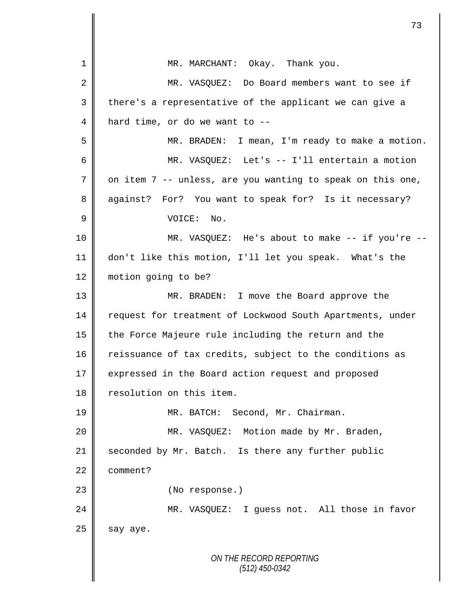*ON THE RECORD REPORTING (512) 450-0342* 1 MR. MARCHANT: Okay. Thank you. 2 MR. VASQUEZ: Do Board members want to see if 3 || there's a representative of the applicant we can give a  $4 \parallel$  hard time, or do we want to --5 MR. BRADEN: I mean, I'm ready to make a motion. 6 MR. VASQUEZ: Let's -- I'll entertain a motion  $7 \parallel$  on item 7 -- unless, are you wanting to speak on this one, 8 against? For? You want to speak for? Is it necessary? 9 VOICE: No. 10 MR. VASQUEZ: He's about to make -- if you're -- 11 don't like this motion, I'll let you speak. What's the 12 | motion going to be? 13 MR. BRADEN: I move the Board approve the 14 request for treatment of Lockwood South Apartments, under 15 the Force Majeure rule including the return and the 16 reissuance of tax credits, subject to the conditions as 17 expressed in the Board action request and proposed 18 | resolution on this item. 19 | MR. BATCH: Second, Mr. Chairman. 20 MR. VASQUEZ: Motion made by Mr. Braden, 21 seconded by Mr. Batch. Is there any further public 22 comment? 23 || (No response.) 24 MR. VASQUEZ: I guess not. All those in favor  $25$  say aye.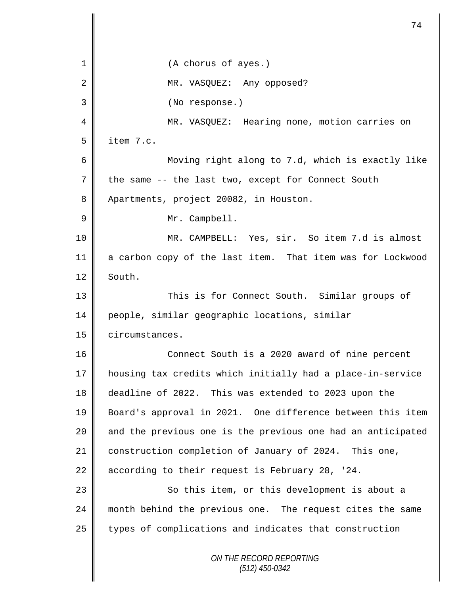*ON THE RECORD REPORTING* 1 || (A chorus of ayes.) 2 || MR. VASOUEZ: Any opposed? 3 (No response.) 4 MR. VASQUEZ: Hearing none, motion carries on  $5 \parallel$  item 7.c. 6 Moving right along to 7.d, which is exactly like  $7 \parallel$  the same -- the last two, except for Connect South 8 Apartments, project 20082, in Houston. 9 || Mr. Campbell. 10 MR. CAMPBELL: Yes, sir. So item 7.d is almost 11 a carbon copy of the last item. That item was for Lockwood  $12 \parallel$  South. 13 This is for Connect South. Similar groups of 14 people, similar geographic locations, similar 15 **circumstances.** 16 Connect South is a 2020 award of nine percent 17 housing tax credits which initially had a place-in-service 18 deadline of 2022. This was extended to 2023 upon the 19 Board's approval in 2021. One difference between this item 20 || and the previous one is the previous one had an anticipated 21 construction completion of January of 2024. This one, 22 according to their request is February 28, '24. 23 || So this item, or this development is about a 24 month behind the previous one. The request cites the same 25 types of complications and indicates that construction

74

*(512) 450-0342*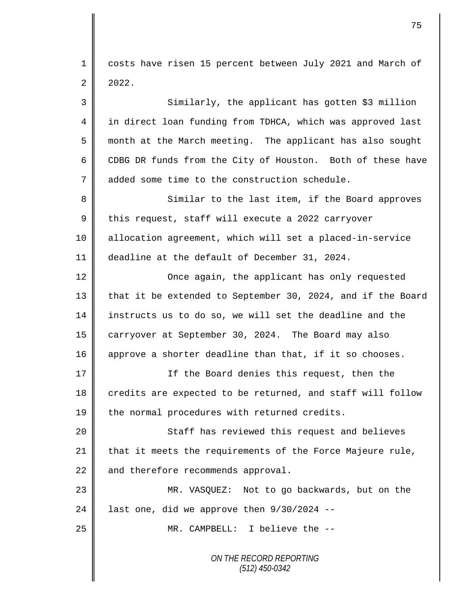1 | costs have risen 15 percent between July 2021 and March of  $2 \mid 2022.$ 

*ON THE RECORD REPORTING (512) 450-0342* 3 Similarly, the applicant has gotten \$3 million 4 in direct loan funding from TDHCA, which was approved last 5 month at the March meeting. The applicant has also sought 6 CDBG DR funds from the City of Houston. Both of these have 7 added some time to the construction schedule. 8 Similar to the last item, if the Board approves  $9 \parallel$  this request, staff will execute a 2022 carryover 10 allocation agreement, which will set a placed-in-service 11 deadline at the default of December 31, 2024. 12 | Once again, the applicant has only requested 13 that it be extended to September 30, 2024, and if the Board 14 instructs us to do so, we will set the deadline and the 15 carryover at September 30, 2024. The Board may also 16 approve a shorter deadline than that, if it so chooses. 17 If the Board denies this request, then the 18 credits are expected to be returned, and staff will follow  $19$  the normal procedures with returned credits. 20 || Staff has reviewed this request and believes 21  $\parallel$  that it meets the requirements of the Force Majeure rule,  $22$  and therefore recommends approval. 23 MR. VASQUEZ: Not to go backwards, but on the 24 | last one, did we approve then  $9/30/2024$  --25 || MR. CAMPBELL: I believe the --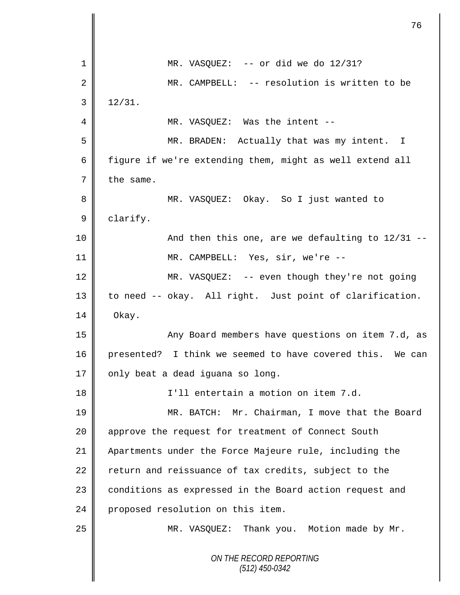|    | 76                                                        |
|----|-----------------------------------------------------------|
| 1  | MR. VASQUEZ: $--$ or did we do $12/31$ ?                  |
| 2  | MR. CAMPBELL: -- resolution is written to be              |
| 3  | 12/31.                                                    |
| 4  | MR. VASQUEZ: Was the intent --                            |
| 5  | MR. BRADEN: Actually that was my intent. I                |
| 6  | figure if we're extending them, might as well extend all  |
| 7  | the same.                                                 |
| 8  | MR. VASQUEZ: Okay. So I just wanted to                    |
| 9  | clarify.                                                  |
| 10 | And then this one, are we defaulting to 12/31 --          |
| 11 | MR. CAMPBELL: Yes, sir, we're --                          |
| 12 | MR. VASQUEZ: -- even though they're not going             |
| 13 | to need -- okay. All right. Just point of clarification.  |
| 14 | Okay.                                                     |
| 15 | Any Board members have questions on item 7.d, as          |
| 16 | presented? I think we seemed to have covered this. We can |
| 17 | only beat a dead iguana so long.                          |
| 18 | I'll entertain a motion on item 7.d.                      |
| 19 | MR. BATCH: Mr. Chairman, I move that the Board            |
| 20 | approve the request for treatment of Connect South        |
| 21 | Apartments under the Force Majeure rule, including the    |
| 22 | return and reissuance of tax credits, subject to the      |
| 23 | conditions as expressed in the Board action request and   |
| 24 | proposed resolution on this item.                         |
| 25 | MR. VASQUEZ: Thank you. Motion made by Mr.                |
|    | ON THE RECORD REPORTING<br>$(512)$ 450-0342               |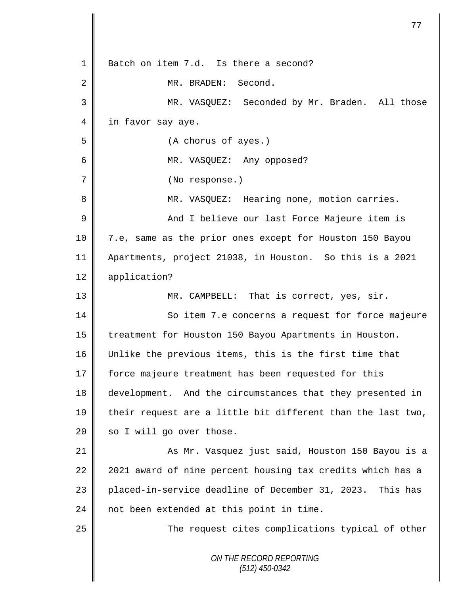|             | 77                                                          |
|-------------|-------------------------------------------------------------|
| 1           | Batch on item 7.d. Is there a second?                       |
| 2           | MR. BRADEN:<br>Second.                                      |
| 3           | MR. VASQUEZ: Seconded by Mr. Braden. All those              |
| 4           | in favor say aye.                                           |
| 5           | (A chorus of ayes.)                                         |
|             |                                                             |
| 6           | MR. VASQUEZ: Any opposed?                                   |
| 7           | (No response.)                                              |
| 8           | MR. VASQUEZ: Hearing none, motion carries.                  |
| $\mathsf 9$ | And I believe our last Force Majeure item is                |
| 10          | 7.e, same as the prior ones except for Houston 150 Bayou    |
| 11          | Apartments, project 21038, in Houston. So this is a 2021    |
| 12          | application?                                                |
| 13          | MR. CAMPBELL: That is correct, yes, sir.                    |
| 14          | So item 7.e concerns a request for force majeure            |
| 15          | treatment for Houston 150 Bayou Apartments in Houston.      |
| 16          | Unlike the previous items, this is the first time that      |
| 17          | force majeure treatment has been requested for this         |
| 18          | development. And the circumstances that they presented in   |
| 19          | their request are a little bit different than the last two, |
| 20          | so I will go over those.                                    |
| 21          | As Mr. Vasquez just said, Houston 150 Bayou is a            |
| 22          | 2021 award of nine percent housing tax credits which has a  |
| 23          | placed-in-service deadline of December 31, 2023. This has   |
| 24          | not been extended at this point in time.                    |
| 25          | The request cites complications typical of other            |
|             | ON THE RECORD REPORTING<br>$(512)$ 450-0342                 |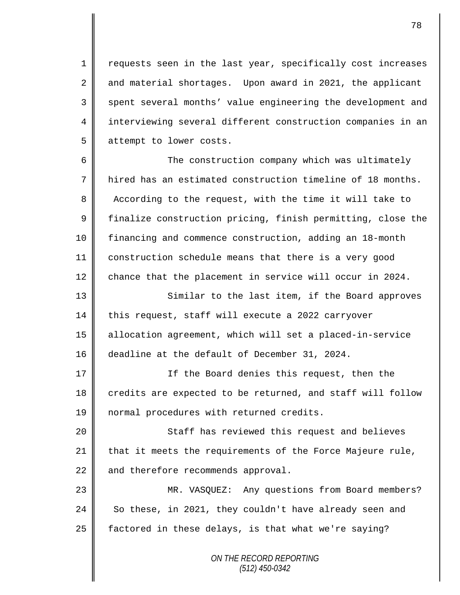1 | requests seen in the last year, specifically cost increases 2 and material shortages. Upon award in 2021, the applicant 3 spent several months' value engineering the development and 4 || interviewing several different construction companies in an 5 attempt to lower costs.

 The construction company which was ultimately hired has an estimated construction timeline of 18 months. 8 According to the request, with the time it will take to 9 | finalize construction pricing, finish permitting, close the financing and commence construction, adding an 18-month construction schedule means that there is a very good chance that the placement in service will occur in 2024.

13 || Similar to the last item, if the Board approves 14 this request, staff will execute a 2022 carryover 15 allocation agreement, which will set a placed-in-service 16 deadline at the default of December 31, 2024.

17 || If the Board denies this request, then the 18 credits are expected to be returned, and staff will follow 19 | normal procedures with returned credits.

20 || Staff has reviewed this request and believes  $21$  that it meets the requirements of the Force Majeure rule,  $22$  and therefore recommends approval.

23 MR. VASQUEZ: Any questions from Board members? 24 So these, in 2021, they couldn't have already seen and 25  $\parallel$  factored in these delays, is that what we're saying?

> *ON THE RECORD REPORTING (512) 450-0342*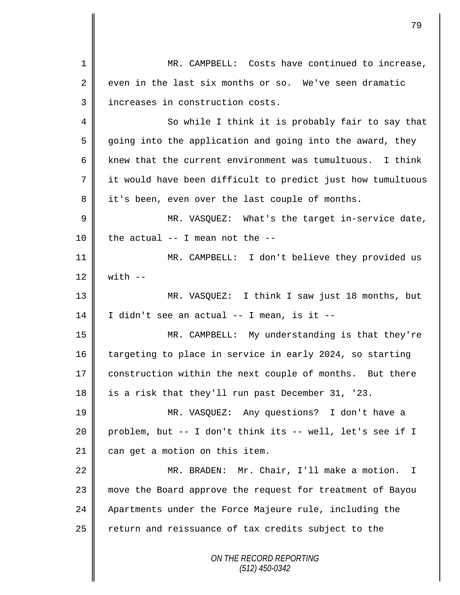*ON THE RECORD REPORTING (512) 450-0342* 1 MR. CAMPBELL: Costs have continued to increase,  $2 \parallel$  even in the last six months or so. We've seen dramatic 3 || increases in construction costs. 4 || So while I think it is probably fair to say that  $5 \parallel$  going into the application and going into the award, they 6 knew that the current environment was tumultuous. I think 7 it would have been difficult to predict just how tumultuous 8 it's been, even over the last couple of months. 9 MR. VASQUEZ: What's the target in-service date, 10 | the actual  $-$ - I mean not the  $-$ -11 MR. CAMPBELL: I don't believe they provided us 12  $\parallel$  with  $-$ 13 MR. VASQUEZ: I think I saw just 18 months, but  $14 \parallel$  I didn't see an actual -- I mean, is it --15 MR. CAMPBELL: My understanding is that they're 16 targeting to place in service in early 2024, so starting 17 | construction within the next couple of months. But there 18 is a risk that they'll run past December 31, '23. 19 MR. VASQUEZ: Any questions? I don't have a 20 problem, but -- I don't think its -- well, let's see if I 21 can get a motion on this item. 22 | MR. BRADEN: Mr. Chair, I'll make a motion. I 23 move the Board approve the request for treatment of Bayou 24 Apartments under the Force Majeure rule, including the  $25$  return and reissuance of tax credits subject to the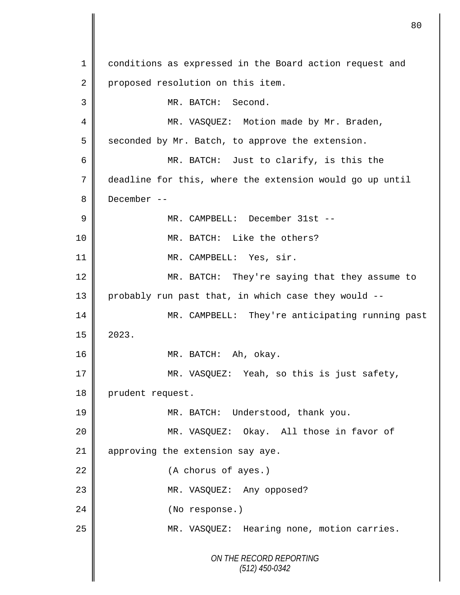*ON THE RECORD REPORTING (512) 450-0342* 1 conditions as expressed in the Board action request and 2 | proposed resolution on this item. 3 MR. BATCH: Second. 4 || MR. VASQUEZ: Motion made by Mr. Braden,  $5 \parallel$  seconded by Mr. Batch, to approve the extension. 6 MR. BATCH: Just to clarify, is this the 7 deadline for this, where the extension would go up until 8 December -- 9 MR. CAMPBELL: December 31st -- 10 MR. BATCH: Like the others? 11 || MR. CAMPBELL: Yes, sir. 12 MR. BATCH: They're saying that they assume to 13 probably run past that, in which case they would --14 MR. CAMPBELL: They're anticipating running past  $15 \parallel 2023$ . 16 || MR. BATCH: Ah, okay. 17 MR. VASQUEZ: Yeah, so this is just safety, 18 prudent request. 19 || MR. BATCH: Understood, thank you. 20 MR. VASQUEZ: Okay. All those in favor of 21 | approving the extension say aye. 22 (A chorus of ayes.) 23 || MR. VASQUEZ: Any opposed? 24 || (No response.) 25 MR. VASQUEZ: Hearing none, motion carries.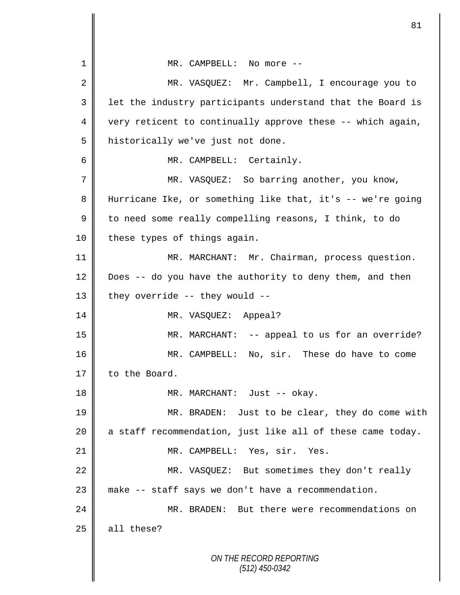| 1              | MR. CAMPBELL: No more --                                   |
|----------------|------------------------------------------------------------|
| $\overline{2}$ | MR. VASQUEZ: Mr. Campbell, I encourage you to              |
| 3              | let the industry participants understand that the Board is |
| 4              | very reticent to continually approve these -- which again, |
| 5              | historically we've just not done.                          |
| 6              | MR. CAMPBELL: Certainly.                                   |
| 7              | MR. VASQUEZ: So barring another, you know,                 |
| 8              | Hurricane Ike, or something like that, it's -- we're going |
| 9              | to need some really compelling reasons, I think, to do     |
| $10 \,$        | these types of things again.                               |
| 11             | MR. MARCHANT: Mr. Chairman, process question.              |
| 12             | Does -- do you have the authority to deny them, and then   |
| 13             | they override -- they would --                             |
| 14             | MR. VASQUEZ: Appeal?                                       |
| 15             | MR. MARCHANT: -- appeal to us for an override?             |
| 16             | MR. CAMPBELL: No, sir. These do have to come               |
| 17             | to the Board.                                              |
| 18             | MR. MARCHANT: Just -- okay.                                |
| 19             | MR. BRADEN: Just to be clear, they do come with            |
| 20             | a staff recommendation, just like all of these came today. |
| 21             | MR. CAMPBELL: Yes, sir. Yes.                               |
| 22             | MR. VASQUEZ: But sometimes they don't really               |
| 23             | make -- staff says we don't have a recommendation.         |
| 24             | MR. BRADEN: But there were recommendations on              |
| 25             | all these?                                                 |
|                | ON THE RECORD REPORTING                                    |
|                | $(512)$ 450-0342                                           |

 $\overline{\mathsf{I}}$ II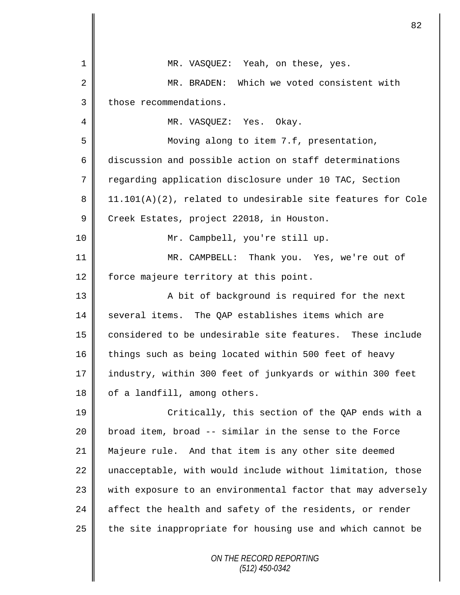*ON THE RECORD REPORTING* 1 MR. VASOUEZ: Yeah, on these, yes. 2 MR. BRADEN: Which we voted consistent with 3 | those recommendations. 4 | MR. VASQUEZ: Yes. Okay. 5 Moving along to item 7.f, presentation, 6 discussion and possible action on staff determinations 7 Teqarding application disclosure under 10 TAC, Section 8 | 11.101(A)(2), related to undesirable site features for Cole 9 Creek Estates, project 22018, in Houston. 10 Mr. Campbell, you're still up. 11 MR. CAMPBELL: Thank you. Yes, we're out of 12 | force majeure territory at this point. 13 || A bit of background is required for the next 14 | several items. The QAP establishes items which are 15 considered to be undesirable site features. These include 16 things such as being located within 500 feet of heavy 17 industry, within 300 feet of junkyards or within 300 feet  $18$  | of a landfill, among others. 19 || Critically, this section of the QAP ends with a  $20$  | broad item, broad  $-$  similar in the sense to the Force 21 Majeure rule. And that item is any other site deemed  $22$  unacceptable, with would include without limitation, those  $23$  with exposure to an environmental factor that may adversely 24  $\parallel$  affect the health and safety of the residents, or render 25  $\parallel$  the site inappropriate for housing use and which cannot be

82

*(512) 450-0342*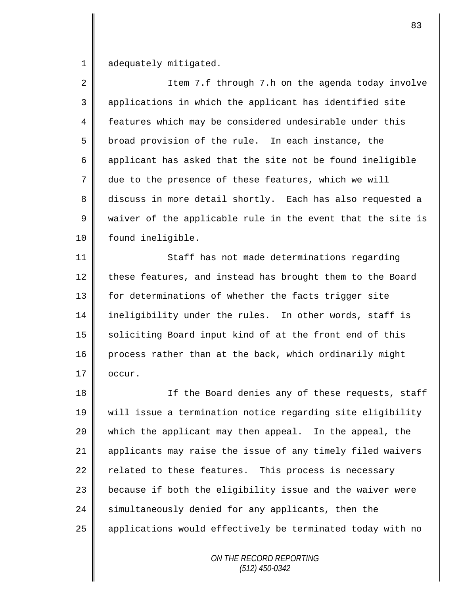1 adequately mitigated.

2 || Item 7.f through 7.h on the agenda today involve 3 applications in which the applicant has identified site 4 features which may be considered undesirable under this  $5 \parallel$  broad provision of the rule. In each instance, the 6 applicant has asked that the site not be found ineligible 7 due to the presence of these features, which we will 8 discuss in more detail shortly. Each has also requested a  $9 \parallel$  waiver of the applicable rule in the event that the site is 10 | found ineligible.

11 | Staff has not made determinations regarding 12  $\parallel$  these features, and instead has brought them to the Board 13 | for determinations of whether the facts trigger site 14 ineligibility under the rules. In other words, staff is 15 | soliciting Board input kind of at the front end of this 16 process rather than at the back, which ordinarily might  $17 \parallel$  occur.

18 || If the Board denies any of these requests, staff 19 will issue a termination notice regarding site eligibility 20 which the applicant may then appeal. In the appeal, the 21 | applicants may raise the issue of any timely filed waivers 22  $\parallel$  related to these features. This process is necessary  $23$   $\parallel$  because if both the eligibility issue and the waiver were 24 Simultaneously denied for any applicants, then the 25 | applications would effectively be terminated today with no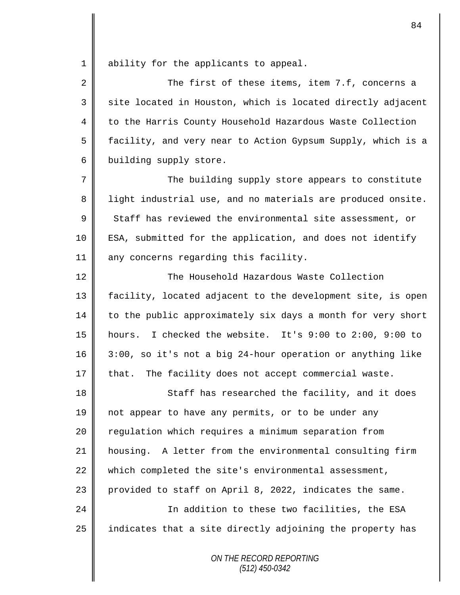1 ability for the applicants to appeal.

2 The first of these items, item 7.f, concerns a 3 || site located in Houston, which is located directly adjacent 4 to the Harris County Household Hazardous Waste Collection 5 | facility, and very near to Action Gypsum Supply, which is a 6 building supply store.

7 || The building supply store appears to constitute 8 || light industrial use, and no materials are produced onsite.  $9 \parallel$  Staff has reviewed the environmental site assessment, or 10 ESA, submitted for the application, and does not identify 11 | any concerns regarding this facility.

12 The Household Hazardous Waste Collection facility, located adjacent to the development site, is open to the public approximately six days a month for very short hours. I checked the website. It's 9:00 to 2:00, 9:00 to 3:00, so it's not a big 24-hour operation or anything like | that. The facility does not accept commercial waste.

18 || Staff has researched the facility, and it does 19 not appear to have any permits, or to be under any 20 | regulation which requires a minimum separation from 21 housing. A letter from the environmental consulting firm  $22$  which completed the site's environmental assessment, 23  $\parallel$  provided to staff on April 8, 2022, indicates the same. 24 | Charlon to these two facilities, the ESA

 $25$  | indicates that a site directly adjoining the property has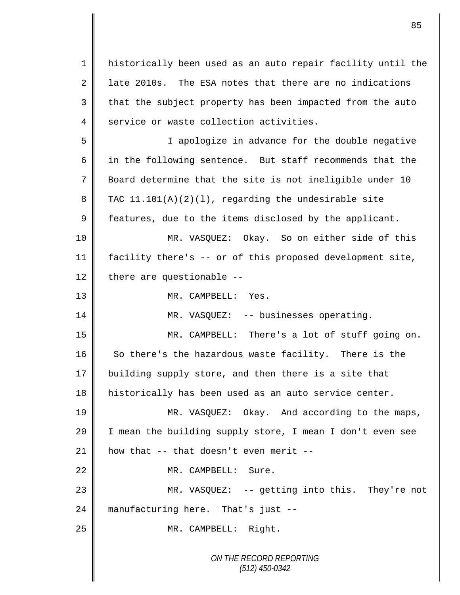1 historically been used as an auto repair facility until the 2 1 late 2010s. The ESA notes that there are no indications  $3 \parallel$  that the subject property has been impacted from the auto 4 service or waste collection activities.

5 I apologize in advance for the double negative  $6$  || in the following sentence. But staff recommends that the 7 Board determine that the site is not ineligible under 10 8 TAC  $11.101(A)(2)(1)$ , regarding the undesirable site  $9 \parallel$  features, due to the items disclosed by the applicant.

10 MR. VASQUEZ: Okay. So on either side of this 11 facility there's -- or of this proposed development site, 12 there are questionable  $-$ 

13 || MR. CAMPBELL: Yes.

14 || MR. VASQUEZ: -- businesses operating.

15 MR. CAMPBELL: There's a lot of stuff going on. 16 So there's the hazardous waste facility. There is the 17 building supply store, and then there is a site that 18 | historically has been used as an auto service center.

19 MR. VASQUEZ: Okay. And according to the maps, 20 I mean the building supply store, I mean I don't even see 21  $\parallel$  how that -- that doesn't even merit --

22 MR. CAMPBELL: Sure.

23 MR. VASQUEZ: -- getting into this. They're not 24 manufacturing here. That's just --

25 || MR. CAMPBELL: Right.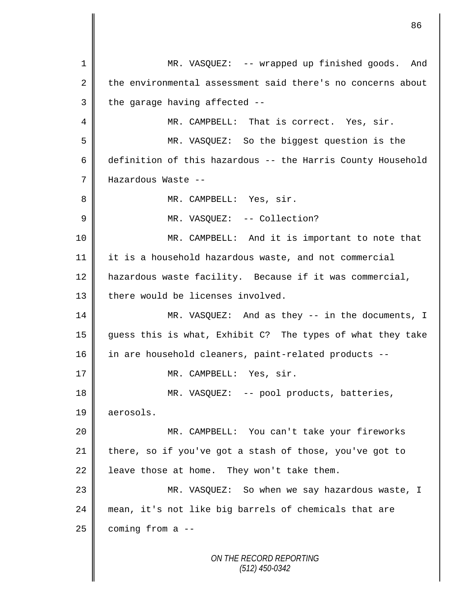*ON THE RECORD REPORTING* 1 || MR. VASQUEZ: -- wrapped up finished goods. And 2 the environmental assessment said there's no concerns about  $3 \parallel$  the garage having affected --4 || MR. CAMPBELL: That is correct. Yes, sir. 5 MR. VASQUEZ: So the biggest question is the 6 definition of this hazardous  $-$  the Harris County Household 7 Hazardous Waste -- 8 | MR. CAMPBELL: Yes, sir. 9 || MR. VASQUEZ: -- Collection? 10 MR. CAMPBELL: And it is important to note that 11 it is a household hazardous waste, and not commercial 12 | hazardous waste facility. Because if it was commercial, 13 | there would be licenses involved. 14 MR. VASQUEZ: And as they -- in the documents, I 15 guess this is what, Exhibit C? The types of what they take 16 in are household cleaners, paint-related products --17 || MR. CAMPBELL: Yes, sir. 18 MR. VASQUEZ: -- pool products, batteries, 19 aerosols. 20 || MR. CAMPBELL: You can't take your fireworks 21 there, so if you've got a stash of those, you've got to 22 | leave those at home. They won't take them. 23 MR. VASQUEZ: So when we say hazardous waste, I 24 mean, it's not like big barrels of chemicals that are  $25$  coming from a  $-$ 

*(512) 450-0342*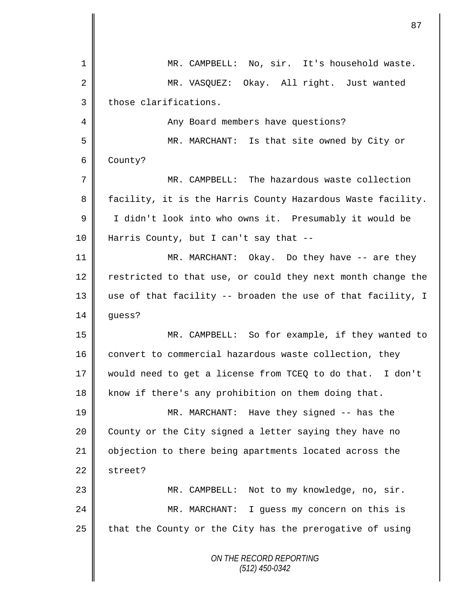| 1       | MR. CAMPBELL: No, sir. It's household waste.                |
|---------|-------------------------------------------------------------|
| 2       | MR. VASQUEZ: Okay. All right. Just wanted                   |
| 3       | those clarifications.                                       |
| 4       | Any Board members have questions?                           |
| 5       | MR. MARCHANT: Is that site owned by City or                 |
| 6       | County?                                                     |
| 7       | MR. CAMPBELL: The hazardous waste collection                |
| 8       | facility, it is the Harris County Hazardous Waste facility. |
| 9       | I didn't look into who owns it. Presumably it would be      |
| $10 \,$ | Harris County, but I can't say that $-$ -                   |
| 11      | MR. MARCHANT: Okay. Do they have -- are they                |
| 12      | restricted to that use, or could they next month change the |
| 13      | use of that facility -- broaden the use of that facility, I |
| 14      | guess?                                                      |
| 15      | MR. CAMPBELL: So for example, if they wanted to             |
| 16      | convert to commercial hazardous waste collection, they      |
| 17      | would need to get a license from TCEQ to do that. I don't   |
| 18      | know if there's any prohibition on them doing that.         |
| 19      | MR. MARCHANT: Have they signed -- has the                   |
| 20      | County or the City signed a letter saying they have no      |
| 21      | objection to there being apartments located across the      |
| 22      | street?                                                     |
| 23      | Not to my knowledge, no, sir.<br>MR. CAMPBELL:              |
| 24      | MR. MARCHANT: I guess my concern on this is                 |
| 25      | that the County or the City has the prerogative of using    |
|         | ON THE RECORD REPORTING<br>$(512)$ 450-0342                 |

 $\mathbf l$ II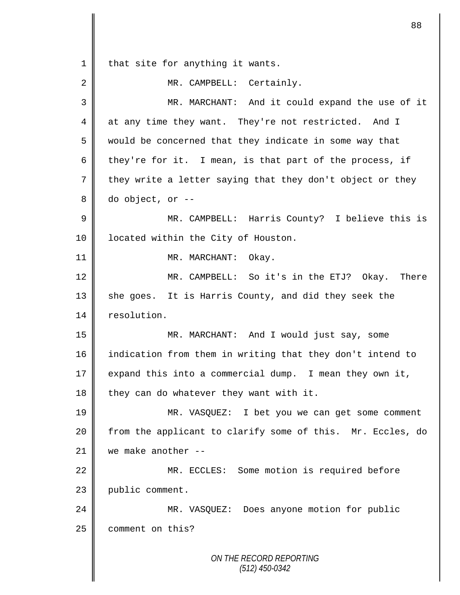1 that site for anything it wants.

| $\overline{2}$ | MR. CAMPBELL: Certainly.                                   |
|----------------|------------------------------------------------------------|
| 3              | MR. MARCHANT: And it could expand the use of it            |
| 4              | at any time they want. They're not restricted. And I       |
| 5              | would be concerned that they indicate in some way that     |
| 6              | they're for it. I mean, is that part of the process, if    |
| 7              | they write a letter saying that they don't object or they  |
| 8              | do object, or --                                           |
| 9              | MR. CAMPBELL: Harris County? I believe this is             |
| 10             | located within the City of Houston.                        |
| 11             | MR. MARCHANT: Okay.                                        |
| 12             | MR. CAMPBELL: So it's in the ETJ? Okay. There              |
| 13             | she goes. It is Harris County, and did they seek the       |
| 14             | resolution.                                                |
| 15             | MR. MARCHANT: And I would just say, some                   |
| 16             | indication from them in writing that they don't intend to  |
| 17             | expand this into a commercial dump. I mean they own it,    |
| 18             | they can do whatever they want with it.                    |
| 19             | MR. VASQUEZ: I bet you we can get some comment             |
| 20             | from the applicant to clarify some of this. Mr. Eccles, do |
| 21             | we make another --                                         |
| 22             | MR. ECCLES: Some motion is required before                 |
| 23             | public comment.                                            |
| 24             | MR. VASQUEZ: Does anyone motion for public                 |
| 25             | comment on this?                                           |
|                |                                                            |
|                | ON THE RECORD REPORTING<br>$(512)$ 450-0342                |
|                |                                                            |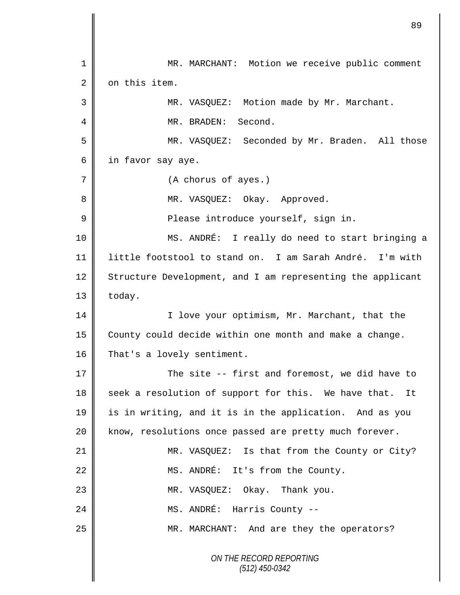*ON THE RECORD REPORTING (512) 450-0342* 1 || MR. MARCHANT: Motion we receive public comment 2 | on this item. 3 || MR. VASQUEZ: Motion made by Mr. Marchant. 4 MR. BRADEN: Second. 5 MR. VASQUEZ: Seconded by Mr. Braden. All those 6 in favor say aye. 7 | (A chorus of ayes.) 8 MR. VASQUEZ: Okay. Approved. 9 || Please introduce yourself, sign in. 10 MS. ANDRÉ: I really do need to start bringing a 11 little footstool to stand on. I am Sarah André. I'm with 12 Structure Development, and I am representing the applicant  $13$  | today. 14 | I love your optimism, Mr. Marchant, that the 15 | County could decide within one month and make a change. 16 That's a lovely sentiment. 17 The site -- first and foremost, we did have to 18 seek a resolution of support for this. We have that. It 19 is in writing, and it is in the application. And as you 20 | know, resolutions once passed are pretty much forever. 21 | MR. VASQUEZ: Is that from the County or City? 22 MS. ANDRÉ: It's from the County. 23 MR. VASQUEZ: Okay. Thank you. 24 || MS. ANDRÉ: Harris County --25 MR. MARCHANT: And are they the operators?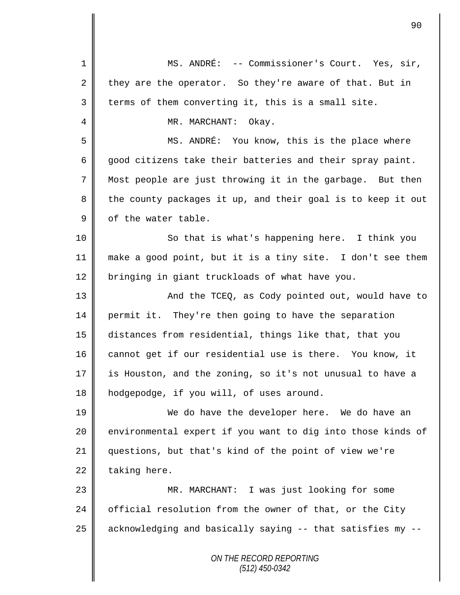| $\mathbf 1$    | MS. ANDRÉ: -- Commissioner's Court. Yes, sir,               |
|----------------|-------------------------------------------------------------|
| $\overline{a}$ | they are the operator. So they're aware of that. But in     |
| 3              | terms of them converting it, this is a small site.          |
| 4              | MR. MARCHANT: Okay.                                         |
| 5              | MS. ANDRÉ: You know, this is the place where                |
| 6              | good citizens take their batteries and their spray paint.   |
| 7              | Most people are just throwing it in the garbage. But then   |
| 8              | the county packages it up, and their goal is to keep it out |
| $\mathsf 9$    | of the water table.                                         |
| 10             | So that is what's happening here. I think you               |
| 11             | make a good point, but it is a tiny site. I don't see them  |
| 12             | bringing in giant truckloads of what have you.              |
| 13             | And the TCEQ, as Cody pointed out, would have to            |
| 14             | permit it. They're then going to have the separation        |
| 15             | distances from residential, things like that, that you      |
| 16             | cannot get if our residential use is there. You know, it    |
| 17             | is Houston, and the zoning, so it's not unusual to have a   |
| 18             | hodgepodge, if you will, of uses around.                    |
| 19             | We do have the developer here. We do have an                |
| 20             | environmental expert if you want to dig into those kinds of |
| 21             | questions, but that's kind of the point of view we're       |
| 22             | taking here.                                                |
| 23             | MR. MARCHANT: I was just looking for some                   |
| 24             | official resolution from the owner of that, or the City     |
| 25             | acknowledging and basically saying -- that satisfies my --  |
|                | ON THE RECORD REPORTING<br>(512) 450-0342                   |

 $\mathsf{I}$ 

║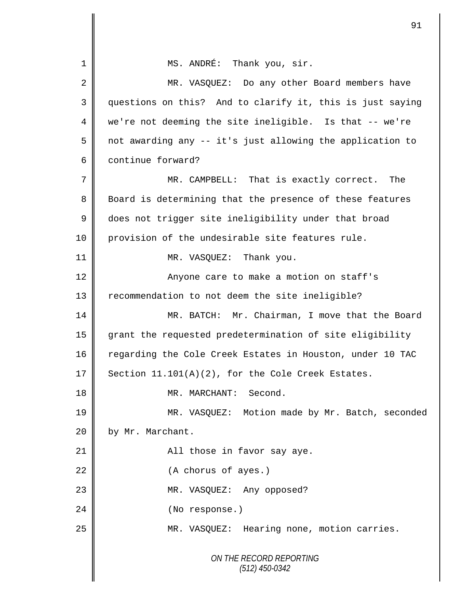*ON THE RECORD REPORTING (512) 450-0342* 1 || MS. ANDRÉ: Thank you, sir. 2 MR. VASQUEZ: Do any other Board members have 3 questions on this? And to clarify it, this is just saying 4 we're not deeming the site ineligible. Is that -- we're 5 | not awarding any  $-$  it's just allowing the application to 6 continue forward? 7 MR. CAMPBELL: That is exactly correct. The 8 Board is determining that the presence of these features 9 does not trigger site ineligibility under that broad 10 provision of the undesirable site features rule. 11 || MR. VASQUEZ: Thank you. 12 || Anyone care to make a motion on staff's 13 Tecommendation to not deem the site ineligible? 14 MR. BATCH: Mr. Chairman, I move that the Board 15 grant the requested predetermination of site eligibility 16 regarding the Cole Creek Estates in Houston, under 10 TAC 17 Section  $11.101(A)(2)$ , for the Cole Creek Estates. 18 || MR. MARCHANT: Second. 19 MR. VASQUEZ: Motion made by Mr. Batch, seconded 20 | by Mr. Marchant. 21 || **All those in favor say aye.** 22 (A chorus of ayes.) 23 || MR. VASQUEZ: Any opposed? 24 || (No response.) 25 | MR. VASQUEZ: Hearing none, motion carries.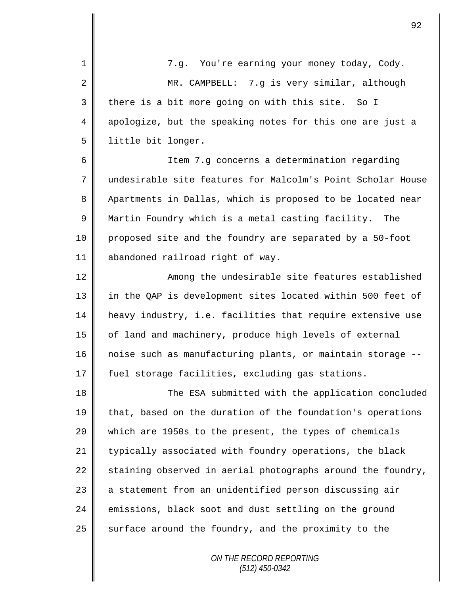1 || 7.g. You're earning your money today, Cody. 2 || MR. CAMPBELL: 7.g is very similar, although  $3 \parallel$  there is a bit more going on with this site. So I 4 apologize, but the speaking notes for this one are just a 5 | little bit longer. 6 || Item 7.g concerns a determination regarding 7 undesirable site features for Malcolm's Point Scholar House 8 Apartments in Dallas, which is proposed to be located near 9 Martin Foundry which is a metal casting facility. The 10 proposed site and the foundry are separated by a 50-foot 11 abandoned railroad right of way. 12  $\parallel$  2 Among the undesirable site features established 13 || in the QAP is development sites located within 500 feet of 14 heavy industry, i.e. facilities that require extensive use 15 of land and machinery, produce high levels of external 16 noise such as manufacturing plants, or maintain storage --17 fuel storage facilities, excluding gas stations. 18 || The ESA submitted with the application concluded 19 that, based on the duration of the foundation's operations 20 which are 1950s to the present, the types of chemicals 21 | typically associated with foundry operations, the black 22  $\parallel$  staining observed in aerial photographs around the foundry, 23 | a statement from an unidentified person discussing air 24 emissions, black soot and dust settling on the ground 25  $\parallel$  surface around the foundry, and the proximity to the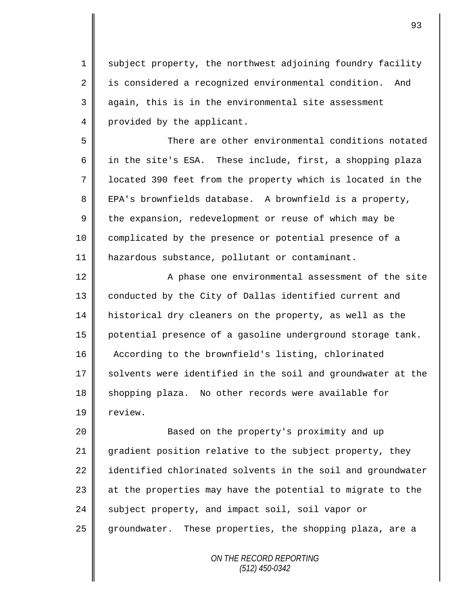1 subject property, the northwest adjoining foundry facility 2 | is considered a recognized environmental condition. And  $3 \parallel$  again, this is in the environmental site assessment 4 provided by the applicant.

5 There are other environmental conditions notated 6 | in the site's ESA. These include, first, a shopping plaza 7 located 390 feet from the property which is located in the 8 EPA's brownfields database. A brownfield is a property,  $9 \parallel$  the expansion, redevelopment or reuse of which may be 10 complicated by the presence or potential presence of a 11 | hazardous substance, pollutant or contaminant.

12 || A phase one environmental assessment of the site 13 | conducted by the City of Dallas identified current and 14 historical dry cleaners on the property, as well as the 15 potential presence of a gasoline underground storage tank. 16 According to the brownfield's listing, chlorinated  $17$  solvents were identified in the soil and groundwater at the 18 Shopping plaza. No other records were available for 19 | review.

20 Based on the property's proximity and up 21 gradient position relative to the subject property, they 22 identified chlorinated solvents in the soil and groundwater 23  $\parallel$  at the properties may have the potential to migrate to the 24 subject property, and impact soil, soil vapor or 25 groundwater. These properties, the shopping plaza, are a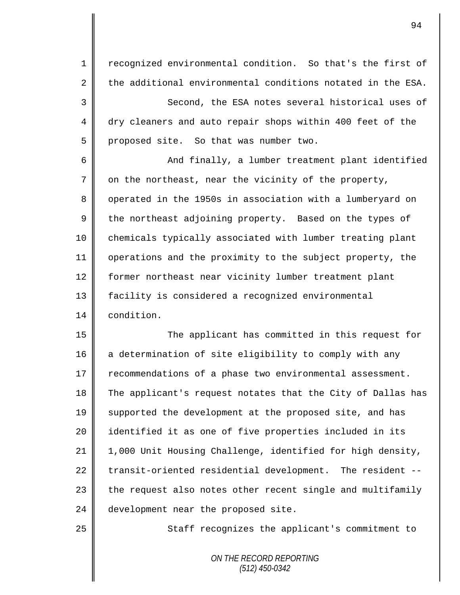1 || recognized environmental condition. So that's the first of 2 the additional environmental conditions notated in the ESA. 3 Second, the ESA notes several historical uses of 4 dry cleaners and auto repair shops within 400 feet of the  $5 \parallel$  proposed site. So that was number two. 6 And finally, a lumber treatment plant identified  $7 \parallel$  on the northeast, near the vicinity of the property, 8 | operated in the 1950s in association with a lumberyard on  $9 \parallel$  the northeast adjoining property. Based on the types of 10 chemicals typically associated with lumber treating plant 11 operations and the proximity to the subject property, the 12 former northeast near vicinity lumber treatment plant 13 facility is considered a recognized environmental 14 condition. 15 The applicant has committed in this request for 16 a determination of site eligibility to comply with any 17 | recommendations of a phase two environmental assessment. 18 The applicant's request notates that the City of Dallas has 19 Supported the development at the proposed site, and has 20 || identified it as one of five properties included in its 21 | 1,000 Unit Housing Challenge, identified for high density,

25 || Staff recognizes the applicant's commitment to

*ON THE RECORD REPORTING (512) 450-0342*

 $22$  transit-oriented residential development. The resident --

 $23$  the request also notes other recent single and multifamily

24 development near the proposed site.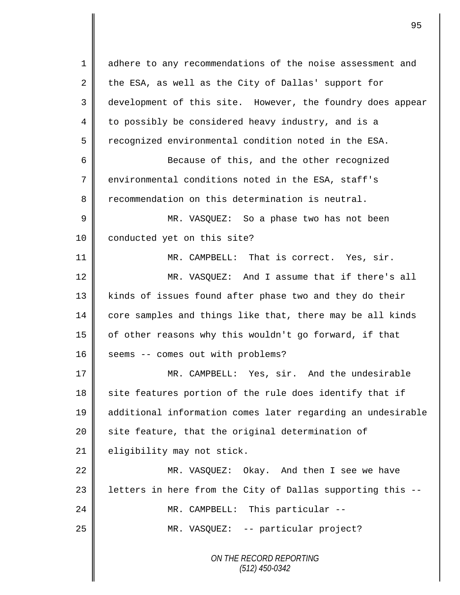*ON THE RECORD REPORTING (512) 450-0342* 1 adhere to any recommendations of the noise assessment and 2 the ESA, as well as the City of Dallas' support for 3 development of this site. However, the foundry does appear 4 to possibly be considered heavy industry, and is a 5 Tereognized environmental condition noted in the ESA. 6 || Because of this, and the other recognized 7 environmental conditions noted in the ESA, staff's 8 recommendation on this determination is neutral. 9 MR. VASQUEZ: So a phase two has not been 10 | conducted yet on this site? 11 MR. CAMPBELL: That is correct. Yes, sir. 12 MR. VASOUEZ: And I assume that if there's all 13 | kinds of issues found after phase two and they do their 14 core samples and things like that, there may be all kinds 15 | of other reasons why this wouldn't go forward, if that 16 | seems -- comes out with problems? 17 MR. CAMPBELL: Yes, sir. And the undesirable 18 site features portion of the rule does identify that if 19 additional information comes later regarding an undesirable 20 | site feature, that the original determination of 21 | eligibility may not stick. 22 MR. VASQUEZ: Okay. And then I see we have 23  $\parallel$  letters in here from the City of Dallas supporting this --24 MR. CAMPBELL: This particular --25 | MR. VASQUEZ: -- particular project?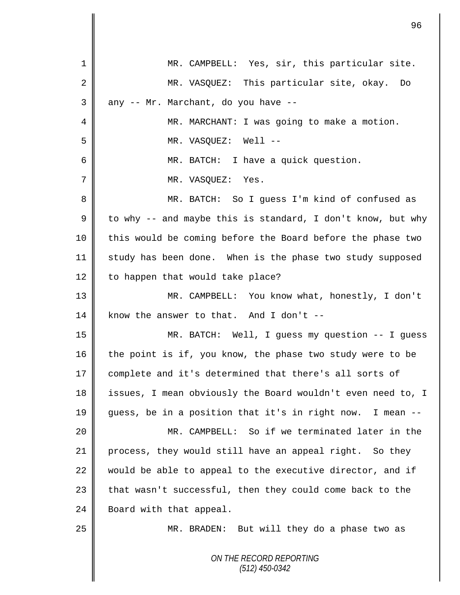|                | 96                                                          |
|----------------|-------------------------------------------------------------|
| 1              | MR. CAMPBELL: Yes, sir, this particular site.               |
| $\overline{2}$ | MR. VASQUEZ: This particular site, okay.<br>Do              |
| 3              | any -- Mr. Marchant, do you have --                         |
| 4              | MR. MARCHANT: I was going to make a motion.                 |
| 5              |                                                             |
|                | MR. VASQUEZ: Well --                                        |
| 6              | MR. BATCH: I have a quick question.                         |
| 7              | MR. VASQUEZ: Yes.                                           |
| 8              | MR. BATCH: So I guess I'm kind of confused as               |
| 9              | to why -- and maybe this is standard, I don't know, but why |
| 10             | this would be coming before the Board before the phase two  |
| 11             | study has been done. When is the phase two study supposed   |
| 12             | to happen that would take place?                            |
| 13             | MR. CAMPBELL: You know what, honestly, I don't              |
| 14             | know the answer to that. And I don't $-$                    |
| 15             | MR. BATCH: Well, I guess my question -- I guess             |
| 16             | the point is if, you know, the phase two study were to be   |
| 17             | complete and it's determined that there's all sorts of      |
| 18             | issues, I mean obviously the Board wouldn't even need to, I |
| 19             | guess, be in a position that it's in right now. I mean --   |
| 20             | MR. CAMPBELL: So if we terminated later in the              |
| 21             | process, they would still have an appeal right. So they     |
| 22             | would be able to appeal to the executive director, and if   |
| 23             | that wasn't successful, then they could come back to the    |
| 24             | Board with that appeal.                                     |
| 25             | MR. BRADEN: But will they do a phase two as                 |
|                | ON THE RECORD REPORTING<br>$(512)$ 450-0342                 |

 $\overline{\mathbf{I}}$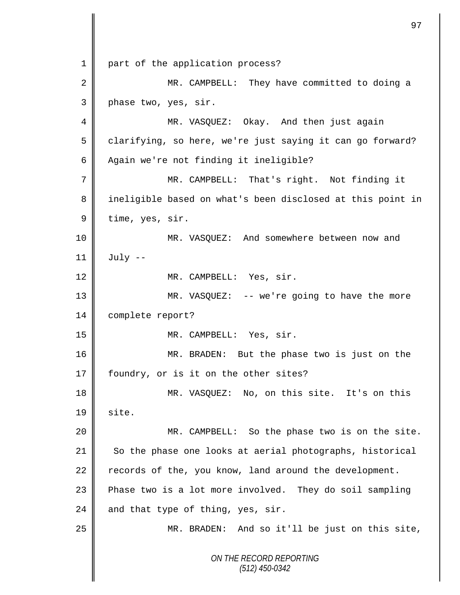*ON THE RECORD REPORTING (512) 450-0342* 1 || part of the application process? 2 || MR. CAMPBELL: They have committed to doing a 3 phase two, yes, sir. 4 MR. VASQUEZ: Okay. And then just again 5 clarifying, so here, we're just saying it can go forward? 6 Again we're not finding it ineligible? 7 || MR. CAMPBELL: That's right. Not finding it 8 || ineligible based on what's been disclosed at this point in  $9 \parallel$  time, yes, sir. 10 MR. VASQUEZ: And somewhere between now and  $11 \parallel$  July --12 || MR. CAMPBELL: Yes, sir. 13 MR. VASQUEZ: -- we're going to have the more 14 | complete report? 15 MR. CAMPBELL: Yes, sir. 16 MR. BRADEN: But the phase two is just on the 17 | foundry, or is it on the other sites? 18 MR. VASQUEZ: No, on this site. It's on this  $19 \parallel$  site. 20 MR. CAMPBELL: So the phase two is on the site. 21 So the phase one looks at aerial photographs, historical 22  $\parallel$  records of the, you know, land around the development. 23 Phase two is a lot more involved. They do soil sampling 24 and that type of thing, yes, sir. 25 || MR. BRADEN: And so it'll be just on this site,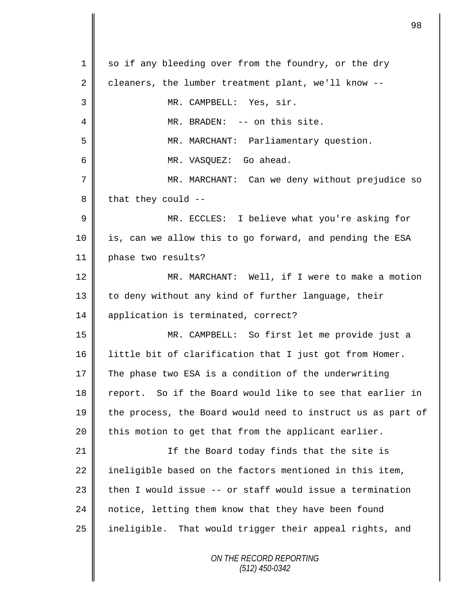| 1  | so if any bleeding over from the foundry, or the dry        |
|----|-------------------------------------------------------------|
| 2  | cleaners, the lumber treatment plant, we'll know --         |
| 3  | MR. CAMPBELL: Yes, sir.                                     |
| 4  | MR. BRADEN: -- on this site.                                |
| 5  | MR. MARCHANT: Parliamentary question.                       |
| 6  | MR. VASQUEZ: Go ahead.                                      |
| 7  | MR. MARCHANT: Can we deny without prejudice so              |
| 8  | that they could --                                          |
| 9  | MR. ECCLES: I believe what you're asking for                |
| 10 | is, can we allow this to go forward, and pending the ESA    |
| 11 | phase two results?                                          |
| 12 | MR. MARCHANT: Well, if I were to make a motion              |
| 13 | to deny without any kind of further language, their         |
| 14 | application is terminated, correct?                         |
| 15 | MR. CAMPBELL: So first let me provide just a                |
| 16 | little bit of clarification that I just got from Homer.     |
| 17 | The phase two ESA is a condition of the underwriting        |
| 18 | report. So if the Board would like to see that earlier in   |
| 19 | the process, the Board would need to instruct us as part of |
| 20 | this motion to get that from the applicant earlier.         |
| 21 | If the Board today finds that the site is                   |
| 22 | ineligible based on the factors mentioned in this item,     |
| 23 | then I would issue -- or staff would issue a termination    |
| 24 | notice, letting them know that they have been found         |
| 25 | ineligible. That would trigger their appeal rights, and     |
|    | ON THE RECORD REPORTING<br>$(512)$ 450-0342                 |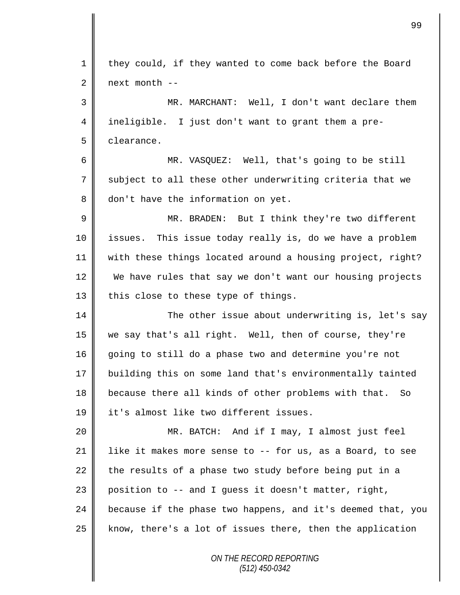| $\mathbf{1}$ | they could, if they wanted to come back before the Board    |
|--------------|-------------------------------------------------------------|
| 2            | next month --                                               |
| 3            | MR. MARCHANT: Well, I don't want declare them               |
| 4            | ineligible. I just don't want to grant them a pre-          |
| 5            | clearance.                                                  |
| 6            | MR. VASQUEZ: Well, that's going to be still                 |
| 7            | subject to all these other underwriting criteria that we    |
| 8            | don't have the information on yet.                          |
| $\mathsf 9$  | MR. BRADEN: But I think they're two different               |
| 10           | issues. This issue today really is, do we have a problem    |
| 11           | with these things located around a housing project, right?  |
| 12           | We have rules that say we don't want our housing projects   |
| 13           | this close to these type of things.                         |
| 14           | The other issue about underwriting is, let's say            |
| 15           | we say that's all right. Well, then of course, they're      |
| 16           | going to still do a phase two and determine you're not      |
| 17           | building this on some land that's environmentally tainted   |
| 18           | because there all kinds of other problems with that. So     |
| 19           | it's almost like two different issues.                      |
| 20           | MR. BATCH: And if I may, I almost just feel                 |
| 21           | like it makes more sense to -- for us, as a Board, to see   |
| 22           | the results of a phase two study before being put in a      |
| 23           | position to -- and I guess it doesn't matter, right,        |
| 24           | because if the phase two happens, and it's deemed that, you |
| 25           | know, there's a lot of issues there, then the application   |
|              | ON THE RECORD REPORTING                                     |

*(512) 450-0342*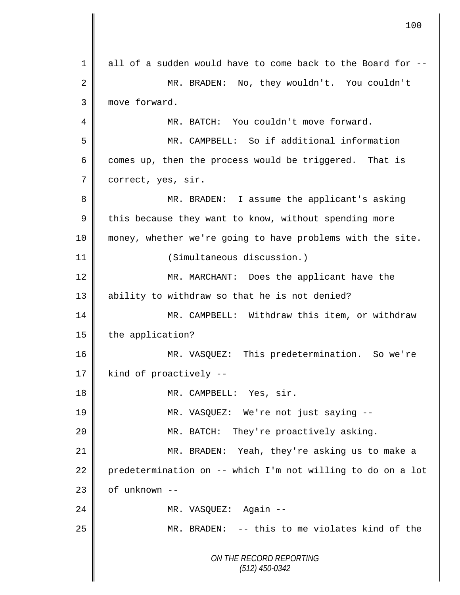|             | 100                                                         |
|-------------|-------------------------------------------------------------|
| 1           | all of a sudden would have to come back to the Board for -- |
| 2           | No, they wouldn't. You couldn't<br>MR. BRADEN:              |
| 3           | move forward.                                               |
| 4           | MR. BATCH: You couldn't move forward.                       |
| 5           | MR. CAMPBELL: So if additional information                  |
| 6           | comes up, then the process would be triggered. That is      |
| 7           | correct, yes, sir.                                          |
| 8           | MR. BRADEN: I assume the applicant's asking                 |
| $\mathsf 9$ | this because they want to know, without spending more       |
| 10          | money, whether we're going to have problems with the site.  |
| 11          | (Simultaneous discussion.)                                  |
| 12          | MR. MARCHANT: Does the applicant have the                   |
| 13          | ability to withdraw so that he is not denied?               |
| 14          | MR. CAMPBELL: Withdraw this item, or withdraw               |
| 15          | the application?                                            |
| 16          | MR. VASQUEZ: This predetermination. So we're                |
| 17          | kind of proactively --                                      |
| 18          | MR. CAMPBELL: Yes, sir.                                     |
| 19          | MR. VASQUEZ: We're not just saying --                       |
| 20          | MR. BATCH: They're proactively asking.                      |
| 21          | MR. BRADEN: Yeah, they're asking us to make a               |
| 22          | predetermination on -- which I'm not willing to do on a lot |
| 23          | of unknown --                                               |
| 24          | MR. VASQUEZ: Again --                                       |
| 25          | MR. BRADEN: -- this to me violates kind of the              |
|             | ON THE RECORD REPORTING<br>$(512)$ 450-0342                 |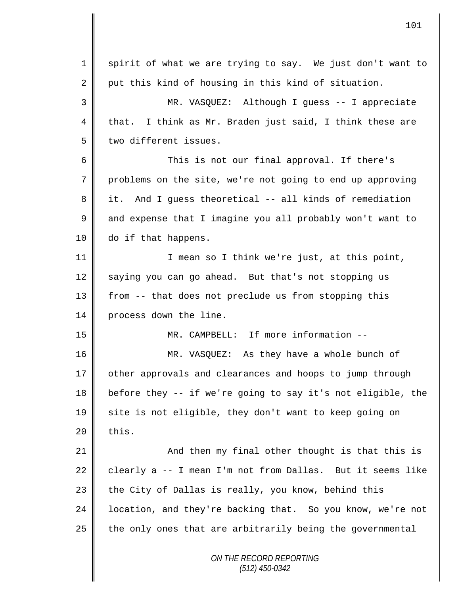*ON THE RECORD REPORTING (512) 450-0342* 1 spirit of what we are trying to say. We just don't want to 2 put this kind of housing in this kind of situation. 3 MR. VASQUEZ: Although I guess -- I appreciate 4 that. I think as Mr. Braden just said, I think these are 5 | two different issues. 6 This is not our final approval. If there's 7 problems on the site, we're not going to end up approving 8 it. And I guess theoretical -- all kinds of remediation 9 and expense that I imagine you all probably won't want to 10 do if that happens. 11 || I mean so I think we're just, at this point, 12 saying you can go ahead. But that's not stopping us 13 | from -- that does not preclude us from stopping this 14 | process down the line. 15 MR. CAMPBELL: If more information -- 16 MR. VASQUEZ: As they have a whole bunch of 17 | other approvals and clearances and hoops to jump through 18 before they -- if we're going to say it's not eligible, the 19 site is not eligible, they don't want to keep going on  $20$  | this. 21 **And then my final other thought is that this is** 22 clearly a  $-$  I mean I'm not from Dallas. But it seems like  $23$  the City of Dallas is really, you know, behind this 24  $\parallel$  location, and they're backing that. So you know, we're not  $25$  the only ones that are arbitrarily being the governmental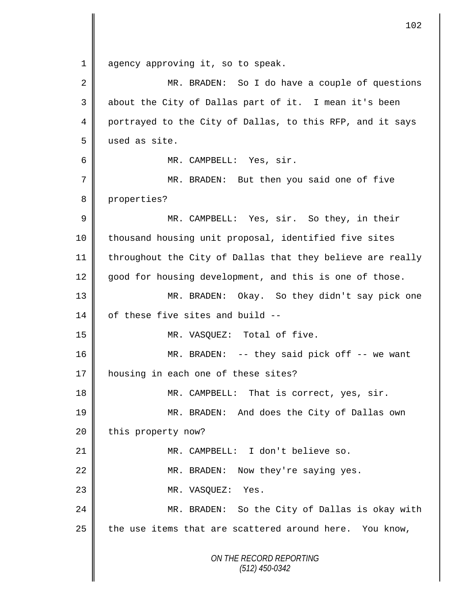*ON THE RECORD REPORTING* 1 agency approving it, so to speak. 2 MR. BRADEN: So I do have a couple of questions 3 || about the City of Dallas part of it. I mean it's been 4 portrayed to the City of Dallas, to this RFP, and it says 5 used as site. 6 MR. CAMPBELL: Yes, sir. 7 || MR. BRADEN: But then you said one of five 8 properties? 9 MR. CAMPBELL: Yes, sir. So they, in their 10 || thousand housing unit proposal, identified five sites 11 | throughout the City of Dallas that they believe are really 12 good for housing development, and this is one of those. 13 MR. BRADEN: Okay. So they didn't say pick one 14  $\parallel$  of these five sites and build --15 || MR. VASQUEZ: Total of five. 16 MR. BRADEN: -- they said pick off -- we want 17 | housing in each one of these sites? 18 **MR.** CAMPBELL: That is correct, yes, sir. 19 MR. BRADEN: And does the City of Dallas own 20 | this property now? 21 MR. CAMPBELL: I don't believe so. 22 MR. BRADEN: Now they're saying yes. 23 NR. VASQUEZ: Yes. 24 MR. BRADEN: So the City of Dallas is okay with 25  $\parallel$  the use items that are scattered around here. You know,

*(512) 450-0342*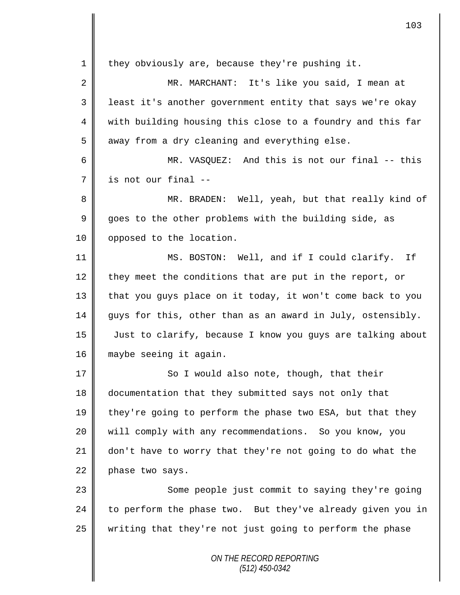*ON THE RECORD REPORTING*  $1 \parallel$  they obviously are, because they're pushing it. 2 MR. MARCHANT: It's like you said, I mean at 3 || least it's another government entity that says we're okay 4 || with building housing this close to a foundry and this far  $5 \parallel$  away from a dry cleaning and everything else. 6 MR. VASQUEZ: And this is not our final -- this  $7 \parallel$  is not our final --8 MR. BRADEN: Well, yeah, but that really kind of  $9 \parallel$  goes to the other problems with the building side, as 10 | opposed to the location. 11 MS. BOSTON: Well, and if I could clarify. If 12 they meet the conditions that are put in the report, or 13 that you guys place on it today, it won't come back to you 14 guys for this, other than as an award in July, ostensibly. 15 Just to clarify, because I know you guys are talking about 16 maybe seeing it again. 17 So I would also note, though, that their 18 documentation that they submitted says not only that 19  $\parallel$  they're going to perform the phase two ESA, but that they 20 will comply with any recommendations. So you know, you 21 don't have to worry that they're not going to do what the  $22$  phase two says. 23 || Some people just commit to saying they're going 24  $\parallel$  to perform the phase two. But they've already given you in  $25$  writing that they're not just going to perform the phase

103

*(512) 450-0342*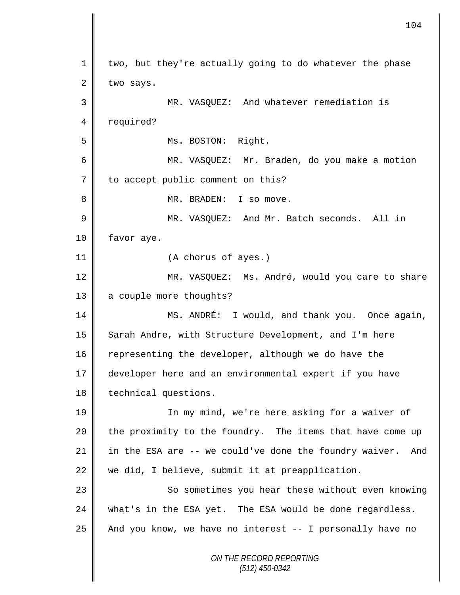*ON THE RECORD REPORTING (512) 450-0342* 1 | two, but they're actually going to do whatever the phase  $2 \parallel$  two says. 3 MR. VASQUEZ: And whatever remediation is 4 | required? 5 || Ms. BOSTON: Right. 6 MR. VASQUEZ: Mr. Braden, do you make a motion 7 | to accept public comment on this? 8 || MR. BRADEN: I so move. 9 MR. VASQUEZ: And Mr. Batch seconds. All in 10 | favor aye. 11 (A chorus of ayes.) 12 || MR. VASQUEZ: Ms. André, would you care to share 13 a couple more thoughts? 14 MS. ANDRÉ: I would, and thank you. Once again, 15 Sarah Andre, with Structure Development, and I'm here 16 representing the developer, although we do have the 17 developer here and an environmental expert if you have 18 | technical questions. 19 || In my mind, we're here asking for a waiver of 20  $\parallel$  the proximity to the foundry. The items that have come up 21 in the ESA are  $-$  we could've done the foundry waiver. And 22 we did, I believe, submit it at preapplication. 23 || So sometimes you hear these without even knowing 24 what's in the ESA yet. The ESA would be done regardless. 25  $\parallel$  And you know, we have no interest -- I personally have no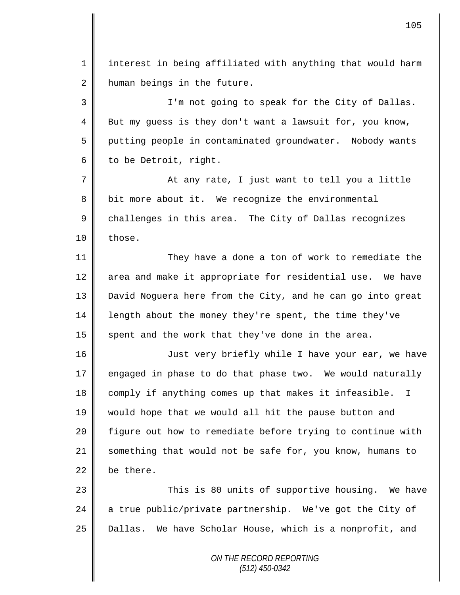1 || interest in being affiliated with anything that would harm  $2 \parallel$  human beings in the future.

3 || I'm not going to speak for the City of Dallas. 4 But my guess is they don't want a lawsuit for, you know, 5 putting people in contaminated groundwater. Nobody wants  $6 \parallel$  to be Detroit, right.

7 || At any rate, I just want to tell you a little  $8 \parallel$  bit more about it. We recognize the environmental 9 challenges in this area. The City of Dallas recognizes  $10 \parallel$  those.

11 They have a done a ton of work to remediate the 12 area and make it appropriate for residential use. We have 13 David Noguera here from the City, and he can go into great 14 | length about the money they're spent, the time they've 15 spent and the work that they've done in the area.

16 | Just very briefly while I have your ear, we have 17 engaged in phase to do that phase two. We would naturally 18 comply if anything comes up that makes it infeasible. I 19 would hope that we would all hit the pause button and 20 figure out how to remediate before trying to continue with 21 something that would not be safe for, you know, humans to 22 be there.

23 This is 80 units of supportive housing. We have 24  $\parallel$  a true public/private partnership. We've got the City of 25 | Dallas. We have Scholar House, which is a nonprofit, and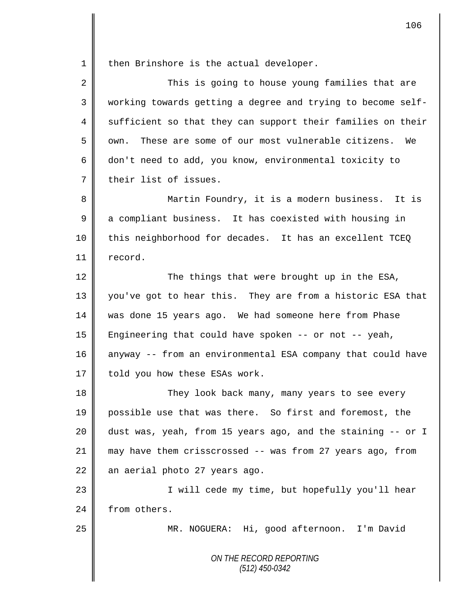1 || then Brinshore is the actual developer.

| $\overline{2}$ | This is going to house young families that are              |
|----------------|-------------------------------------------------------------|
| 3              | working towards getting a degree and trying to become self- |
| 4              | sufficient so that they can support their families on their |
| 5              | These are some of our most vulnerable citizens. We<br>own.  |
| 6              | don't need to add, you know, environmental toxicity to      |
| 7              | their list of issues.                                       |

8 || Martin Foundry, it is a modern business. It is 9 a compliant business. It has coexisted with housing in 10 || this neighborhood for decades. It has an excellent TCEQ 11 | record.

12 ||<br>
The things that were brought up in the ESA, 13 || you've got to hear this. They are from a historic ESA that 14 was done 15 years ago. We had someone here from Phase 15 Engineering that could have spoken -- or not -- yeah, 16 anyway -- from an environmental ESA company that could have 17 | told you how these ESAs work.

18 They look back many, many years to see every 19 possible use that was there. So first and foremost, the 20 || dust was, yeah, from 15 years ago, and the staining -- or I 21 may have them crisscrossed -- was from 27 years ago, from  $22$  an aerial photo 27 years ago.

23 || I will cede my time, but hopefully you'll hear 24 From others.

25 | MR. NOGUERA: Hi, good afternoon. I'm David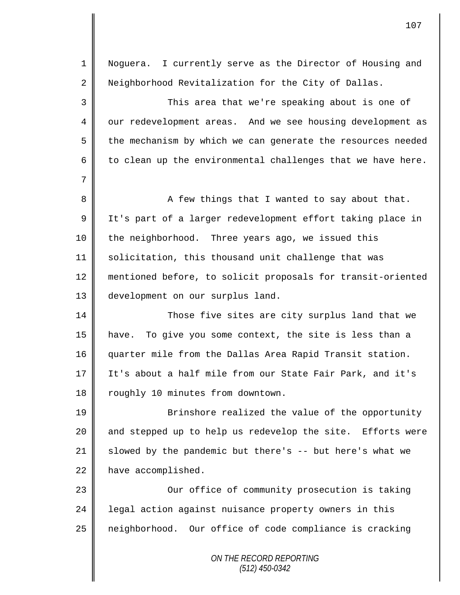*ON THE RECORD REPORTING (512) 450-0342* 1 Noguera. I currently serve as the Director of Housing and 2 Neighborhood Revitalization for the City of Dallas. 3 This area that we're speaking about is one of 4 | our redevelopment areas. And we see housing development as  $5 \parallel$  the mechanism by which we can generate the resources needed 6 to clean up the environmental challenges that we have here. 7 8 || A few things that I wanted to say about that. 9 || It's part of a larger redevelopment effort taking place in 10 the neighborhood. Three years ago, we issued this 11 solicitation, this thousand unit challenge that was 12 mentioned before, to solicit proposals for transit-oriented 13 development on our surplus land. 14 Those five sites are city surplus land that we 15 have. To give you some context, the site is less than a 16 quarter mile from the Dallas Area Rapid Transit station. 17 It's about a half mile from our State Fair Park, and it's 18 | roughly 10 minutes from downtown. 19 || Brinshore realized the value of the opportunity 20 || and stepped up to help us redevelop the site. Efforts were 21  $\parallel$  slowed by the pandemic but there's -- but here's what we 22 have accomplished. 23 || Our office of community prosecution is taking 24 | legal action against nuisance property owners in this 25 neighborhood. Our office of code compliance is cracking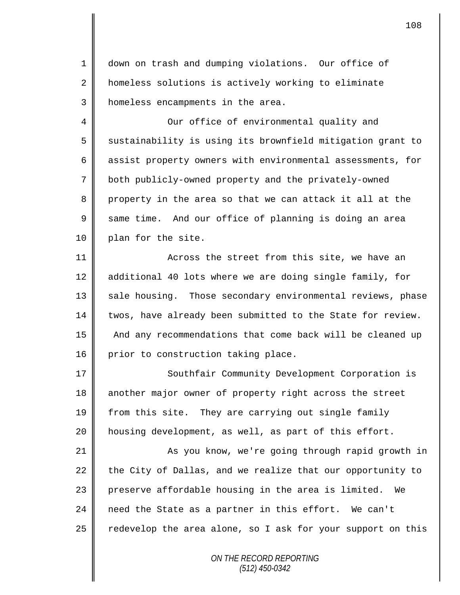1 down on trash and dumping violations. Our office of 2 | homeless solutions is actively working to eliminate 3 | homeless encampments in the area.

4 Our office of environmental quality and  $5 \parallel$  sustainability is using its brownfield mitigation grant to 6 assist property owners with environmental assessments, for 7 | both publicly-owned property and the privately-owned 8 property in the area so that we can attack it all at the 9 Same time. And our office of planning is doing an area 10 | plan for the site.

11 **Across the street from this site, we have an** 12 additional 40 lots where we are doing single family, for 13 || sale housing. Those secondary environmental reviews, phase 14 twos, have already been submitted to the State for review. 15 | And any recommendations that come back will be cleaned up 16 prior to construction taking place.

17 | Southfair Community Development Corporation is 18 another major owner of property right across the street 19 from this site. They are carrying out single family 20 housing development, as well, as part of this effort.

21 || As you know, we're going through rapid growth in 22 the City of Dallas, and we realize that our opportunity to 23 preserve affordable housing in the area is limited. We 24  $\parallel$  need the State as a partner in this effort. We can't 25  $\parallel$  redevelop the area alone, so I ask for your support on this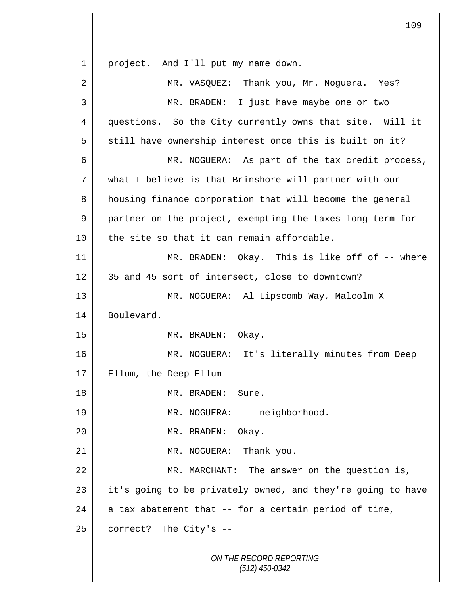*ON THE RECORD REPORTING (512) 450-0342* 1 | project. And I'll put my name down. 2 MR. VASOUEZ: Thank you, Mr. Noquera. Yes? 3 MR. BRADEN: I just have maybe one or two 4 questions. So the City currently owns that site. Will it 5 still have ownership interest once this is built on it? 6 MR. NOGUERA: As part of the tax credit process, 7 what I believe is that Brinshore will partner with our 8 | housing finance corporation that will become the general 9 partner on the project, exempting the taxes long term for  $10$  | the site so that it can remain affordable. 11 MR. BRADEN: Okay. This is like off of -- where 12 35 and 45 sort of intersect, close to downtown? 13 MR. NOGUERA: Al Lipscomb Way, Malcolm X 14 Boulevard. 15 || MR. BRADEN: Okay. 16 || MR. NOGUERA: It's literally minutes from Deep 17  $\parallel$  Ellum, the Deep Ellum --18 || MR. BRADEN: Sure. 19 || MR. NOGUERA: -- neighborhood. 20 MR. BRADEN: Okay. 21 | MR. NOGUERA: Thank you. 22 MR. MARCHANT: The answer on the question is,  $23$  | it's going to be privately owned, and they're going to have 24  $\parallel$  a tax abatement that -- for a certain period of time,  $25$  correct? The City's  $-$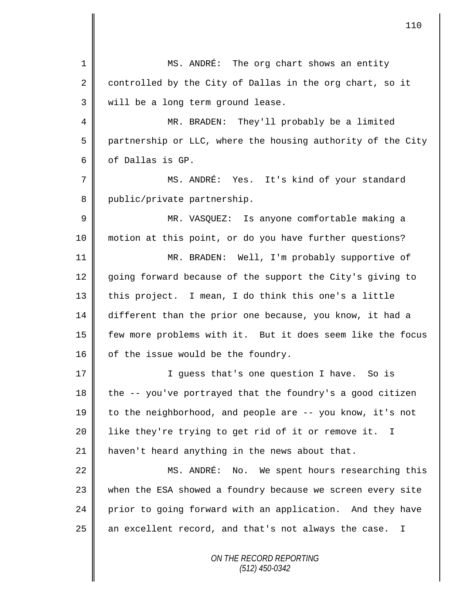*ON THE RECORD REPORTING (512) 450-0342* 1 || MS. ANDRÉ: The org chart shows an entity 2 controlled by the City of Dallas in the org chart, so it 3 | will be a long term ground lease. 4 || MR. BRADEN: They'll probably be a limited 5 partnership or LLC, where the housing authority of the City  $6 \parallel$  of Dallas is GP. 7 || MS. ANDRÉ: Yes. It's kind of your standard 8 | public/private partnership. 9 MR. VASQUEZ: Is anyone comfortable making a 10 motion at this point, or do you have further questions? 11 MR. BRADEN: Well, I'm probably supportive of 12 going forward because of the support the City's giving to 13  $\parallel$  this project. I mean, I do think this one's a little 14 different than the prior one because, you know, it had a 15 few more problems with it. But it does seem like the focus 16  $\parallel$  of the issue would be the foundry. 17 || I guess that's one question I have. So is 18  $\parallel$  the -- you've portrayed that the foundry's a good citizen 19 to the neighborhood, and people are -- you know, it's not 20 || like they're trying to get rid of it or remove it. I 21 | haven't heard anything in the news about that. 22 || MS. ANDRÉ: No. We spent hours researching this 23 when the ESA showed a foundry because we screen every site 24 prior to going forward with an application. And they have  $25$  an excellent record, and that's not always the case. I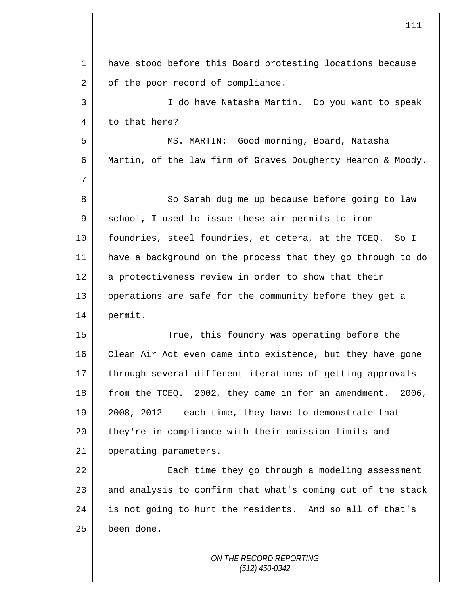| $\mathbf{1}$ | have stood before this Board protesting locations because   |
|--------------|-------------------------------------------------------------|
| 2            | of the poor record of compliance.                           |
| 3            | I do have Natasha Martin. Do you want to speak              |
| 4            | to that here?                                               |
| 5            | MS. MARTIN: Good morning, Board, Natasha                    |
| 6            | Martin, of the law firm of Graves Dougherty Hearon & Moody. |
| 7            |                                                             |
| 8            | So Sarah dug me up because before going to law              |
| $\mathsf 9$  | school, I used to issue these air permits to iron           |
| 10           | foundries, steel foundries, et cetera, at the TCEQ. So I    |
| 11           | have a background on the process that they go through to do |
| 12           | a protectiveness review in order to show that their         |
| 13           | operations are safe for the community before they get a     |
| 14           | permit.                                                     |
| 15           | True, this foundry was operating before the                 |
| 16           | Clean Air Act even came into existence, but they have gone  |
| 17           | through several different iterations of getting approvals   |
| 18           | from the TCEQ. 2002, they came in for an amendment. 2006,   |
| 19           | 2008, 2012 -- each time, they have to demonstrate that      |
| 20           | they're in compliance with their emission limits and        |
| 21           | operating parameters.                                       |
| 22           | Each time they go through a modeling assessment             |
| 23           | and analysis to confirm that what's coming out of the stack |
| 24           | is not going to hurt the residents. And so all of that's    |
| 25           | been done.                                                  |
|              | ON THE RECORD REPORTING                                     |

 $\mathsf{I}$ 

Ι

*(512) 450-0342*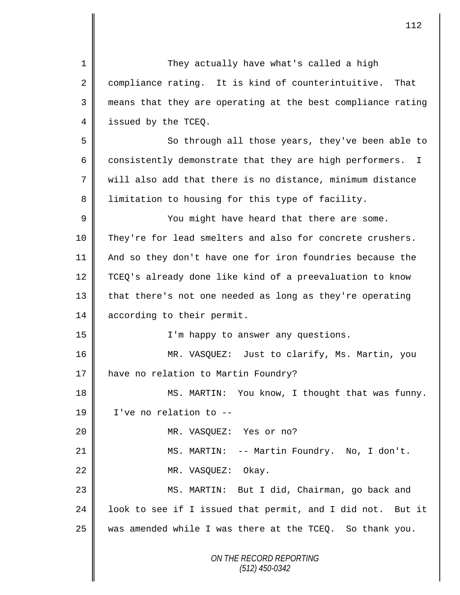*ON THE RECORD REPORTING (512) 450-0342* 1 They actually have what's called a high 2 | compliance rating. It is kind of counterintuitive. That 3 means that they are operating at the best compliance rating 4 issued by the TCEQ. 5 So through all those years, they've been able to 6 consistently demonstrate that they are high performers. I 7 will also add that there is no distance, minimum distance 8 I limitation to housing for this type of facility. 9 || You might have heard that there are some. 10 They're for lead smelters and also for concrete crushers. 11 And so they don't have one for iron foundries because the 12 TCEQ's already done like kind of a preevaluation to know 13 || that there's not one needed as long as they're operating 14 according to their permit. 15 || I'm happy to answer any questions. 16 MR. VASQUEZ: Just to clarify, Ms. Martin, you 17 | have no relation to Martin Foundry? 18 || MS. MARTIN: You know, I thought that was funny. 19 I've no relation to -- 20 MR. VASQUEZ: Yes or no? 21 MS. MARTIN: -- Martin Foundry. No, I don't. 22 MR. VASQUEZ: Okay. 23 || MS. MARTIN: But I did, Chairman, go back and 24  $\parallel$  look to see if I issued that permit, and I did not. But it  $25$  was amended while I was there at the TCEQ. So thank you.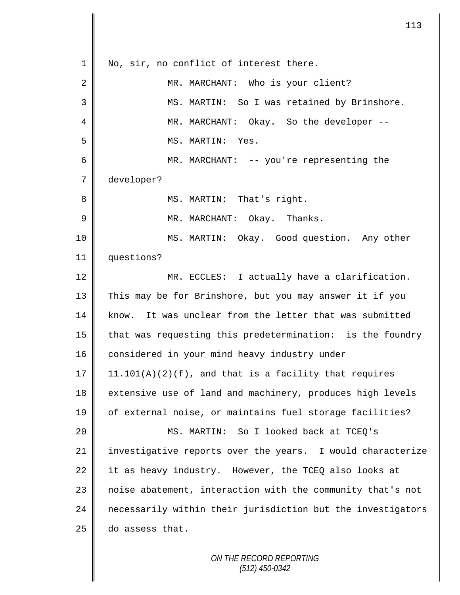1 | No, sir, no conflict of interest there. 2 MR. MARCHANT: Who is your client? 3 MS. MARTIN: So I was retained by Brinshore. 4 MR. MARCHANT: Okay. So the developer --5 MS. MARTIN: Yes. 6 MR. MARCHANT: -- you're representing the 7 developer? 8 || MS. MARTIN: That's right. 9 MR. MARCHANT: Okay. Thanks. 10 MS. MARTIN: Okay. Good question. Any other 11 questions? 12 | MR. ECCLES: I actually have a clarification. 13 This may be for Brinshore, but you may answer it if you 14 know. It was unclear from the letter that was submitted 15 | that was requesting this predetermination: is the foundry 16 considered in your mind heavy industry under 17 | 11.101(A)(2)(f), and that is a facility that requires 18 extensive use of land and machinery, produces high levels 19 || of external noise, or maintains fuel storage facilities? 20 MS. MARTIN: So I looked back at TCEQ's 21 || investigative reports over the years. I would characterize 22 it as heavy industry. However, the TCEQ also looks at 23 | noise abatement, interaction with the community that's not 24 | necessarily within their jurisdiction but the investigators  $25$  do assess that.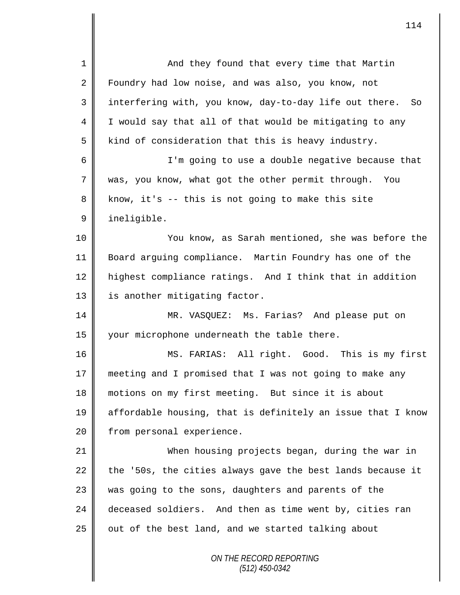| $\mathbf 1$ | And they found that every time that Martin                  |
|-------------|-------------------------------------------------------------|
| 2           | Foundry had low noise, and was also, you know, not          |
| 3           | interfering with, you know, day-to-day life out there. So   |
| 4           | I would say that all of that would be mitigating to any     |
| 5           | kind of consideration that this is heavy industry.          |
| 6           | I'm going to use a double negative because that             |
| 7           | was, you know, what got the other permit through. You       |
| 8           | know, it's -- this is not going to make this site           |
| $\mathsf 9$ | ineligible.                                                 |
| 10          | You know, as Sarah mentioned, she was before the            |
| 11          | Board arguing compliance. Martin Foundry has one of the     |
| 12          | highest compliance ratings. And I think that in addition    |
| 13          | is another mitigating factor.                               |
| 14          | MR. VASQUEZ: Ms. Farias? And please put on                  |
| 15          | your microphone underneath the table there.                 |
| 16          | MS. FARIAS: All right. Good. This is my first               |
| 17          | meeting and I promised that I was not going to make any     |
| 18          | motions on my first meeting. But since it is about          |
| 19          | affordable housing, that is definitely an issue that I know |
| 20          | from personal experience.                                   |
| 21          | When housing projects began, during the war in              |
| 22          | the '50s, the cities always gave the best lands because it  |
| 23          | was going to the sons, daughters and parents of the         |
| 24          | deceased soldiers. And then as time went by, cities ran     |
| 25          | out of the best land, and we started talking about          |
|             | ON THE RECORD REPORTING<br>$(512)$ 450-0342                 |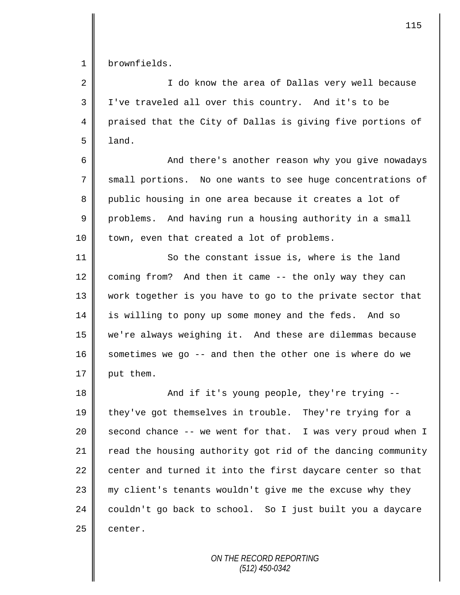1 brownfields.

2 || I do know the area of Dallas very well because 3 I've traveled all over this country. And it's to be 4 praised that the City of Dallas is giving five portions of 5 land.

6 And there's another reason why you give nowadays 7 small portions. No one wants to see huge concentrations of 8 public housing in one area because it creates a lot of 9 problems. And having run a housing authority in a small 10 | town, even that created a lot of problems.

11 | So the constant issue is, where is the land 12 coming from? And then it came -- the only way they can 13 work together is you have to go to the private sector that 14 is willing to pony up some money and the feds. And so 15 we're always weighing it. And these are dilemmas because 16  $\parallel$  sometimes we go -- and then the other one is where do we 17  $\parallel$  put them.

18 || And if it's young people, they're trying --19 they've got themselves in trouble. They're trying for a 20  $\parallel$  second chance -- we went for that. I was very proud when I 21  $\parallel$  read the housing authority got rid of the dancing community 22 center and turned it into the first daycare center so that  $23$   $\parallel$  my client's tenants wouldn't give me the excuse why they 24 couldn't go back to school. So I just built you a daycare  $25$  | center.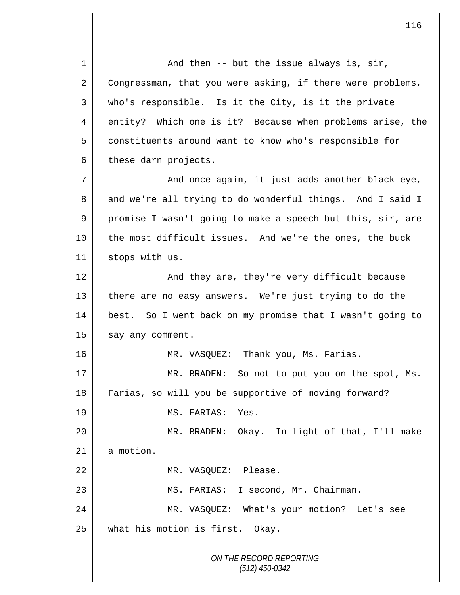*ON THE RECORD REPORTING (512) 450-0342* 1 || And then -- but the issue always is, sir,  $2 \parallel$  Congressman, that you were asking, if there were problems, 3 || who's responsible. Is it the City, is it the private 4 entity? Which one is it? Because when problems arise, the 5 constituents around want to know who's responsible for  $6 \parallel$  these darn projects. 7 And once again, it just adds another black eye, 8 and we're all trying to do wonderful things. And I said I 9 promise I wasn't going to make a speech but this, sir, are 10 || the most difficult issues. And we're the ones, the buck 11 | stops with us. 12 And they are, they're very difficult because 13 there are no easy answers. We're just trying to do the 14 best. So I went back on my promise that I wasn't going to 15 say any comment. 16 MR. VASQUEZ: Thank you, Ms. Farias. 17 || MR. BRADEN: So not to put you on the spot, Ms. 18 Farias, so will you be supportive of moving forward? 19 MS. FARIAS: Yes. 20 || MR. BRADEN: Okay. In light of that, I'll make  $21$  a motion. 22 MR. VASQUEZ: Please. 23 MS. FARIAS: I second, Mr. Chairman. 24 MR. VASQUEZ: What's your motion? Let's see 25 what his motion is first. Okay.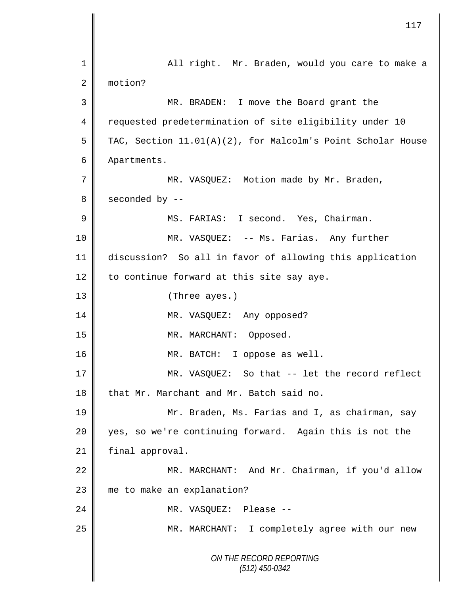|                | 117                                                         |
|----------------|-------------------------------------------------------------|
| 1              | All right. Mr. Braden, would you care to make a             |
| 2              | motion?                                                     |
| 3              | MR. BRADEN: I move the Board grant the                      |
| 4              | requested predetermination of site eligibility under 10     |
| 5              | TAC, Section 11.01(A)(2), for Malcolm's Point Scholar House |
| 6              | Apartments.                                                 |
| 7              | MR. VASQUEZ: Motion made by Mr. Braden,                     |
| 8              | seconded by --                                              |
| $\overline{9}$ | MS. FARIAS: I second. Yes, Chairman.                        |
| 10             | MR. VASQUEZ: -- Ms. Farias. Any further                     |
| 11             | discussion? So all in favor of allowing this application    |
| 12             | to continue forward at this site say aye.                   |
| 13             | (Three ayes.)                                               |
| 14             | MR. VASQUEZ: Any opposed?                                   |
| 15             | MR. MARCHANT: Opposed.                                      |
| 16             | MR. BATCH: I oppose as well.                                |
| 17             | MR. VASQUEZ: So that -- let the record reflect              |
| 18             | that Mr. Marchant and Mr. Batch said no.                    |
| 19             | Mr. Braden, Ms. Farias and I, as chairman, say              |
| 20             | yes, so we're continuing forward. Again this is not the     |
| 21             | final approval.                                             |
| 22             | MR. MARCHANT: And Mr. Chairman, if you'd allow              |
| 23             | me to make an explanation?                                  |
| 24             | MR. VASQUEZ:<br>-- Please                                   |
| 25             | MR. MARCHANT: I completely agree with our new               |
|                | ON THE RECORD REPORTING<br>$(512)$ 450-0342                 |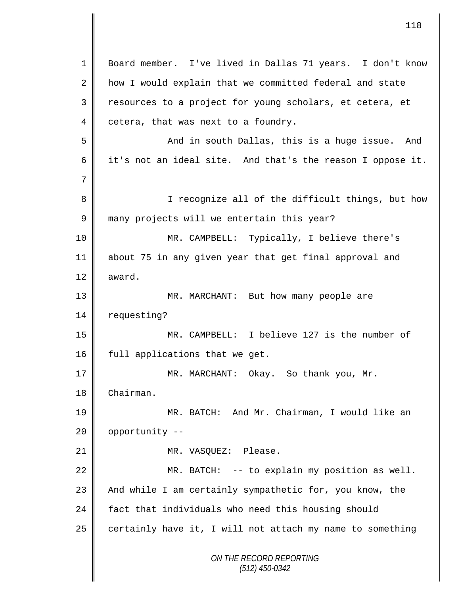*ON THE RECORD REPORTING (512) 450-0342* 1 Board member. I've lived in Dallas 71 years. I don't know 2 how I would explain that we committed federal and state 3 || resources to a project for young scholars, et cetera, et  $4 \parallel$  cetera, that was next to a foundry. 5 And in south Dallas, this is a huge issue. And 6 it's not an ideal site. And that's the reason I oppose it. 7 8 || I recognize all of the difficult things, but how 9 many projects will we entertain this year? 10 MR. CAMPBELL: Typically, I believe there's 11 about 75 in any given year that get final approval and 12  $\parallel$  award. 13 MR. MARCHANT: But how many people are 14 | requesting? 15 MR. CAMPBELL: I believe 127 is the number of 16 | full applications that we get. 17 || MR. MARCHANT: Okay. So thank you, Mr. 18 Chairman. 19 MR. BATCH: And Mr. Chairman, I would like an 20 | opportunity --21 | MR. VASQUEZ: Please. 22  $\parallel$  MR. BATCH: -- to explain my position as well. 23  $\parallel$  And while I am certainly sympathetic for, you know, the 24 fact that individuals who need this housing should 25  $\parallel$  certainly have it, I will not attach my name to something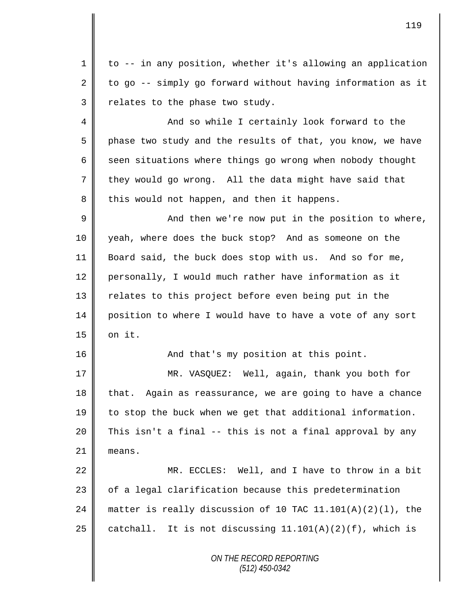1 to -- in any position, whether it's allowing an application 2 to go  $-$ - simply go forward without having information as it  $3$  relates to the phase two study.

4 And so while I certainly look forward to the 5 | phase two study and the results of that, you know, we have  $6 \parallel$  seen situations where things go wrong when nobody thought 7 they would go wrong. All the data might have said that 8 this would not happen, and then it happens.

9 || And then we're now put in the position to where, 10 yeah, where does the buck stop? And as someone on the 11 Board said, the buck does stop with us. And so for me, 12 personally, I would much rather have information as it 13 || relates to this project before even being put in the 14 position to where I would have to have a vote of any sort  $15$  |  $\circ$ n it.

16 || And that's my position at this point.

17 MR. VASQUEZ: Well, again, thank you both for 18 that. Again as reassurance, we are going to have a chance 19 to stop the buck when we get that additional information. 20 This isn't a final -- this is not a final approval by any 21 means.

22 MR. ECCLES: Well, and I have to throw in a bit 23 | of a legal clarification because this predetermination 24 matter is really discussion of 10 TAC  $11.101(A)(2)(1)$ , the 25 catchall. It is not discussing  $11.101(A)(2)(f)$ , which is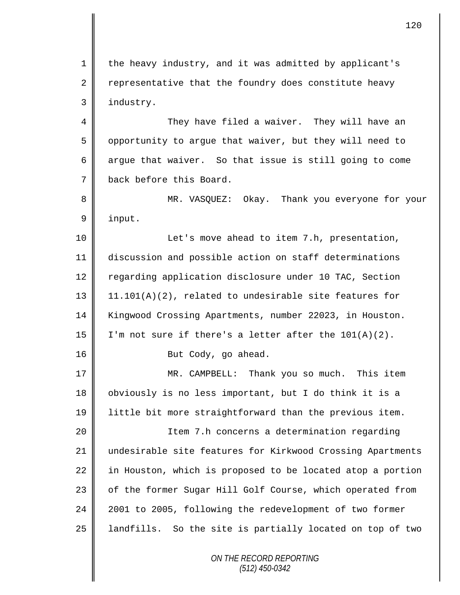1 || the heavy industry, and it was admitted by applicant's 2 representative that the foundry does constitute heavy 3 | industry.

4 They have filed a waiver. They will have an 5 | opportunity to argue that waiver, but they will need to 6 argue that waiver. So that issue is still going to come 7 back before this Board.

8 MR. VASQUEZ: Okay. Thank you everyone for your 9 input.

10 | The Let's move ahead to item 7.h, presentation, 11 discussion and possible action on staff determinations 12 | regarding application disclosure under 10 TAC, Section 13 11.101(A)(2), related to undesirable site features for 14 Kingwood Crossing Apartments, number 22023, in Houston. 15 | I'm not sure if there's a letter after the  $101(A)(2)$ . 16 | Rut Cody, go ahead.

17 || MR. CAMPBELL: Thank you so much. This item 18 obviously is no less important, but I do think it is a 19 little bit more straightforward than the previous item.

 Item 7.h concerns a determination regarding undesirable site features for Kirkwood Crossing Apartments 22 in Houston, which is proposed to be located atop a portion 23 | of the former Sugar Hill Golf Course, which operated from 2001 to 2005, following the redevelopment of two former landfills. So the site is partially located on top of two

> *ON THE RECORD REPORTING (512) 450-0342*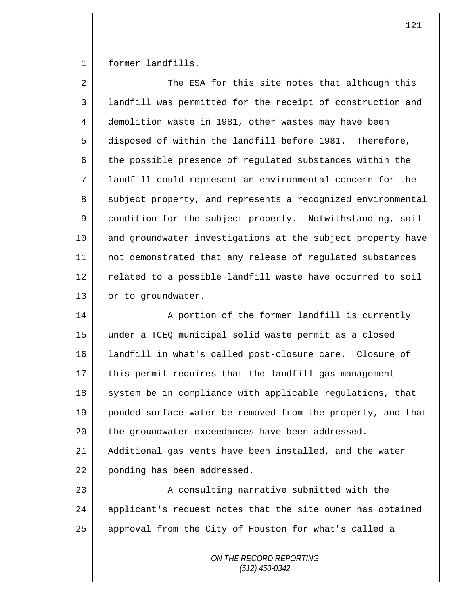1 former landfills.

| $\overline{2}$ | The ESA for this site notes that although this              |
|----------------|-------------------------------------------------------------|
| 3              | landfill was permitted for the receipt of construction and  |
| 4              | demolition waste in 1981, other wastes may have been        |
| 5              | disposed of within the landfill before 1981. Therefore,     |
| 6              | the possible presence of regulated substances within the    |
| 7              | landfill could represent an environmental concern for the   |
| 8              | subject property, and represents a recognized environmental |
| 9              | condition for the subject property. Notwithstanding, soil   |
| 10             | and groundwater investigations at the subject property have |
| 11             | not demonstrated that any release of regulated substances   |
| 12             | related to a possible landfill waste have occurred to soil  |
| 13             | or to groundwater.                                          |
| 14             | A portion of the former landfill is currently               |
| 15             | under a TCEQ municipal solid waste permit as a closed       |
| 16             | landfill in what's called post-closure care. Closure of     |
| 17             | this permit requires that the landfill gas management       |
| 18             | system be in compliance with applicable regulations, that   |
| 19             | ponded surface water be removed from the property, and that |
| 20             | the groundwater exceedances have been addressed.            |
| 21             | Additional gas vents have been installed, and the water     |
| 22             | ponding has been addressed.                                 |
| 23             | A consulting narrative submitted with the                   |
| 24             | applicant's request notes that the site owner has obtained  |
| 25             | approval from the City of Houston for what's called a       |
|                |                                                             |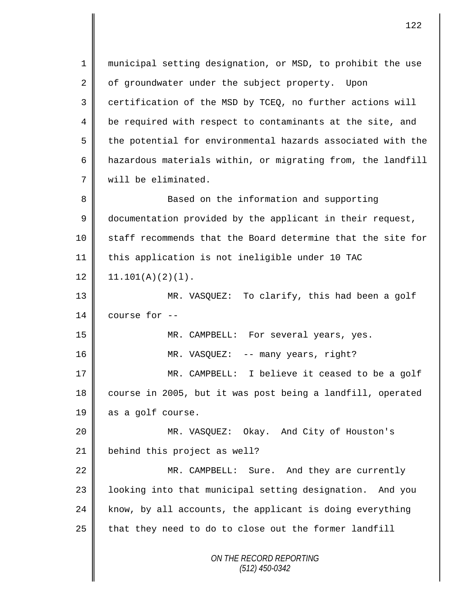*ON THE RECORD REPORTING (512) 450-0342* 1 municipal setting designation, or MSD, to prohibit the use 2 of groundwater under the subject property. Upon  $3 \parallel$  certification of the MSD by TCEQ, no further actions will 4 | be required with respect to contaminants at the site, and 5 the potential for environmental hazards associated with the 6  $\parallel$  hazardous materials within, or migrating from, the landfill 7 will be eliminated. 8 Based on the information and supporting 9 documentation provided by the applicant in their request, 10 staff recommends that the Board determine that the site for 11 this application is not ineligible under 10 TAC  $12 \parallel 11.101(A)(2)(1)$ . 13 MR. VASQUEZ: To clarify, this had been a golf 14  $\parallel$  course for  $-$ 15 MR. CAMPBELL: For several years, yes. 16 MR. VASQUEZ: -- many years, right? 17 || MR. CAMPBELL: I believe it ceased to be a golf 18 course in 2005, but it was post being a landfill, operated 19 as a golf course. 20 MR. VASQUEZ: Okay. And City of Houston's 21 | behind this project as well? 22 MR. CAMPBELL: Sure. And they are currently 23 || looking into that municipal setting designation. And you  $24$  know, by all accounts, the applicant is doing everything  $25$  | that they need to do to close out the former landfill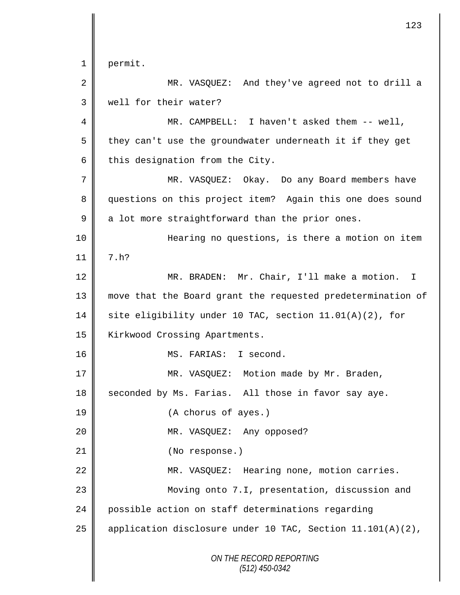*ON THE RECORD REPORTING (512) 450-0342* 1 permit. 2 MR. VASQUEZ: And they've agreed not to drill a 3 Well for their water? 4 MR. CAMPBELL: I haven't asked them -- well,  $5 \parallel$  they can't use the groundwater underneath it if they get  $6$  this designation from the City. 7 MR. VASQUEZ: Okay. Do any Board members have 8 questions on this project item? Again this one does sound  $9 \parallel$  a lot more straightforward than the prior ones. 10 || Hearing no questions, is there a motion on item  $11 \parallel 7 \cdot h$ ? 12 | MR. BRADEN: Mr. Chair, I'll make a motion. I 13 move that the Board grant the requested predetermination of 14 | site eligibility under 10 TAC, section 11.01(A)(2), for 15 | Kirkwood Crossing Apartments. 16 MS. FARIAS: I second. 17 || MR. VASQUEZ: Motion made by Mr. Braden, 18 seconded by Ms. Farias. All those in favor say aye. 19 (A chorus of ayes.) 20 MR. VASQUEZ: Any opposed? 21 || (No response.) 22 | MR. VASQUEZ: Hearing none, motion carries. 23 Moving onto 7.I, presentation, discussion and 24 possible action on staff determinations regarding 25  $\parallel$  application disclosure under 10 TAC, Section 11.101(A)(2),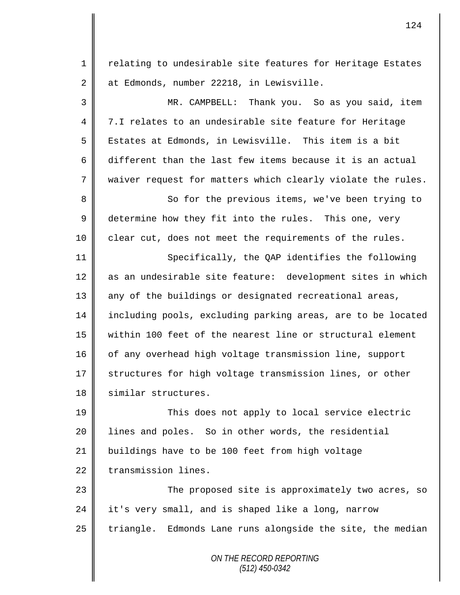*ON THE RECORD REPORTING* 1 || relating to undesirable site features for Heritage Estates 2 at Edmonds, number 22218, in Lewisville. 3 MR. CAMPBELL: Thank you. So as you said, item 4 7.I relates to an undesirable site feature for Heritage 5 || Estates at Edmonds, in Lewisville. This item is a bit 6 different than the last few items because it is an actual 7 waiver request for matters which clearly violate the rules. 8 || So for the previous items, we've been trying to 9 determine how they fit into the rules. This one, very  $10$  clear cut, does not meet the requirements of the rules. 11 || Specifically, the OAP identifies the following 12 as an undesirable site feature: development sites in which 13 any of the buildings or designated recreational areas, 14 including pools, excluding parking areas, are to be located 15 within 100 feet of the nearest line or structural element 16 of any overhead high voltage transmission line, support 17 Structures for high voltage transmission lines, or other 18 | similar structures. 19 This does not apply to local service electric 20 | lines and poles. So in other words, the residential 21 buildings have to be 100 feet from high voltage 22 transmission lines. 23 The proposed site is approximately two acres, so  $24$  | it's very small, and is shaped like a long, narrow  $25$  | triangle. Edmonds Lane runs alongside the site, the median

124

*(512) 450-0342*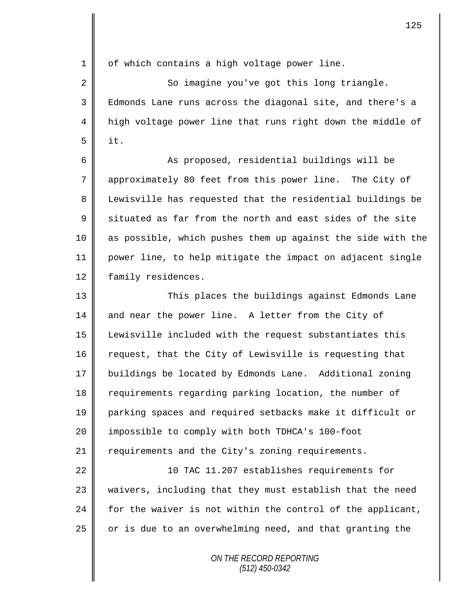$1 \parallel$  of which contains a high voltage power line.

2 || So imagine you've got this long triangle. 3 Edmonds Lane runs across the diagonal site, and there's a 4 | high voltage power line that runs right down the middle of  $5$  | it.

6 || As proposed, residential buildings will be 7 approximately 80 feet from this power line. The City of 8 Lewisville has requested that the residential buildings be  $9 \parallel$  situated as far from the north and east sides of the site 10 as possible, which pushes them up against the side with the 11 power line, to help mitigate the impact on adjacent single 12 | family residences.

13 This places the buildings against Edmonds Lane 14 and near the power line. A letter from the City of 15 Lewisville included with the request substantiates this 16 request, that the City of Lewisville is requesting that 17 buildings be located by Edmonds Lane. Additional zoning 18 requirements regarding parking location, the number of 19 parking spaces and required setbacks make it difficult or 20 | impossible to comply with both TDHCA's 100-foot 21  $\parallel$  requirements and the City's zoning requirements.

22 || 10 TAC 11.207 establishes requirements for 23 waivers, including that they must establish that the need 24  $\parallel$  for the waiver is not within the control of the applicant,  $25$  or is due to an overwhelming need, and that granting the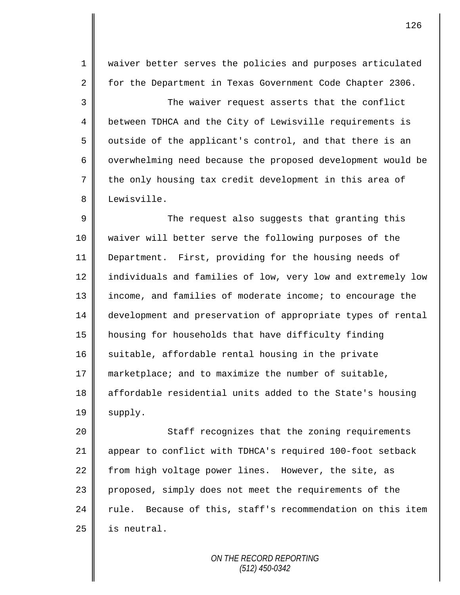1 || waiver better serves the policies and purposes articulated 2 | for the Department in Texas Government Code Chapter 2306.

3 The waiver request asserts that the conflict 4 | between TDHCA and the City of Lewisville requirements is  $5 \parallel$  outside of the applicant's control, and that there is an 6 | overwhelming need because the proposed development would be 7 the only housing tax credit development in this area of 8 Lewisville.

9 The request also suggests that granting this 10 waiver will better serve the following purposes of the 11 Department. First, providing for the housing needs of 12 | individuals and families of low, very low and extremely low 13 | income, and families of moderate income; to encourage the 14 development and preservation of appropriate types of rental 15 housing for households that have difficulty finding  $16$  suitable, affordable rental housing in the private 17 marketplace; and to maximize the number of suitable, 18 | affordable residential units added to the State's housing  $19 \parallel$  supply.

20 || Staff recognizes that the zoning requirements 21 appear to conflict with TDHCA's required 100-foot setback 22 from high voltage power lines. However, the site, as 23 proposed, simply does not meet the requirements of the  $24$  rule. Because of this, staff's recommendation on this item  $25$  is neutral.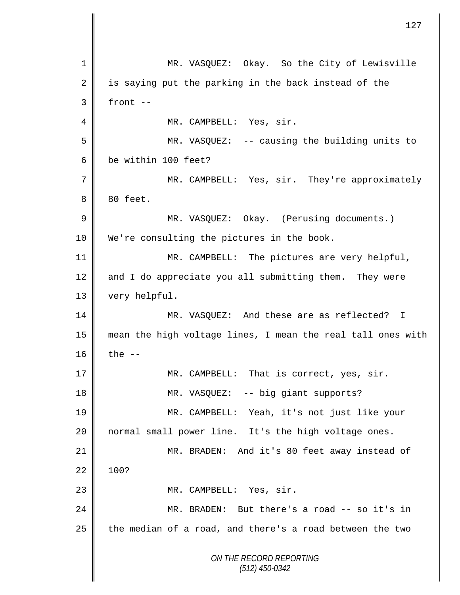*ON THE RECORD REPORTING (512) 450-0342* 1 MR. VASQUEZ: Okay. So the City of Lewisville 2  $\parallel$  is saying put the parking in the back instead of the  $3 \parallel$  front --4 | MR. CAMPBELL: Yes, sir. 5 MR. VASQUEZ: -- causing the building units to 6 be within 100 feet? 7 || MR. CAMPBELL: Yes, sir. They're approximately 8 80 feet. 9 | MR. VASQUEZ: Okay. (Perusing documents.) 10 We're consulting the pictures in the book. 11 || MR. CAMPBELL: The pictures are very helpful, 12 and I do appreciate you all submitting them. They were 13 very helpful. 14 MR. VASQUEZ: And these are as reflected? I 15 mean the high voltage lines, I mean the real tall ones with 16  $\parallel$  the  $-$ 17 || MR. CAMPBELL: That is correct, yes, sir. 18 | MR. VASQUEZ: -- big giant supports? 19 MR. CAMPBELL: Yeah, it's not just like your 20 normal small power line. It's the high voltage ones. 21 MR. BRADEN: And it's 80 feet away instead of  $22 \parallel 100?$ 23 || MR. CAMPBELL: Yes, sir. 24 MR. BRADEN: But there's a road -- so it's in  $25$  the median of a road, and there's a road between the two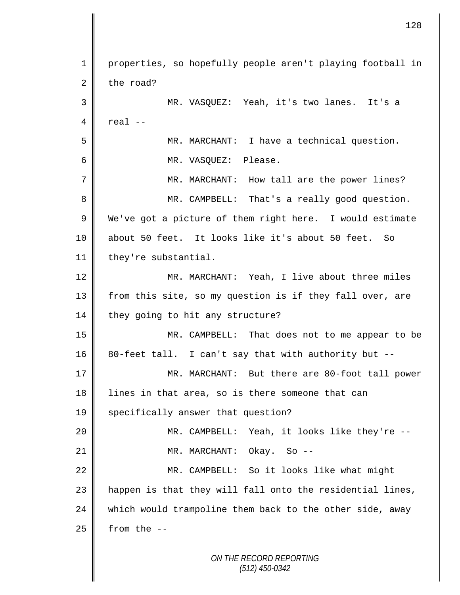1 | properties, so hopefully people aren't playing football in  $2 \parallel$  the road? 3 MR. VASQUEZ: Yeah, it's two lanes. It's a  $4 \parallel$  real  $-$ 5 MR. MARCHANT: I have a technical question. 6 MR. VASQUEZ: Please. 7 || MR. MARCHANT: How tall are the power lines? 8 MR. CAMPBELL: That's a really good question. 9 We've got a picture of them right here. I would estimate 10 about 50 feet. It looks like it's about 50 feet. So 11 | they're substantial. 12 MR. MARCHANT: Yeah, I live about three miles 13 || from this site, so my question is if they fall over, are  $14$  they going to hit any structure? 15 MR. CAMPBELL: That does not to me appear to be  $16 \parallel 80$ -feet tall. I can't say that with authority but --17 || MR. MARCHANT: But there are 80-foot tall power 18 lines in that area, so is there someone that can 19 | specifically answer that question? 20 MR. CAMPBELL: Yeah, it looks like they're -- 21 || MR. MARCHANT: Okay. So --22 | MR. CAMPBELL: So it looks like what might 23 | happen is that they will fall onto the residential lines, 24 which would trampoline them back to the other side, away  $25$  | from the  $-$ -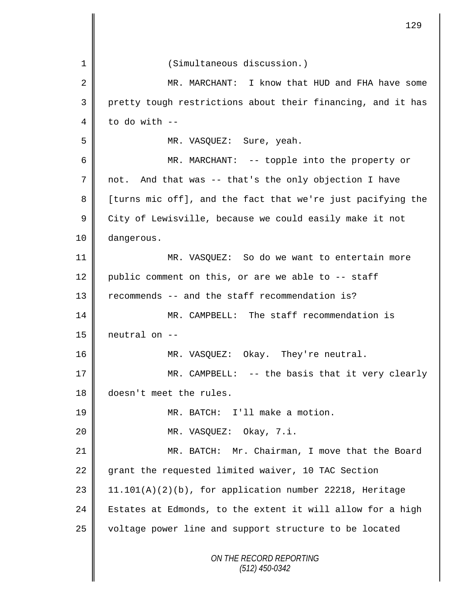|    | 129                                                         |
|----|-------------------------------------------------------------|
| 1  | (Simultaneous discussion.)                                  |
| 2  | MR. MARCHANT: I know that HUD and FHA have some             |
| 3  | pretty tough restrictions about their financing, and it has |
| 4  | to do with --                                               |
| 5  | MR. VASQUEZ: Sure, yeah.                                    |
| 6  | MR. MARCHANT: -- topple into the property or                |
| 7  | not. And that was -- that's the only objection I have       |
| 8  | [turns mic off], and the fact that we're just pacifying the |
| 9  | City of Lewisville, because we could easily make it not     |
| 10 | dangerous.                                                  |
| 11 | MR. VASQUEZ: So do we want to entertain more                |
| 12 | public comment on this, or are we able to -- staff          |
| 13 | recommends -- and the staff recommendation is?              |
| 14 | MR. CAMPBELL: The staff recommendation is                   |
| 15 | neutral on --                                               |
| 16 | MR. VASQUEZ: Okay. They're neutral.                         |
| 17 | MR. CAMPBELL: -- the basis that it very clearly             |
| 18 | doesn't meet the rules.                                     |
| 19 | MR. BATCH: I'll make a motion.                              |
| 20 | MR. VASQUEZ: Okay, 7.i.                                     |
| 21 | MR. BATCH: Mr. Chairman, I move that the Board              |
| 22 | grant the requested limited waiver, 10 TAC Section          |
| 23 | $11.101(A)(2)(b)$ , for application number 22218, Heritage  |
| 24 | Estates at Edmonds, to the extent it will allow for a high  |
| 25 | voltage power line and support structure to be located      |
|    | ON THE RECORD REPORTING<br>$(512)$ 450-0342                 |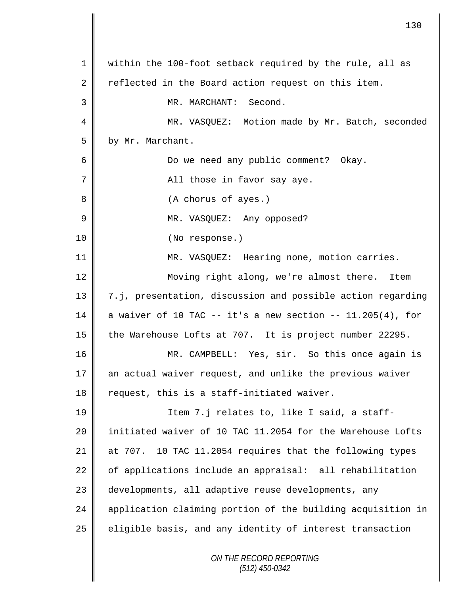|    | 130                                                          |
|----|--------------------------------------------------------------|
| 1  | within the 100-foot setback required by the rule, all as     |
| 2  | reflected in the Board action request on this item.          |
| 3  | MR. MARCHANT: Second.                                        |
| 4  | MR. VASQUEZ: Motion made by Mr. Batch, seconded              |
| 5  | by Mr. Marchant.                                             |
| 6  | Do we need any public comment? Okay.                         |
| 7  | All those in favor say aye.                                  |
| 8  | (A chorus of ayes.)                                          |
| 9  | MR. VASQUEZ: Any opposed?                                    |
| 10 | (No response.)                                               |
| 11 | MR. VASQUEZ: Hearing none, motion carries.                   |
| 12 | Moving right along, we're almost there.<br>Item              |
| 13 | 7.j, presentation, discussion and possible action regarding  |
| 14 | a waiver of 10 TAC $-$ it's a new section $-$ 11.205(4), for |
| 15 | the Warehouse Lofts at 707. It is project number 22295.      |
| 16 | MR. CAMPBELL: Yes, sir. So this once again is                |
| 17 | an actual waiver request, and unlike the previous waiver     |
| 18 | request, this is a staff-initiated waiver.                   |
| 19 | Item 7.j relates to, like I said, a staff-                   |
| 20 | initiated waiver of 10 TAC 11.2054 for the Warehouse Lofts   |
| 21 | 10 TAC 11.2054 requires that the following types<br>at 707.  |
| 22 | of applications include an appraisal: all rehabilitation     |
| 23 | developments, all adaptive reuse developments, any           |
| 24 | application claiming portion of the building acquisition in  |
| 25 | eligible basis, and any identity of interest transaction     |
|    | ON THE RECORD REPORTING<br>(512) 450-0342                    |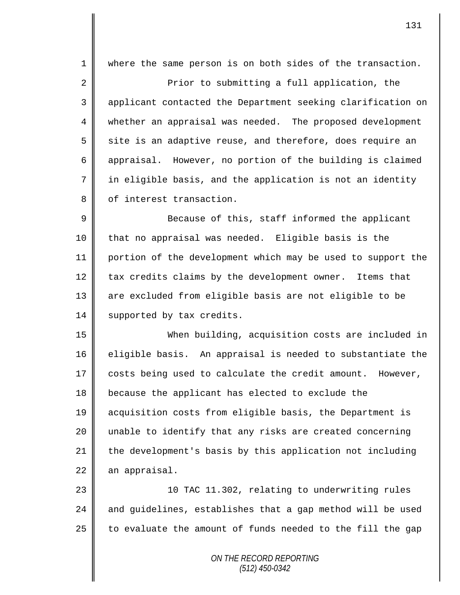1 || where the same person is on both sides of the transaction. 2 **Prior** to submitting a full application, the 3 applicant contacted the Department seeking clarification on 4 whether an appraisal was needed. The proposed development  $5 \parallel$  site is an adaptive reuse, and therefore, does require an 6 appraisal. However, no portion of the building is claimed  $7 \parallel$  in eligible basis, and the application is not an identity 8 | of interest transaction.

9 || Because of this, staff informed the applicant 10 that no appraisal was needed. Eligible basis is the 11 portion of the development which may be used to support the  $12$  | tax credits claims by the development owner. Items that 13 are excluded from eligible basis are not eligible to be 14 | supported by tax credits.

 When building, acquisition costs are included in  $\parallel$  eligible basis. An appraisal is needed to substantiate the  $\parallel$  costs being used to calculate the credit amount. However, because the applicant has elected to exclude the acquisition costs from eligible basis, the Department is 20 || unable to identify that any risks are created concerning 21 the development's basis by this application not including an appraisal.

23 || 10 TAC 11.302, relating to underwriting rules 24  $\parallel$  and quidelines, establishes that a gap method will be used 25  $\parallel$  to evaluate the amount of funds needed to the fill the gap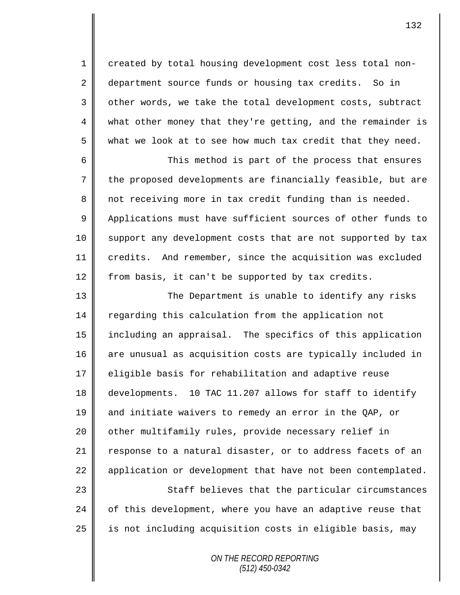1 created by total housing development cost less total non-2 department source funds or housing tax credits. So in 3 || other words, we take the total development costs, subtract 4 what other money that they're getting, and the remainder is  $5 \parallel$  what we look at to see how much tax credit that they need.

6 This method is part of the process that ensures 7 the proposed developments are financially feasible, but are 8 not receiving more in tax credit funding than is needed. 9 | Applications must have sufficient sources of other funds to 10 || support any development costs that are not supported by tax 11 credits. And remember, since the acquisition was excluded 12 from basis, it can't be supported by tax credits.

13 The Department is unable to identify any risks 14 regarding this calculation from the application not 15 including an appraisal. The specifics of this application 16 are unusual as acquisition costs are typically included in 17 | eligible basis for rehabilitation and adaptive reuse 18 developments. 10 TAC 11.207 allows for staff to identify 19 and initiate waivers to remedy an error in the QAP, or 20 | other multifamily rules, provide necessary relief in 21 response to a natural disaster, or to address facets of an 22 | application or development that have not been contemplated.

23 || Staff believes that the particular circumstances  $24$  of this development, where you have an adaptive reuse that  $25$  is not including acquisition costs in eligible basis, may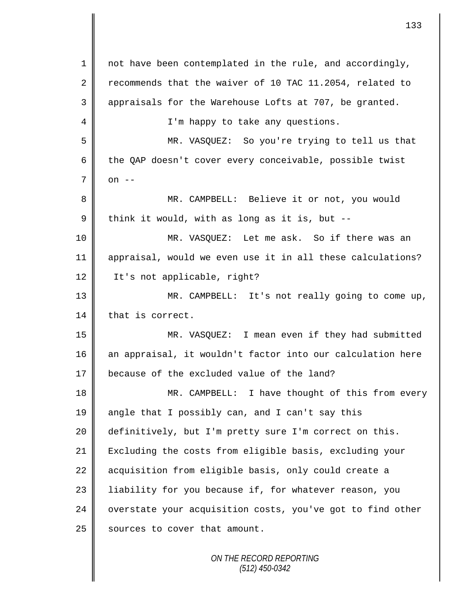| 1           | not have been contemplated in the rule, and accordingly,   |
|-------------|------------------------------------------------------------|
| 2           | recommends that the waiver of 10 TAC 11.2054, related to   |
| 3           | appraisals for the Warehouse Lofts at 707, be granted.     |
| 4           | I'm happy to take any questions.                           |
| 5           | MR. VASQUEZ: So you're trying to tell us that              |
| 6           | the QAP doesn't cover every conceivable, possible twist    |
| 7           | on $--$                                                    |
| 8           | MR. CAMPBELL: Believe it or not, you would                 |
| $\mathsf 9$ | think it would, with as long as it is, but --              |
| 10          | MR. VASQUEZ: Let me ask. So if there was an                |
| 11          | appraisal, would we even use it in all these calculations? |
| 12          | It's not applicable, right?                                |
| 13          | MR. CAMPBELL: It's not really going to come up,            |
| 14          | that is correct.                                           |
| 15          | MR. VASQUEZ: I mean even if they had submitted             |
| 16          | an appraisal, it wouldn't factor into our calculation here |
| 17          | because of the excluded value of the land?                 |
| 18          | MR. CAMPBELL: I have thought of this from every            |
| 19          | angle that I possibly can, and I can't say this            |
| 20          | definitively, but I'm pretty sure I'm correct on this.     |
| 21          | Excluding the costs from eligible basis, excluding your    |
| 22          | acquisition from eligible basis, only could create a       |
| 23          | liability for you because if, for whatever reason, you     |
| 24          | overstate your acquisition costs, you've got to find other |
| 25          | sources to cover that amount.                              |
|             |                                                            |

II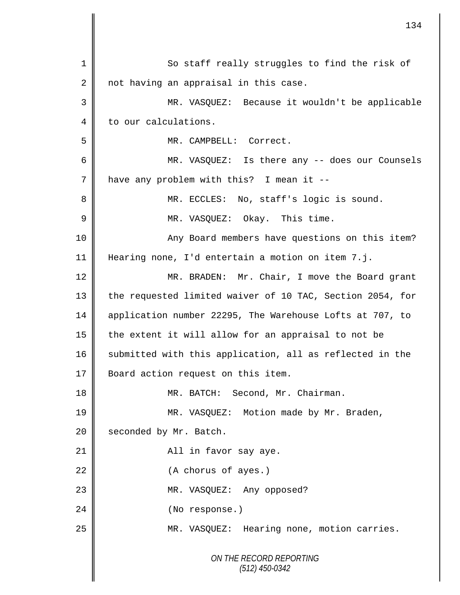|    | 134                                                       |
|----|-----------------------------------------------------------|
|    |                                                           |
| 1  | So staff really struggles to find the risk of             |
| 2  | not having an appraisal in this case.                     |
| 3  | MR. VASQUEZ: Because it wouldn't be applicable            |
| 4  | to our calculations.                                      |
| 5  | MR. CAMPBELL: Correct.                                    |
| 6  | MR. VASQUEZ: Is there any -- does our Counsels            |
| 7  | have any problem with this? I mean it --                  |
| 8  | MR. ECCLES: No, staff's logic is sound.                   |
| 9  | MR. VASQUEZ: Okay. This time.                             |
| 10 | Any Board members have questions on this item?            |
| 11 | Hearing none, I'd entertain a motion on item 7.j.         |
| 12 | MR. BRADEN: Mr. Chair, I move the Board grant             |
| 13 | the requested limited waiver of 10 TAC, Section 2054, for |
| 14 | application number 22295, The Warehouse Lofts at 707, to  |
| 15 | the extent it will allow for an appraisal to not be       |
| 16 | submitted with this application, all as reflected in the  |
| 17 | Board action request on this item.                        |
| 18 | Second, Mr. Chairman.<br>MR. BATCH:                       |
| 19 | MR. VASQUEZ: Motion made by Mr. Braden,                   |
| 20 | seconded by Mr. Batch.                                    |
| 21 | All in favor say aye.                                     |
| 22 | (A chorus of ayes.)                                       |
| 23 | MR. VASQUEZ: Any opposed?                                 |
| 24 | (No response.)                                            |
| 25 | MR. VASQUEZ: Hearing none, motion carries.                |
|    | ON THE RECORD REPORTING<br>$(512)$ 450-0342               |

 $\mathbf l$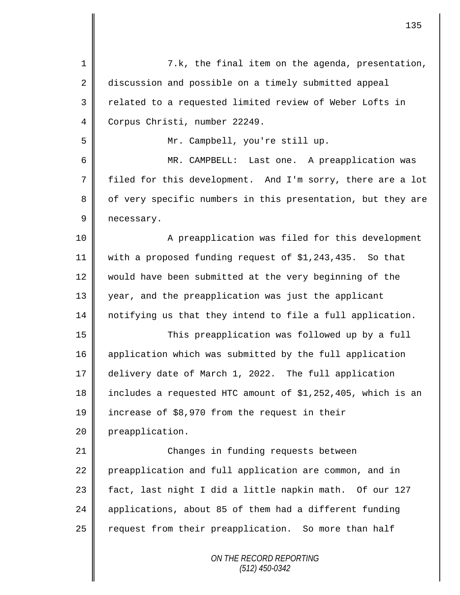| $\mathbf 1$ | 7.k, the final item on the agenda, presentation,            |
|-------------|-------------------------------------------------------------|
| 2           | discussion and possible on a timely submitted appeal        |
| 3           | related to a requested limited review of Weber Lofts in     |
| 4           | Corpus Christi, number 22249.                               |
| 5           | Mr. Campbell, you're still up.                              |
| 6           | MR. CAMPBELL: Last one. A preapplication was                |
| 7           | filed for this development. And I'm sorry, there are a lot  |
| 8           | of very specific numbers in this presentation, but they are |
| 9           | necessary.                                                  |
| 10          | A preapplication was filed for this development             |
| 11          | with a proposed funding request of \$1,243,435. So that     |
| 12          | would have been submitted at the very beginning of the      |
| 13          | year, and the preapplication was just the applicant         |
| 14          | notifying us that they intend to file a full application.   |
| 15          | This preapplication was followed up by a full               |
| 16          | application which was submitted by the full application     |
| 17          | delivery date of March 1, 2022. The full application        |
| 18          | includes a requested HTC amount of \$1,252,405, which is an |
| 19          | increase of \$8,970 from the request in their               |
| 20          | preapplication.                                             |
| 21          | Changes in funding requests between                         |
| 22          | preapplication and full application are common, and in      |
| 23          | fact, last night I did a little napkin math. Of our 127     |
| 24          | applications, about 85 of them had a different funding      |
| 25          | request from their preapplication. So more than half        |
|             | ON THE RECORD REPORTING<br>$(512)$ 450-0342                 |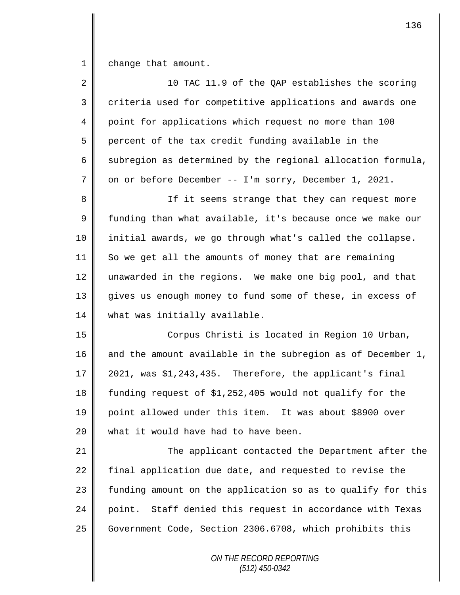1 change that amount.

| $\overline{2}$ | 10 TAC 11.9 of the QAP establishes the scoring               |
|----------------|--------------------------------------------------------------|
| 3              | criteria used for competitive applications and awards one    |
| 4              | point for applications which request no more than 100        |
| 5              | percent of the tax credit funding available in the           |
| 6              | subregion as determined by the regional allocation formula,  |
| 7              | on or before December -- I'm sorry, December 1, 2021.        |
| 8              | If it seems strange that they can request more               |
| 9              | funding than what available, it's because once we make our   |
| 10             | initial awards, we go through what's called the collapse.    |
| 11             | So we get all the amounts of money that are remaining        |
| 12             | unawarded in the regions. We make one big pool, and that     |
| 13             | gives us enough money to fund some of these, in excess of    |
| 14             | what was initially available.                                |
| 15             | Corpus Christi is located in Region 10 Urban,                |
| 16             | and the amount available in the subregion as of December 1,  |
| 17             | 2021, was \$1,243,435. Therefore, the applicant's final      |
| 18             | funding request of \$1,252,405 would not qualify for the     |
| 19             | point allowed under this item. It was about \$8900 over      |
| 20             | what it would have had to have been.                         |
| 21             | The applicant contacted the Department after the             |
| 22             | final application due date, and requested to revise the      |
| 23             | funding amount on the application so as to qualify for this  |
| 24             | Staff denied this request in accordance with Texas<br>point. |
| 25             | Government Code, Section 2306.6708, which prohibits this     |
|                | ON THE RECORD REPORTING                                      |

*(512) 450-0342*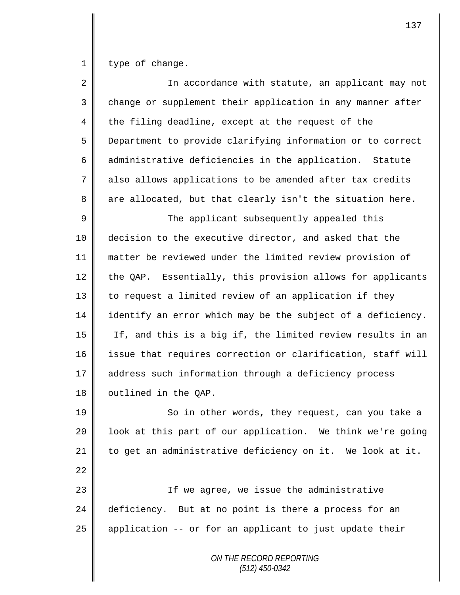$1 \parallel$  type of change.

| $\overline{2}$ | In accordance with statute, an applicant may not            |
|----------------|-------------------------------------------------------------|
| 3              | change or supplement their application in any manner after  |
| 4              | the filing deadline, except at the request of the           |
| 5              | Department to provide clarifying information or to correct  |
| 6              | administrative deficiencies in the application. Statute     |
| 7              | also allows applications to be amended after tax credits    |
| 8              | are allocated, but that clearly isn't the situation here.   |
| 9              | The applicant subsequently appealed this                    |
| $10$           | decision to the executive director, and asked that the      |
| 11             | matter be reviewed under the limited review provision of    |
| 12             | the QAP. Essentially, this provision allows for applicants  |
| 13             | to request a limited review of an application if they       |
| 14             | identify an error which may be the subject of a deficiency. |
| 15             | If, and this is a big if, the limited review results in an  |
| 16             | issue that requires correction or clarification, staff will |
| 17             | address such information through a deficiency process       |
| 18             | outlined in the QAP.                                        |
| 19             | So in other words, they request, can you take a             |
| 20             | look at this part of our application. We think we're going  |
| 21             | to get an administrative deficiency on it. We look at it.   |
| 22             |                                                             |
| 23             | If we agree, we issue the administrative                    |
| 24             | deficiency. But at no point is there a process for an       |
| 25             | application -- or for an applicant to just update their     |
|                | ON THE RECORD REPORTING<br>$(512)$ 450-0342                 |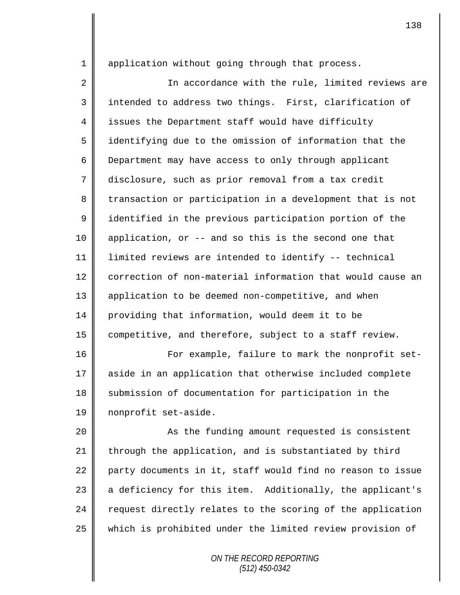1 || application without going through that process.

2 || In accordance with the rule, limited reviews are 3 || intended to address two things. First, clarification of 4 issues the Department staff would have difficulty 5 identifying due to the omission of information that the 6 Department may have access to only through applicant 7 disclosure, such as prior removal from a tax credit 8 transaction or participation in a development that is not 9 didentified in the previous participation portion of the 10 application, or -- and so this is the second one that 11 limited reviews are intended to identify -- technical 12 correction of non-material information that would cause an 13 || application to be deemed non-competitive, and when 14 | providing that information, would deem it to be 15 competitive, and therefore, subject to a staff review.

16 | For example, failure to mark the nonprofit set-17 aside in an application that otherwise included complete 18 Submission of documentation for participation in the 19 | nonprofit set-aside.

20 || As the funding amount requested is consistent 21  $\parallel$  through the application, and is substantiated by third 22 party documents in it, staff would find no reason to issue 23 a deficiency for this item. Additionally, the applicant's 24 request directly relates to the scoring of the application 25 which is prohibited under the limited review provision of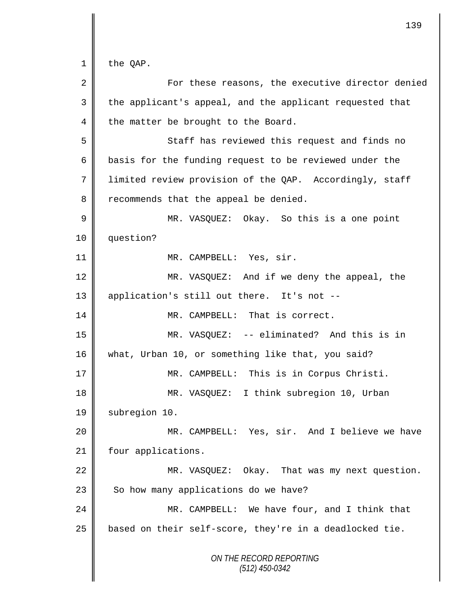$1 \parallel$  the QAP.

| 2  | For these reasons, the executive director denied         |
|----|----------------------------------------------------------|
| 3  | the applicant's appeal, and the applicant requested that |
| 4  | the matter be brought to the Board.                      |
| 5  | Staff has reviewed this request and finds no             |
| 6  | basis for the funding request to be reviewed under the   |
| 7  | limited review provision of the QAP. Accordingly, staff  |
| 8  | recommends that the appeal be denied.                    |
| 9  | MR. VASQUEZ: Okay. So this is a one point                |
| 10 | question?                                                |
| 11 | MR. CAMPBELL: Yes, sir.                                  |
| 12 | MR. VASQUEZ: And if we deny the appeal, the              |
| 13 | application's still out there. It's not --               |
| 14 | MR. CAMPBELL: That is correct.                           |
| 15 | MR. VASQUEZ: -- eliminated? And this is in               |
| 16 | what, Urban 10, or something like that, you said?        |
| 17 | MR. CAMPBELL: This is in Corpus Christi.                 |
| 18 | MR. VASQUEZ: I think subregion 10, Urban                 |
| 19 | subregion 10.                                            |
| 20 | MR. CAMPBELL: Yes, sir. And I believe we have            |
| 21 | four applications.                                       |
| 22 | MR. VASQUEZ: Okay. That was my next question.            |
| 23 | So how many applications do we have?                     |
| 24 | MR. CAMPBELL: We have four, and I think that             |
| 25 | based on their self-score, they're in a deadlocked tie.  |
|    | ON THE RECORD REPORTING<br>$(512)$ 450-0342              |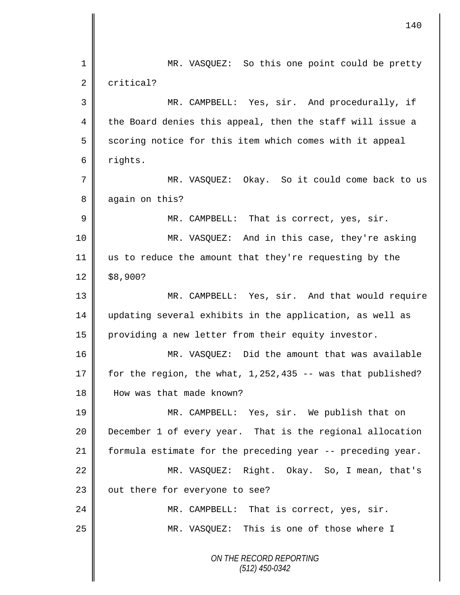|    | 140                                                          |
|----|--------------------------------------------------------------|
| 1  | MR. VASQUEZ: So this one point could be pretty               |
| 2  | critical?                                                    |
| 3  | MR. CAMPBELL: Yes, sir. And procedurally, if                 |
| 4  | the Board denies this appeal, then the staff will issue a    |
| 5  | scoring notice for this item which comes with it appeal      |
| 6  | rights.                                                      |
| 7  | MR. VASQUEZ: Okay. So it could come back to us               |
| 8  | again on this?                                               |
| 9  | MR. CAMPBELL: That is correct, yes, sir.                     |
| 10 | MR. VASQUEZ: And in this case, they're asking                |
| 11 | us to reduce the amount that they're requesting by the       |
| 12 | \$8,900?                                                     |
| 13 | MR. CAMPBELL: Yes, sir. And that would require               |
| 14 | updating several exhibits in the application, as well as     |
| 15 | providing a new letter from their equity investor.           |
| 16 | MR. VASQUEZ: Did the amount that was available               |
| 17 | for the region, the what, $1,252,435$ -- was that published? |
| 18 | How was that made known?                                     |
| 19 | MR. CAMPBELL: Yes, sir. We publish that on                   |
| 20 | December 1 of every year. That is the regional allocation    |
| 21 | formula estimate for the preceding year -- preceding year.   |
| 22 | MR. VASQUEZ: Right. Okay. So, I mean, that's                 |
| 23 | out there for everyone to see?                               |
| 24 | MR. CAMPBELL: That is correct, yes, sir.                     |
| 25 | MR. VASQUEZ: This is one of those where I                    |
|    | ON THE RECORD REPORTING<br>$(512)$ 450-0342                  |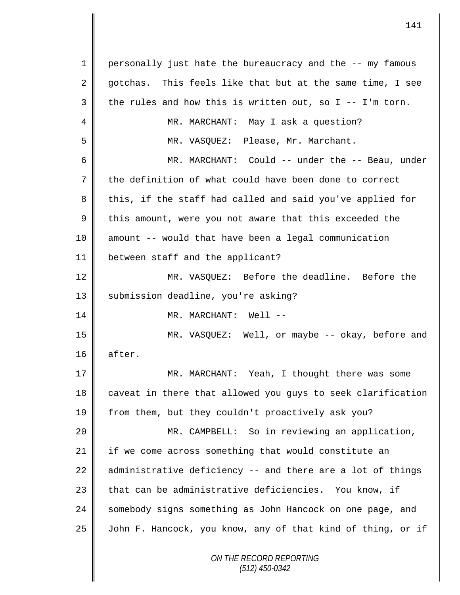*ON THE RECORD REPORTING (512) 450-0342* 1 personally just hate the bureaucracy and the -- my famous 2 gotchas. This feels like that but at the same time, I see  $3 \parallel$  the rules and how this is written out, so I -- I'm torn. 4 MR. MARCHANT: May I ask a question? 5 MR. VASQUEZ: Please, Mr. Marchant. 6 MR. MARCHANT: Could -- under the -- Beau, under 7 the definition of what could have been done to correct 8 this, if the staff had called and said you've applied for  $9 \parallel$  this amount, were you not aware that this exceeded the 10 amount -- would that have been a legal communication 11 between staff and the applicant? 12 MR. VASQUEZ: Before the deadline. Before the 13 || submission deadline, you're asking? 14 MR. MARCHANT: Well -- 15 MR. VASQUEZ: Well, or maybe -- okay, before and 16 after. 17 MR. MARCHANT: Yeah, I thought there was some 18 || caveat in there that allowed you guys to seek clarification 19 || from them, but they couldn't proactively ask you? 20 MR. CAMPBELL: So in reviewing an application, 21 | if we come across something that would constitute an 22  $\parallel$  administrative deficiency -- and there are a lot of things 23 that can be administrative deficiencies. You know, if 24 || somebody signs something as John Hancock on one page, and 25 | John F. Hancock, you know, any of that kind of thing, or if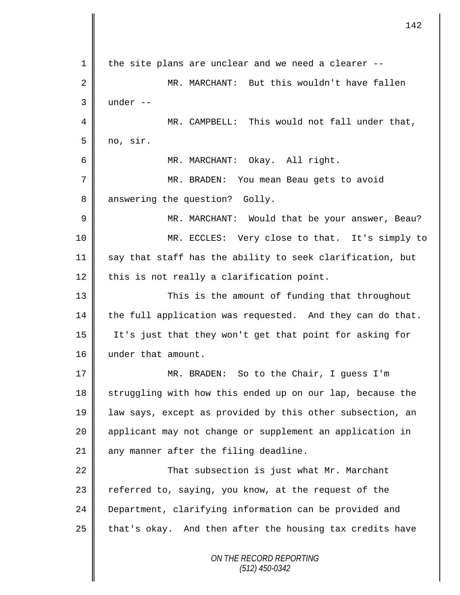*ON THE RECORD REPORTING (512) 450-0342* 1 || the site plans are unclear and we need a clearer --2 MR. MARCHANT: But this wouldn't have fallen  $3 \parallel$  under  $--$ 4 MR. CAMPBELL: This would not fall under that,  $5 \parallel$  no, sir. 6 MR. MARCHANT: Okay. All right. 7 MR. BRADEN: You mean Beau gets to avoid 8 answering the question? Golly. 9 MR. MARCHANT: Would that be your answer, Beau? 10 MR. ECCLES: Very close to that. It's simply to 11  $\parallel$  say that staff has the ability to seek clarification, but  $12$  this is not really a clarification point. 13 This is the amount of funding that throughout  $14$  the full application was requested. And they can do that. 15 It's just that they won't get that point for asking for 16 under that amount. 17 MR. BRADEN: So to the Chair, I guess I'm 18 Struggling with how this ended up on our lap, because the 19 law says, except as provided by this other subsection, an 20 || applicant may not change or supplement an application in  $21$  | any manner after the filing deadline. 22 | That subsection is just what Mr. Marchant 23 | referred to, saying, you know, at the request of the 24 Department, clarifying information can be provided and  $25$  | that's okay. And then after the housing tax credits have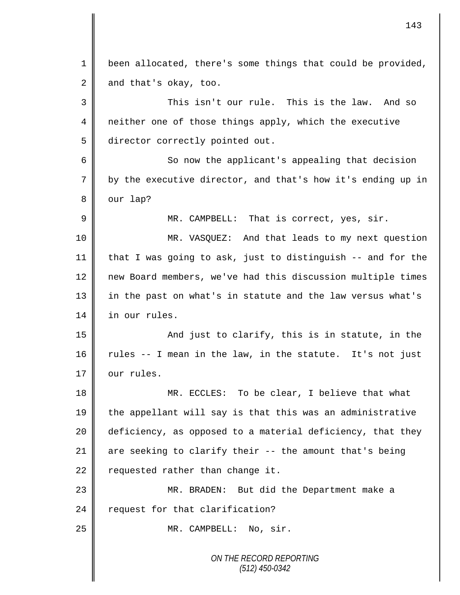*ON THE RECORD REPORTING* 1 | been allocated, there's some things that could be provided,  $2 \parallel$  and that's okay, too. 3 This isn't our rule. This is the law. And so 4 neither one of those things apply, which the executive 5 director correctly pointed out. 6 So now the applicant's appealing that decision 7 by the executive director, and that's how it's ending up in  $8 \parallel$  our lap? 9 || MR. CAMPBELL: That is correct, yes, sir. 10 MR. VASQUEZ: And that leads to my next question 11  $\parallel$  that I was going to ask, just to distinguish -- and for the 12 | new Board members, we've had this discussion multiple times 13 || in the past on what's in statute and the law versus what's 14 in our rules. 15 || And just to clarify, this is in statute, in the 16  $\parallel$  rules -- I mean in the law, in the statute. It's not just 17 | our rules. 18 MR. ECCLES: To be clear, I believe that what 19 the appellant will say is that this was an administrative 20 deficiency, as opposed to a material deficiency, that they 21  $\parallel$  are seeking to clarify their -- the amount that's being  $22$  requested rather than change it. 23 MR. BRADEN: But did the Department make a 24  $\parallel$  request for that clarification? 25 || MR. CAMPBELL: No, sir.

143

*(512) 450-0342*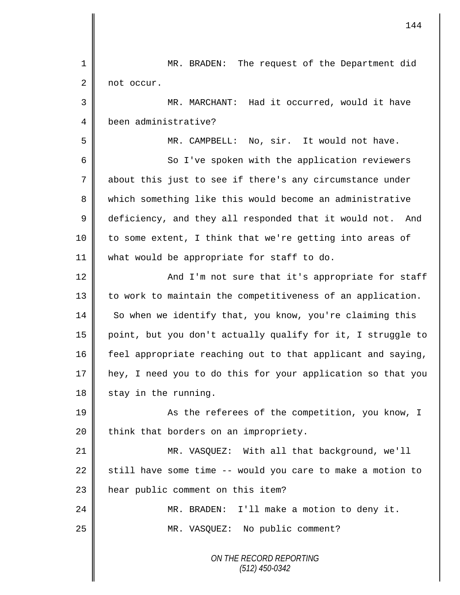| 1  | The request of the Department did<br>MR. BRADEN:             |
|----|--------------------------------------------------------------|
| 2  | not occur.                                                   |
| 3  | MR. MARCHANT: Had it occurred, would it have                 |
| 4  | been administrative?                                         |
| 5  | MR. CAMPBELL: No, sir. It would not have.                    |
| 6  | So I've spoken with the application reviewers                |
| 7  | about this just to see if there's any circumstance under     |
| 8  | which something like this would become an administrative     |
| 9  | deficiency, and they all responded that it would not.<br>And |
| 10 | to some extent, I think that we're getting into areas of     |
| 11 | what would be appropriate for staff to do.                   |
| 12 | And I'm not sure that it's appropriate for staff             |
| 13 | to work to maintain the competitiveness of an application.   |
| 14 | So when we identify that, you know, you're claiming this     |
| 15 | point, but you don't actually qualify for it, I struggle to  |
| 16 | feel appropriate reaching out to that applicant and saying,  |
| 17 | hey, I need you to do this for your application so that you  |
| 18 | stay in the running.                                         |
| 19 | As the referees of the competition, you know, I              |
| 20 | think that borders on an impropriety.                        |
| 21 | MR. VASQUEZ: With all that background, we'll                 |
| 22 | still have some time -- would you care to make a motion to   |
| 23 | hear public comment on this item?                            |
| 24 | MR. BRADEN: I'll make a motion to deny it.                   |
| 25 | MR. VASQUEZ: No public comment?                              |
|    | ON THE RECORD REPORTING<br>$(512)$ 450-0342                  |

 $\mathsf{I}$ 

I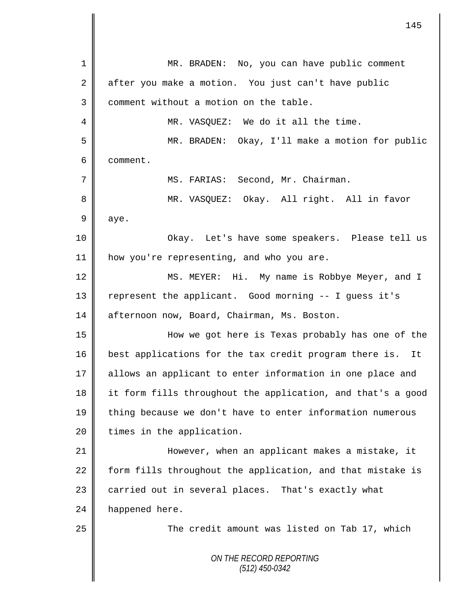*ON THE RECORD REPORTING (512) 450-0342* 1 || MR. BRADEN: No, you can have public comment 2 after you make a motion. You just can't have public 3 | comment without a motion on the table. 4 || MR. VASQUEZ: We do it all the time. 5 MR. BRADEN: Okay, I'll make a motion for public 6 comment. 7 | MS. FARIAS: Second, Mr. Chairman. 8 || MR. VASQUEZ: Okay. All right. All in favor  $9$  aye. 10 Okay. Let's have some speakers. Please tell us 11 | how you're representing, and who you are. 12 MS. MEYER: Hi. My name is Robbye Meyer, and I 13 | represent the applicant. Good morning -- I guess it's 14 afternoon now, Board, Chairman, Ms. Boston. 15 How we got here is Texas probably has one of the 16 best applications for the tax credit program there is. It 17 allows an applicant to enter information in one place and 18 it form fills throughout the application, and that's a good 19 || thing because we don't have to enter information numerous 20 | times in the application. 21 However, when an applicant makes a mistake, it  $22$  form fills throughout the application, and that mistake is 23 carried out in several places. That's exactly what 24 happened here. 25 || The credit amount was listed on Tab 17, which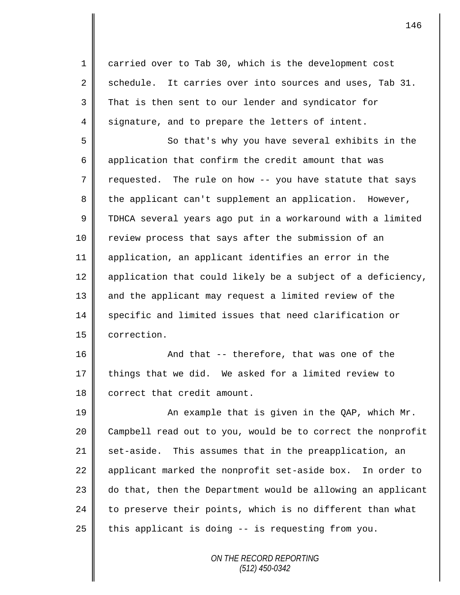1 carried over to Tab 30, which is the development cost 2 schedule. It carries over into sources and uses, Tab 31. 3 That is then sent to our lender and syndicator for  $4 \parallel$  signature, and to prepare the letters of intent.

5 So that's why you have several exhibits in the 6 application that confirm the credit amount that was  $7 \parallel$  requested. The rule on how -- you have statute that says 8 the applicant can't supplement an application. However, 9 TDHCA several years ago put in a workaround with a limited 10 Teview process that says after the submission of an 11 application, an applicant identifies an error in the 12  $\parallel$  application that could likely be a subject of a deficiency, 13 || and the applicant may request a limited review of the 14 specific and limited issues that need clarification or 15 | correction.

16 And that -- therefore, that was one of the 17  $\parallel$  things that we did. We asked for a limited review to 18 | correct that credit amount.

19 || An example that is given in the QAP, which Mr. 20 | Campbell read out to you, would be to correct the nonprofit 21 set-aside. This assumes that in the preapplication, an 22 applicant marked the nonprofit set-aside box. In order to  $23$   $\parallel$  do that, then the Department would be allowing an applicant  $24$  to preserve their points, which is no different than what  $25$  this applicant is doing -- is requesting from you.

> *ON THE RECORD REPORTING (512) 450-0342*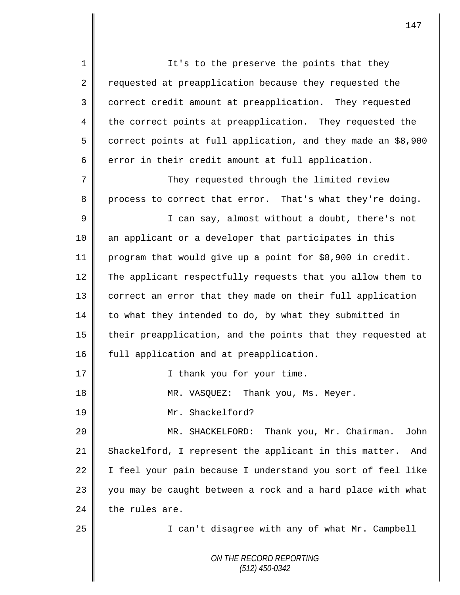*ON THE RECORD REPORTING (512) 450-0342* 1 || It's to the preserve the points that they 2 Tequested at preapplication because they requested the 3 correct credit amount at preapplication. They requested 4 the correct points at preapplication. They requested the 5 correct points at full application, and they made an \$8,900  $6 \parallel$  error in their credit amount at full application. 7 They requested through the limited review 8 process to correct that error. That's what they're doing. 9 || I can say, almost without a doubt, there's not 10 an applicant or a developer that participates in this 11 program that would give up a point for \$8,900 in credit. 12 The applicant respectfully requests that you allow them to 13 | correct an error that they made on their full application 14 to what they intended to do, by what they submitted in 15 their preapplication, and the points that they requested at 16 | full application and at preapplication. 17 || I thank you for your time. 18 MR. VASQUEZ: Thank you, Ms. Meyer. 19 Mr. Shackelford? 20 MR. SHACKELFORD: Thank you, Mr. Chairman. John 21 Shackelford, I represent the applicant in this matter. And 22  $\parallel$  I feel your pain because I understand you sort of feel like 23 || you may be caught between a rock and a hard place with what  $24$  the rules are. 25 || I can't disagree with any of what Mr. Campbell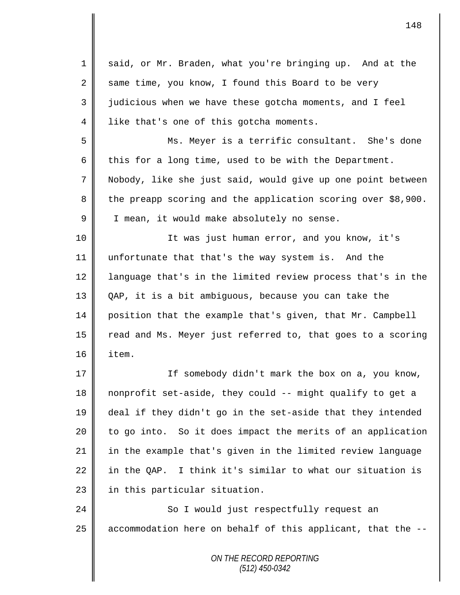| 1              | said, or Mr. Braden, what you're bringing up. And at the     |
|----------------|--------------------------------------------------------------|
| 2              | same time, you know, I found this Board to be very           |
| 3              | judicious when we have these gotcha moments, and I feel      |
| $\overline{4}$ | like that's one of this gotcha moments.                      |
| 5              | Ms. Meyer is a terrific consultant. She's done               |
| 6              | this for a long time, used to be with the Department.        |
| 7              | Nobody, like she just said, would give up one point between  |
| 8              | the preapp scoring and the application scoring over \$8,900. |
| 9              | I mean, it would make absolutely no sense.                   |
| 10             | It was just human error, and you know, it's                  |
| 11             | unfortunate that that's the way system is. And the           |
| 12             | language that's in the limited review process that's in the  |
| 13             | QAP, it is a bit ambiguous, because you can take the         |
| 14             | position that the example that's given, that Mr. Campbell    |
| 15             | read and Ms. Meyer just referred to, that goes to a scoring  |
| 16             | item.                                                        |
| 17             | If somebody didn't mark the box on a, you know,              |
| 18             | nonprofit set-aside, they could -- might qualify to get a    |
| 19             | deal if they didn't go in the set-aside that they intended   |
| 20             | to go into. So it does impact the merits of an application   |
| 21             | in the example that's given in the limited review language   |
| 22             | in the QAP. I think it's similar to what our situation is    |
| 23             | in this particular situation.                                |
| 24             | So I would just respectfully request an                      |
| 25             | accommodation here on behalf of this applicant, that the --  |
|                | ON THE RECORD REPORTING<br>$(512)$ 450-0342                  |

 $\overline{\mathsf{I}}$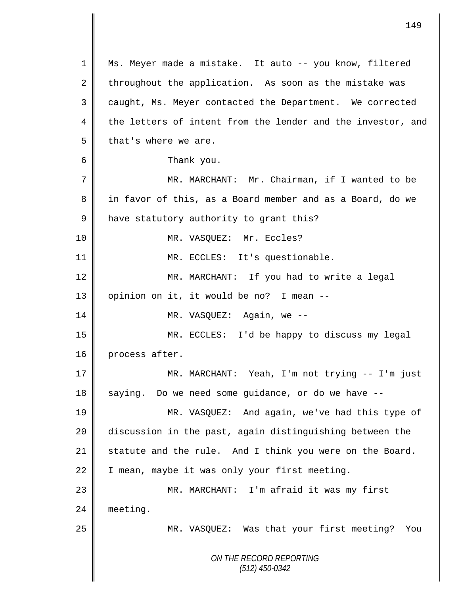*ON THE RECORD REPORTING (512) 450-0342* 1 Ms. Meyer made a mistake. It auto -- you know, filtered 2 throughout the application. As soon as the mistake was 3 caught, Ms. Meyer contacted the Department. We corrected  $4 \parallel$  the letters of intent from the lender and the investor, and  $5 \parallel$  that's where we are. 6 Thank you. 7 MR. MARCHANT: Mr. Chairman, if I wanted to be 8 || in favor of this, as a Board member and as a Board, do we 9 have statutory authority to grant this? 10 || MR. VASQUEZ: Mr. Eccles? 11 || MR. ECCLES: It's questionable. 12 || MR. MARCHANT: If you had to write a legal 13 | opinion on it, it would be no? I mean  $--$ 14 || MR. VASQUEZ: Again, we --15 MR. ECCLES: I'd be happy to discuss my legal 16 process after. 17 MR. MARCHANT: Yeah, I'm not trying -- I'm just  $18$  saying. Do we need some guidance, or do we have  $-$ 19 MR. VASQUEZ: And again, we've had this type of 20 discussion in the past, again distinguishing between the 21 Statute and the rule. And I think you were on the Board. 22  $\parallel$  I mean, maybe it was only your first meeting. 23 MR. MARCHANT: I'm afraid it was my first 24 meeting. 25 | MR. VASQUEZ: Was that your first meeting? You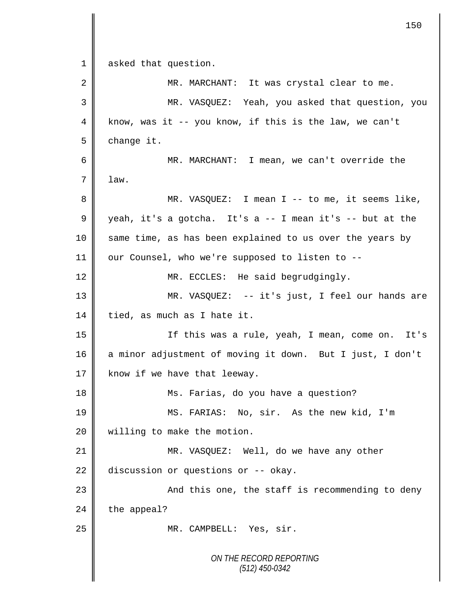*ON THE RECORD REPORTING (512) 450-0342* 1 asked that question. 2 MR. MARCHANT: It was crystal clear to me. 3 MR. VASQUEZ: Yeah, you asked that question, you  $4 \parallel$  know, was it -- you know, if this is the law, we can't  $5 \parallel$  change it. 6 MR. MARCHANT: I mean, we can't override the  $7 \parallel$  law. 8 MR. VASQUEZ: I mean I -- to me, it seems like, 9 yeah, it's a gotcha. It's a -- I mean it's -- but at the 10 || same time, as has been explained to us over the years by 11 | our Counsel, who we're supposed to listen to --12 MR. ECCLES: He said begrudgingly. 13 MR. VASQUEZ: -- it's just, I feel our hands are  $14$  | tied, as much as I hate it. 15 If this was a rule, yeah, I mean, come on. It's 16 a minor adjustment of moving it down. But I just, I don't 17  $\parallel$  know if we have that leeway. 18 || Ms. Farias, do you have a question? 19 MS. FARIAS: No, sir. As the new kid, I'm 20 | willing to make the motion. 21 MR. VASQUEZ: Well, do we have any other 22 discussion or questions or  $-$ - okay. 23 || And this one, the staff is recommending to deny  $24$  the appeal? 25 || MR. CAMPBELL: Yes, sir.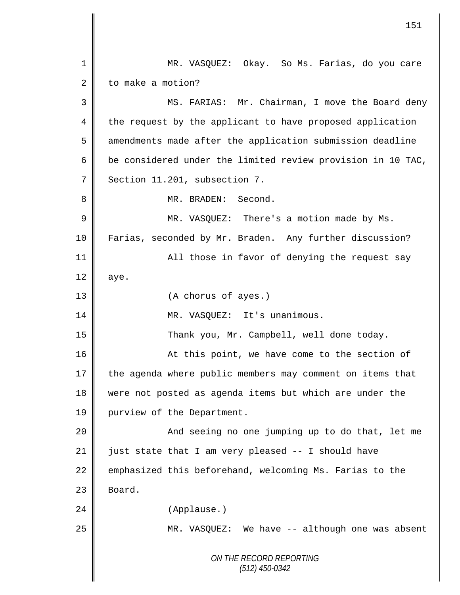*ON THE RECORD REPORTING (512) 450-0342* 1 MR. VASQUEZ: Okay. So Ms. Farias, do you care 2 to make a motion? 3 MS. FARIAS: Mr. Chairman, I move the Board deny 4 the request by the applicant to have proposed application 5 amendments made after the application submission deadline 6  $\parallel$  be considered under the limited review provision in 10 TAC, 7 Section 11.201, subsection 7. 8 MR. BRADEN: Second. 9 || MR. VASQUEZ: There's a motion made by Ms. 10 Farias, seconded by Mr. Braden. Any further discussion? 11 All those in favor of denying the request say  $12 \parallel$  aye. 13 (A chorus of ayes.) 14 || MR. VASQUEZ: It's unanimous. 15 Thank you, Mr. Campbell, well done today. 16 || At this point, we have come to the section of 17 the agenda where public members may comment on items that 18 were not posted as agenda items but which are under the 19 | purview of the Department. 20 || And seeing no one jumping up to do that, let me 21  $\parallel$  just state that I am very pleased -- I should have 22 emphasized this beforehand, welcoming Ms. Farias to the  $23$  Board. 24 (Applause.) 25 MR. VASQUEZ: We have -- although one was absent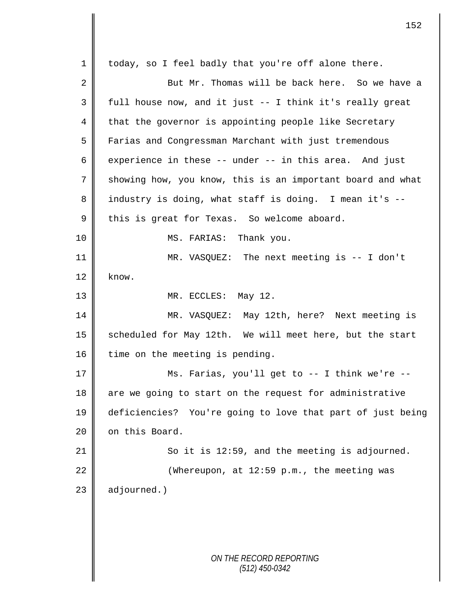*ON THE RECORD REPORTING (512) 450-0342* 1 || today, so I feel badly that you're off alone there. 2  $\parallel$  But Mr. Thomas will be back here. So we have a  $3 \parallel$  full house now, and it just -- I think it's really great 4 that the governor is appointing people like Secretary 5 Farias and Congressman Marchant with just tremendous 6 experience in these  $-$  under  $-$  in this area. And just 7 Showing how, you know, this is an important board and what 8 || industry is doing, what staff is doing. I mean it's --9 this is great for Texas. So welcome aboard. 10 || MS. FARIAS: Thank you. 11 MR. VASQUEZ: The next meeting is -- I don't  $12 \parallel$  know. 13 NR. ECCLES: May 12. 14 MR. VASQUEZ: May 12th, here? Next meeting is 15 scheduled for May 12th. We will meet here, but the start  $16$  time on the meeting is pending. 17 || Ms. Farias, you'll get to -- I think we're --18 || are we going to start on the request for administrative 19 deficiencies? You're going to love that part of just being 20 | on this Board. 21  $\parallel$  So it is 12:59, and the meeting is adjourned. 22  $\parallel$  (Whereupon, at 12:59 p.m., the meeting was  $23$  adjourned.)